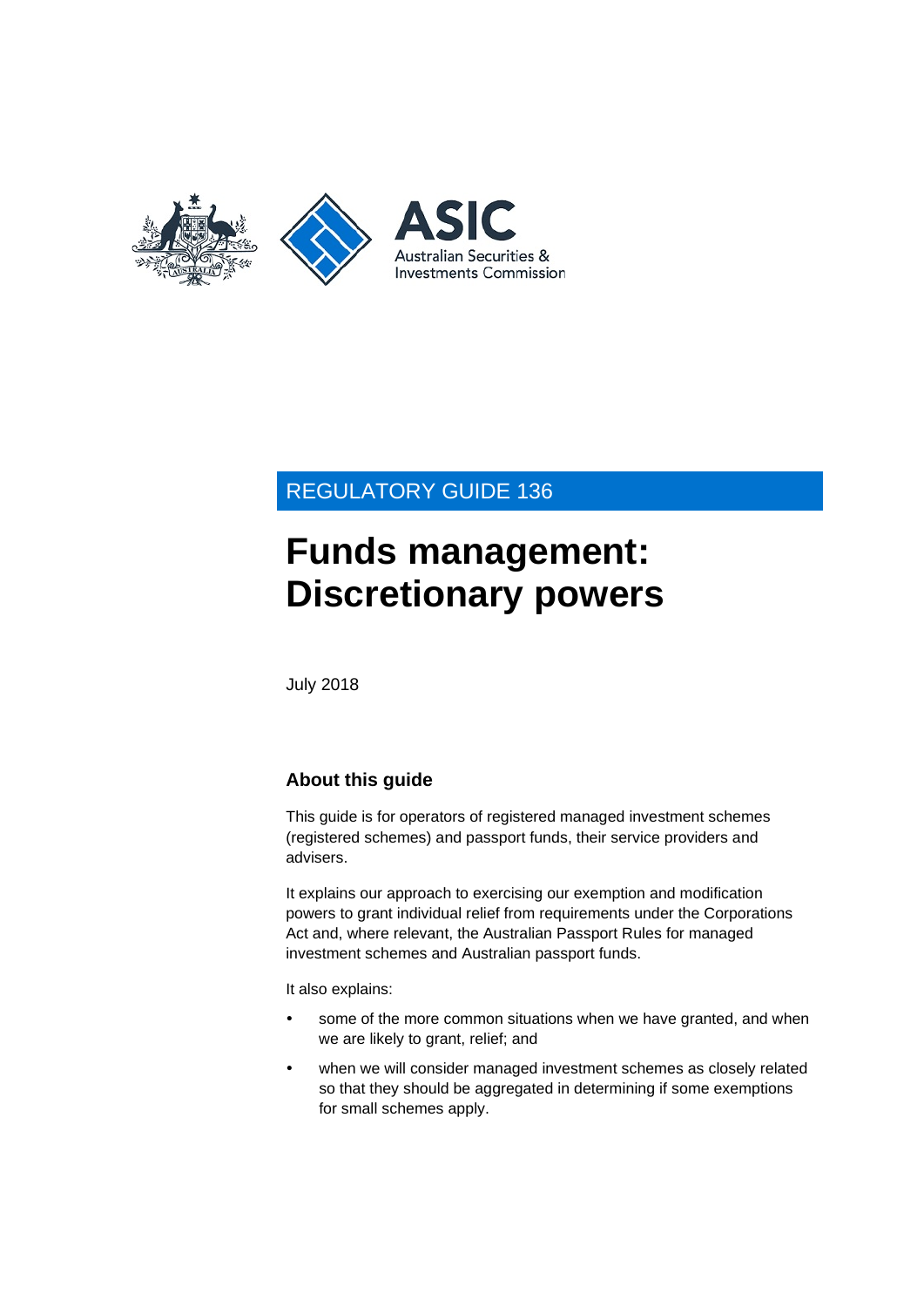

## REGULATORY GUIDE 136

# **Funds management: Discretionary powers**

July 2018

## **About this guide**

This guide is for operators of registered managed investment schemes (registered schemes) and passport funds, their service providers and advisers.

It explains our approach to exercising our exemption and modification powers to grant individual relief from requirements under the Corporations Act and, where relevant, the Australian Passport Rules for managed investment schemes and Australian passport funds.

It also explains:

- some of the more common situations when we have granted, and when we are likely to grant, relief; and
- when we will consider managed investment schemes as closely related so that they should be aggregated in determining if some exemptions for small schemes apply.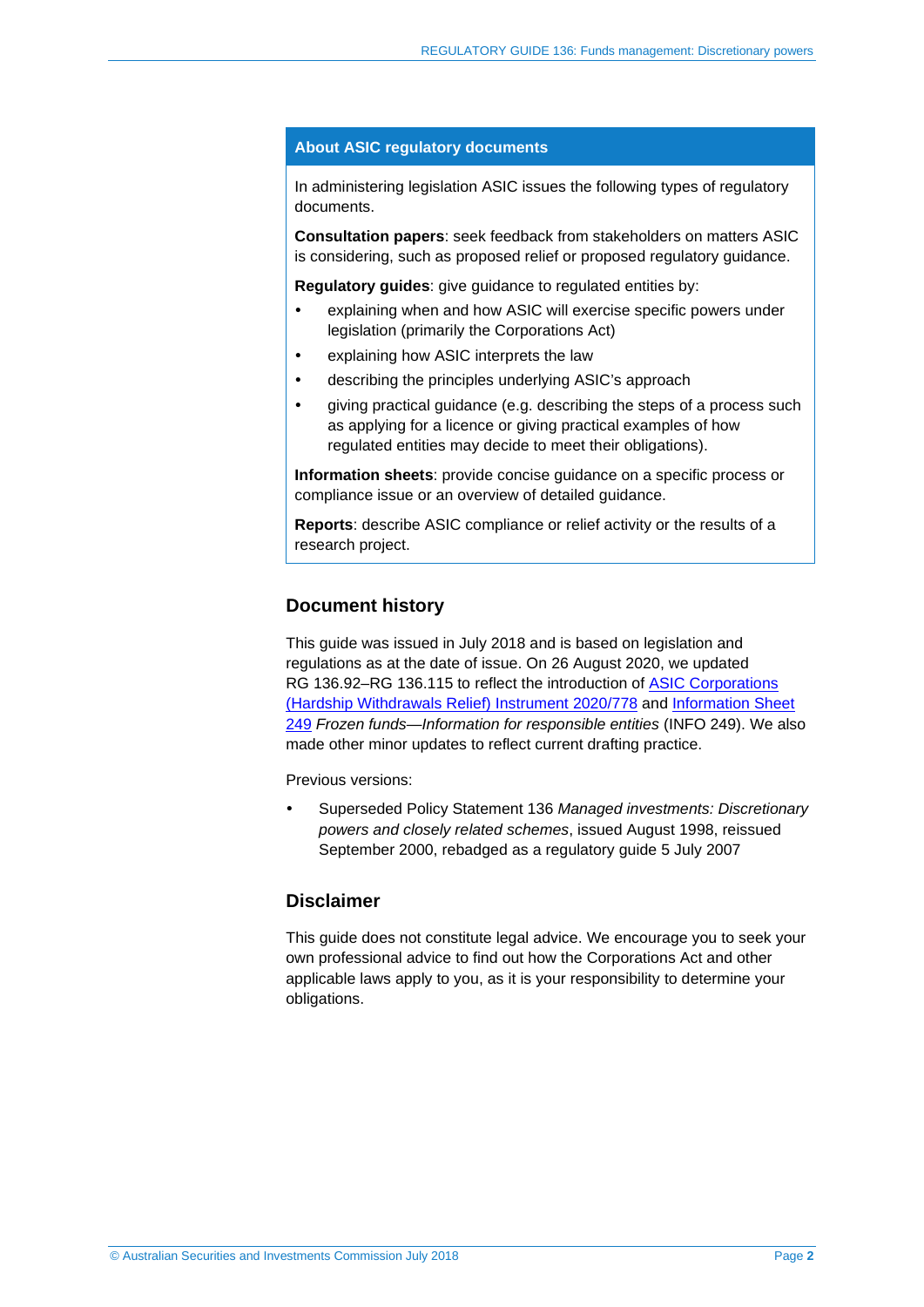#### **About ASIC regulatory documents**

In administering legislation ASIC issues the following types of regulatory documents.

**Consultation papers**: seek feedback from stakeholders on matters ASIC is considering, such as proposed relief or proposed regulatory guidance.

**Regulatory guides**: give guidance to regulated entities by:

- explaining when and how ASIC will exercise specific powers under legislation (primarily the Corporations Act)
- explaining how ASIC interprets the law
- describing the principles underlying ASIC's approach
- giving practical guidance (e.g. describing the steps of a process such as applying for a licence or giving practical examples of how regulated entities may decide to meet their obligations).

**Information sheets**: provide concise guidance on a specific process or compliance issue or an overview of detailed guidance.

**Reports**: describe ASIC compliance or relief activity or the results of a research project.

#### **Document history**

This guide was issued in July 2018 and is based on legislation and regulations as at the date of issue. On 26 August 2020, we updated RG [136.92–](#page-23-0)RG [136.115](#page-29-0) to reflect the introduction of ASIC Corporations [\(Hardship Withdrawals Relief\) Instrument 2020/778](https://asic.gov.au/regulatory-resources/find-a-document/legislative-instruments/2020-legislative-instruments/#LI2020-778) and [Information Sheet](http://www.asic.gov.au/for-finance-professionals/fund-operators/running-a-fund/requirements-when-running-a-managed-investment-scheme/frozen-funds-information-for-responsible-entities/)  [249](http://www.asic.gov.au/for-finance-professionals/fund-operators/running-a-fund/requirements-when-running-a-managed-investment-scheme/frozen-funds-information-for-responsible-entities/) *Frozen funds—Information for responsible entities* (INFO 249). We also made other minor updates to reflect current drafting practice.

Previous versions:

 Superseded Policy Statement 136 *Managed investments: Discretionary powers and closely related schemes*, issued August 1998, reissued September 2000, rebadged as a regulatory guide 5 July 2007

#### **Disclaimer**

This guide does not constitute legal advice. We encourage you to seek your own professional advice to find out how the Corporations Act and other applicable laws apply to you, as it is your responsibility to determine your obligations.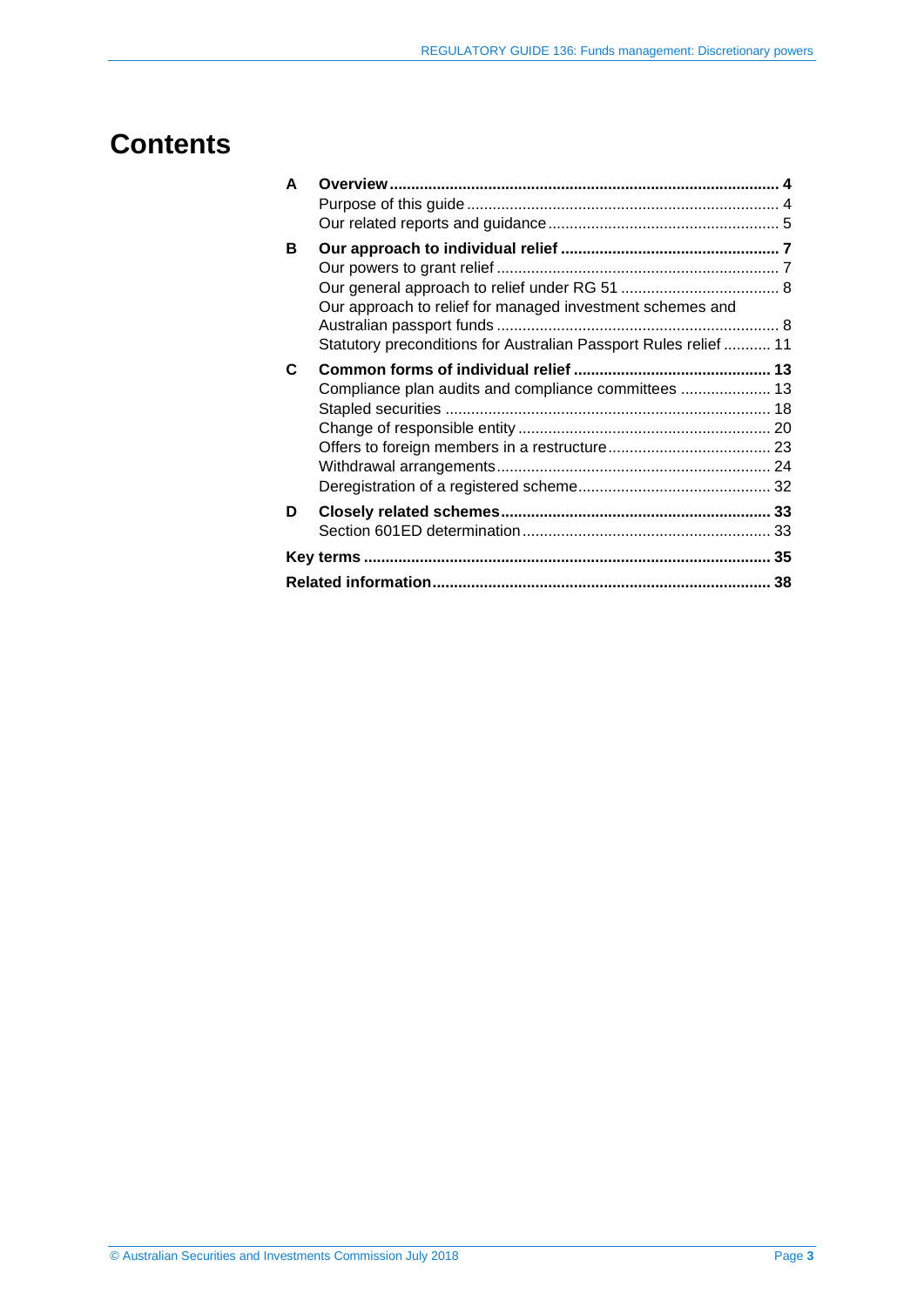# **Contents**

| A |                                                                                                                               |  |
|---|-------------------------------------------------------------------------------------------------------------------------------|--|
|   |                                                                                                                               |  |
|   |                                                                                                                               |  |
| в | Our approach to relief for managed investment schemes and<br>Statutory preconditions for Australian Passport Rules relief  11 |  |
| C | Compliance plan audits and compliance committees  13                                                                          |  |
| D |                                                                                                                               |  |
|   |                                                                                                                               |  |
|   |                                                                                                                               |  |
|   |                                                                                                                               |  |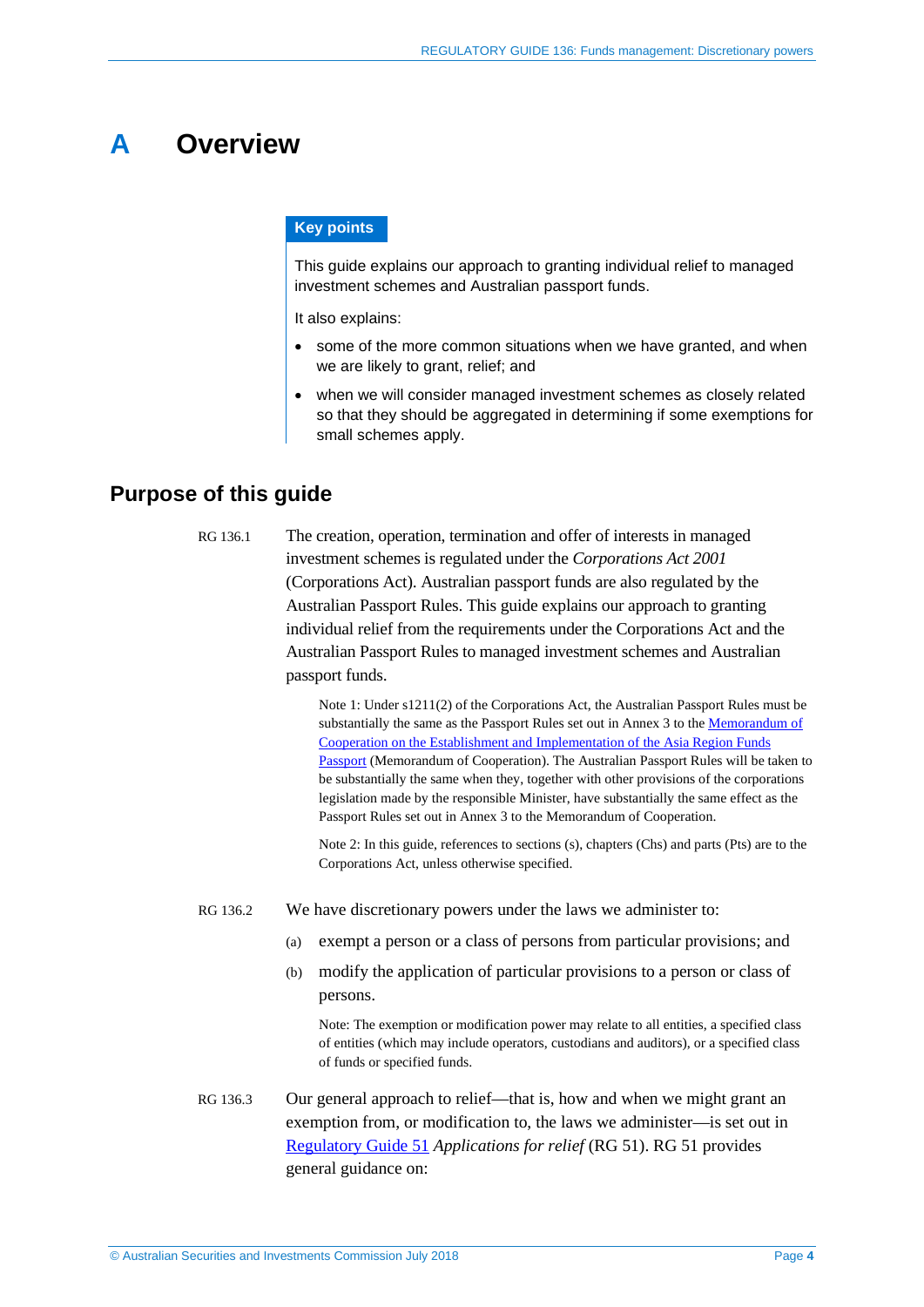## <span id="page-3-0"></span>**A Overview**

#### **Key points**

This guide explains our approach to granting individual relief to managed investment schemes and Australian passport funds.

It also explains:

- some of the more common situations when we have granted, and when we are likely to grant, relief; and
- when we will consider managed investment schemes as closely related so that they should be aggregated in determining if some exemptions for small schemes apply.

## <span id="page-3-1"></span>**Purpose of this guide**

RG 136.1 The creation, operation, termination and offer of interests in managed investment schemes is regulated under the *Corporations Act 2001* (Corporations Act). Australian passport funds are also regulated by the Australian Passport Rules. This guide explains our approach to granting individual relief from the requirements under the Corporations Act and the Australian Passport Rules to managed investment schemes and Australian passport funds.

> Note 1: Under s1211(2) of the Corporations Act, the Australian Passport Rules must be substantially the same as the Passport Rules set out in Annex 3 to th[e Memorandum of](https://fundspassport.apec.org/asia-region-funds-passport-memorandum-of-cooperation/)  [Cooperation on the Establishment and Implementation of the Asia Region Funds](https://fundspassport.apec.org/asia-region-funds-passport-memorandum-of-cooperation/)  [Passport](https://fundspassport.apec.org/asia-region-funds-passport-memorandum-of-cooperation/) (Memorandum of Cooperation). The Australian Passport Rules will be taken to be substantially the same when they, together with other provisions of the corporations legislation made by the responsible Minister, have substantially the same effect as the Passport Rules set out in Annex 3 to the Memorandum of Cooperation.

Note 2: In this guide, references to sections (s), chapters (Chs) and parts (Pts) are to the Corporations Act, unless otherwise specified.

- RG 136.2 We have discretionary powers under the laws we administer to:
	- (a) exempt a person or a class of persons from particular provisions; and
	- (b) modify the application of particular provisions to a person or class of persons.

Note: The exemption or modification power may relate to all entities, a specified class of entities (which may include operators, custodians and auditors), or a specified class of funds or specified funds.

RG 136.3 Our general approach to relief—that is, how and when we might grant an exemption from, or modification to, the laws we administer—is set out in [Regulatory Guide 51](http://asic.gov.au/regulatory-resources/find-a-document/regulatory-guides/rg-51-applications-for-relief/) *Applications for relief* (RG 51). RG 51 provides general guidance on: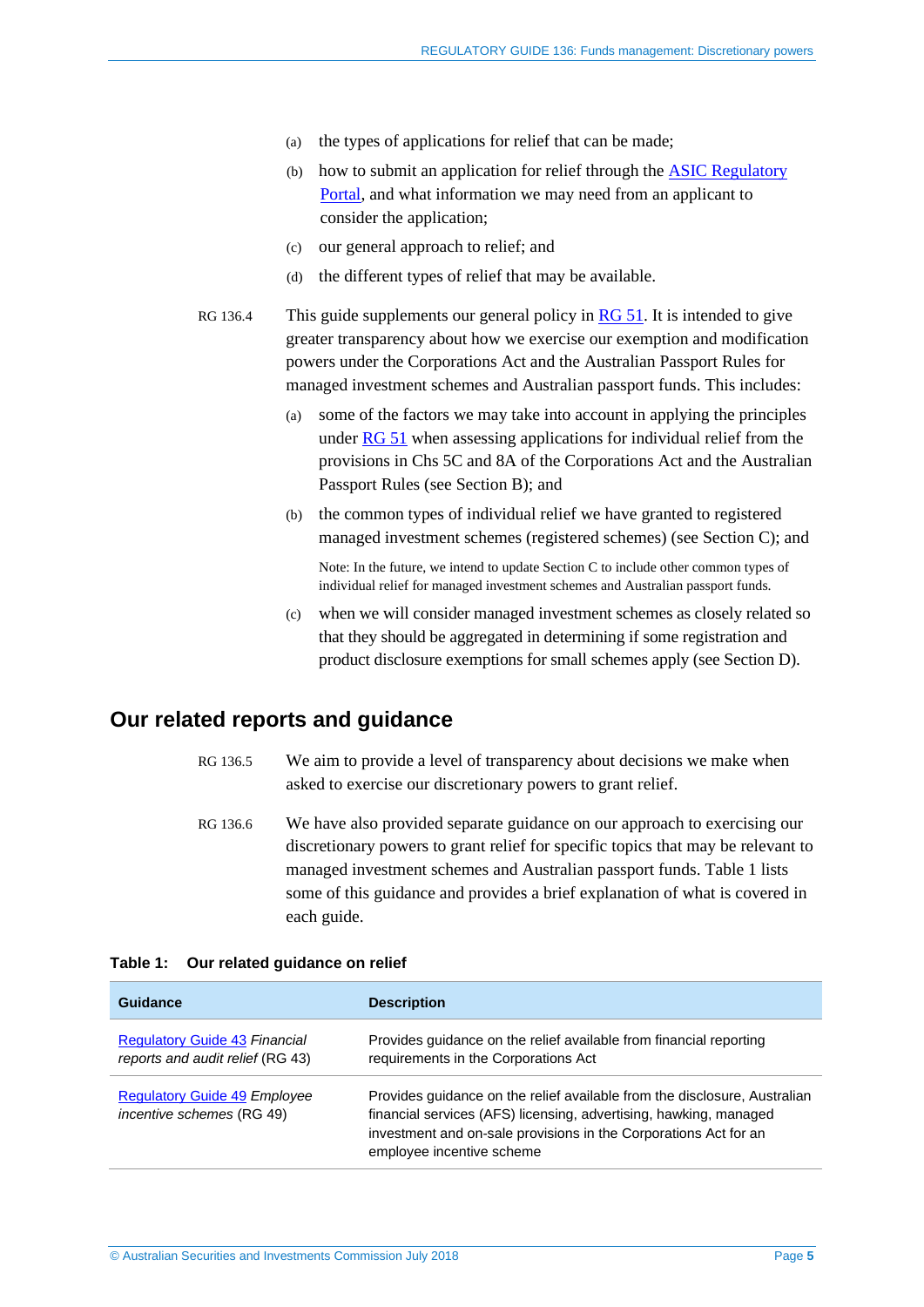- (a) the types of applications for relief that can be made;
- (b) how to submit an application for relief through th[e ASIC Regulatory](https://regulatoryportal.asic.gov.au/)  [Portal,](https://regulatoryportal.asic.gov.au/) and what information we may need from an applicant to consider the application;
- (c) our general approach to relief; and
- (d) the different types of relief that may be available.
- RG 136.4 This guide supplements our general policy i[n RG 51.](http://asic.gov.au/regulatory-resources/find-a-document/regulatory-guides/rg-51-applications-for-relief/) It is intended to give greater transparency about how we exercise our exemption and modification powers under the Corporations Act and the Australian Passport Rules for managed investment schemes and Australian passport funds. This includes:
	- (a) some of the factors we may take into account in applying the principles under [RG 51](http://asic.gov.au/regulatory-resources/find-a-document/regulatory-guides/rg-51-applications-for-relief/) when assessing applications for individual relief from the provisions in Chs 5C and 8A of the Corporations Act and the Australian Passport Rules (see Section [B\)](#page-6-0); and
	- (b) the common types of individual relief we have granted to registered managed investment schemes (registered schemes) (see Sectio[n C\)](#page-12-0); and

Note: In the future, we intend to update Section [C](#page-12-0) to include other common types of individual relief for managed investment schemes and Australian passport funds.

(c) when we will consider managed investment schemes as closely related so that they should be aggregated in determining if some registration and product disclosure exemptions for small schemes apply (see Section [D\)](#page-32-0).

## <span id="page-4-0"></span>**Our related reports and guidance**

- RG 136.5 We aim to provide a level of transparency about decisions we make when asked to exercise our discretionary powers to grant relief.
- RG 136.6 We have also provided separate guidance on our approach to exercising our discretionary powers to grant relief for specific topics that may be relevant to managed investment schemes and Australian passport funds. [Table 1](#page-4-1) lists some of this guidance and provides a brief explanation of what is covered in each guide.

#### <span id="page-4-1"></span>**Table 1: Our related guidance on relief**

| Guidance                                                                 | <b>Description</b>                                                                                                                                                                                                                              |
|--------------------------------------------------------------------------|-------------------------------------------------------------------------------------------------------------------------------------------------------------------------------------------------------------------------------------------------|
| <b>Regulatory Guide 43 Financial</b><br>reports and audit relief (RG 43) | Provides guidance on the relief available from financial reporting<br>requirements in the Corporations Act                                                                                                                                      |
| <b>Regulatory Guide 49 Employee</b><br><i>incentive schemes</i> (RG 49)  | Provides guidance on the relief available from the disclosure, Australian<br>financial services (AFS) licensing, advertising, hawking, managed<br>investment and on-sale provisions in the Corporations Act for an<br>employee incentive scheme |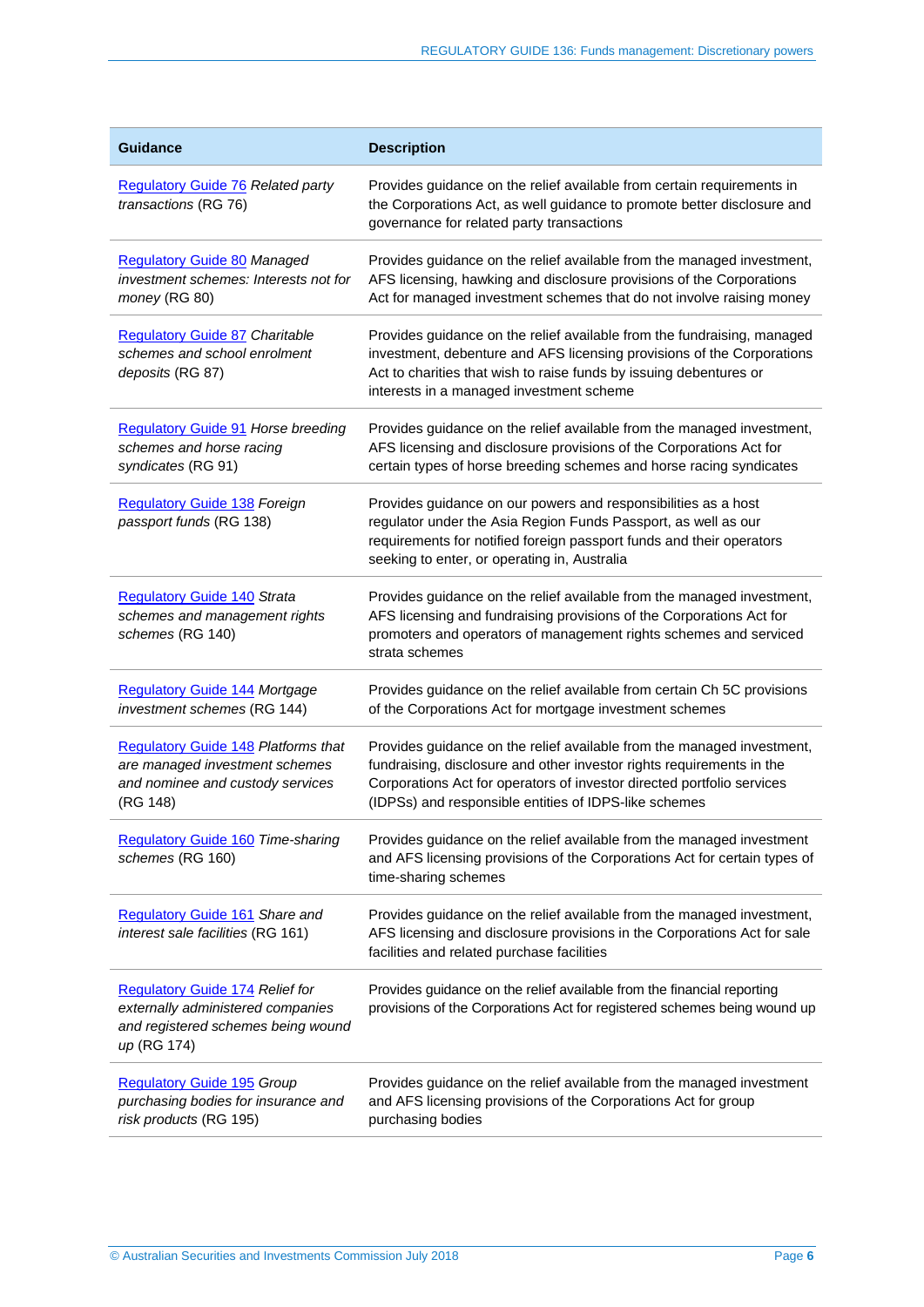| <b>Guidance</b>                                                                                                              | <b>Description</b>                                                                                                                                                                                                                                                                 |
|------------------------------------------------------------------------------------------------------------------------------|------------------------------------------------------------------------------------------------------------------------------------------------------------------------------------------------------------------------------------------------------------------------------------|
| <b>Regulatory Guide 76 Related party</b><br>transactions (RG 76)                                                             | Provides guidance on the relief available from certain requirements in<br>the Corporations Act, as well guidance to promote better disclosure and<br>governance for related party transactions                                                                                     |
| <b>Regulatory Guide 80 Managed</b><br>investment schemes: Interests not for<br>money (RG 80)                                 | Provides guidance on the relief available from the managed investment,<br>AFS licensing, hawking and disclosure provisions of the Corporations<br>Act for managed investment schemes that do not involve raising money                                                             |
| <b>Regulatory Guide 87 Charitable</b><br>schemes and school enrolment<br>deposits (RG 87)                                    | Provides guidance on the relief available from the fundraising, managed<br>investment, debenture and AFS licensing provisions of the Corporations<br>Act to charities that wish to raise funds by issuing debentures or<br>interests in a managed investment scheme                |
| <b>Regulatory Guide 91 Horse breeding</b><br>schemes and horse racing<br>syndicates (RG 91)                                  | Provides guidance on the relief available from the managed investment,<br>AFS licensing and disclosure provisions of the Corporations Act for<br>certain types of horse breeding schemes and horse racing syndicates                                                               |
| <b>Regulatory Guide 138 Foreign</b><br>passport funds (RG 138)                                                               | Provides guidance on our powers and responsibilities as a host<br>regulator under the Asia Region Funds Passport, as well as our<br>requirements for notified foreign passport funds and their operators<br>seeking to enter, or operating in, Australia                           |
| <b>Regulatory Guide 140 Strata</b><br>schemes and management rights<br>schemes (RG 140)                                      | Provides guidance on the relief available from the managed investment,<br>AFS licensing and fundraising provisions of the Corporations Act for<br>promoters and operators of management rights schemes and serviced<br>strata schemes                                              |
| <b>Regulatory Guide 144 Mortgage</b><br>investment schemes (RG 144)                                                          | Provides guidance on the relief available from certain Ch 5C provisions<br>of the Corporations Act for mortgage investment schemes                                                                                                                                                 |
| <b>Regulatory Guide 148 Platforms that</b><br>are managed investment schemes<br>and nominee and custody services<br>(RG 148) | Provides guidance on the relief available from the managed investment,<br>fundraising, disclosure and other investor rights requirements in the<br>Corporations Act for operators of investor directed portfolio services<br>(IDPSs) and responsible entities of IDPS-like schemes |
| <b>Regulatory Guide 160 Time-sharing</b><br>schemes (RG 160)                                                                 | Provides guidance on the relief available from the managed investment<br>and AFS licensing provisions of the Corporations Act for certain types of<br>time-sharing schemes                                                                                                         |
| Regulatory Guide 161 Share and<br>interest sale facilities (RG 161)                                                          | Provides guidance on the relief available from the managed investment,<br>AFS licensing and disclosure provisions in the Corporations Act for sale<br>facilities and related purchase facilities                                                                                   |
| Regulatory Guide 174 Relief for<br>externally administered companies<br>and registered schemes being wound<br>up (RG 174)    | Provides guidance on the relief available from the financial reporting<br>provisions of the Corporations Act for registered schemes being wound up                                                                                                                                 |
| <b>Regulatory Guide 195 Group</b><br>purchasing bodies for insurance and<br>risk products (RG 195)                           | Provides guidance on the relief available from the managed investment<br>and AFS licensing provisions of the Corporations Act for group<br>purchasing bodies                                                                                                                       |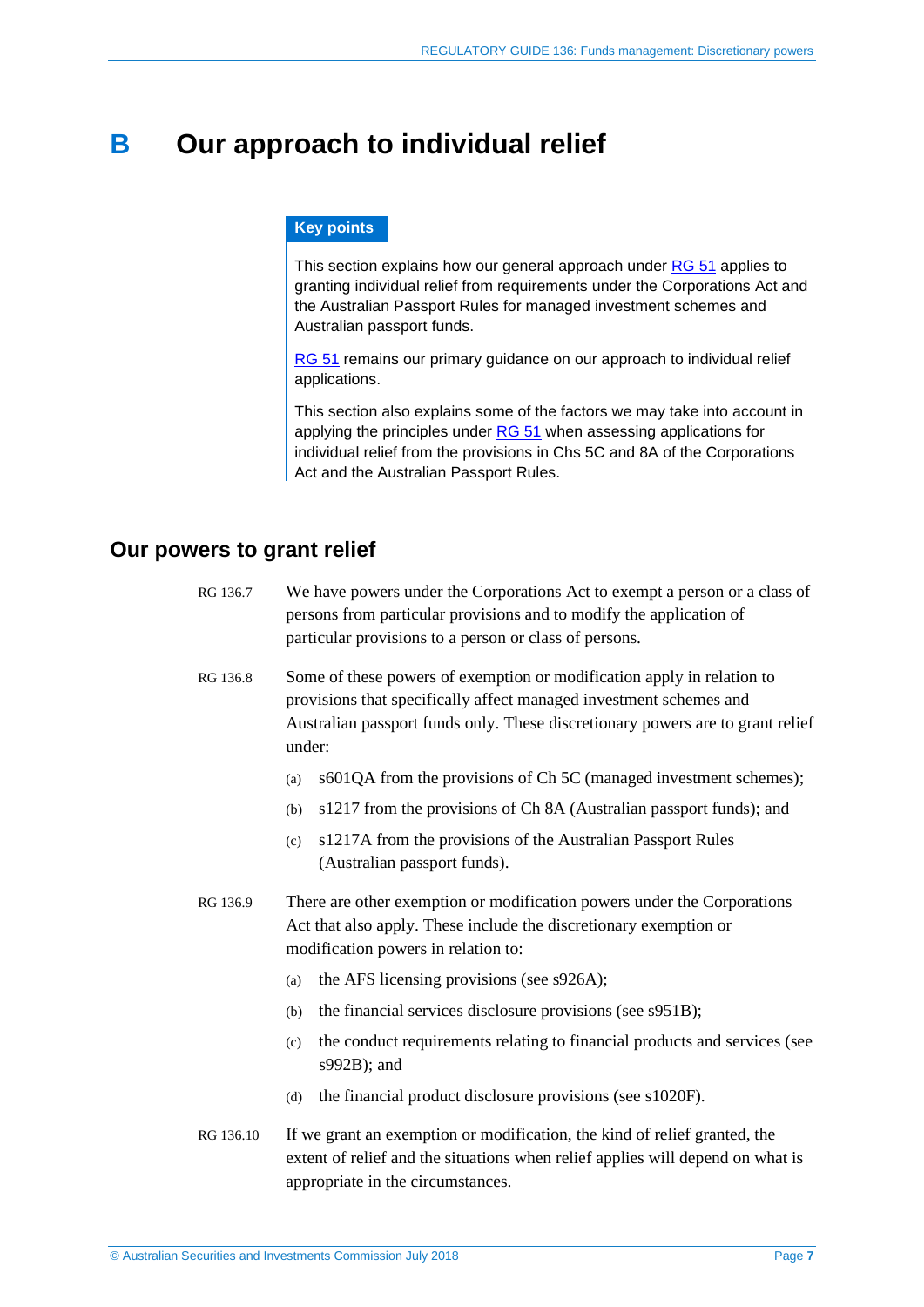## <span id="page-6-0"></span>**B Our approach to individual relief**

#### **Key points**

This section explains how our general approach under [RG 51](http://www.asic.gov.au/regulatory-resources/find-a-document/regulatory-guides/rg-51-applications-for-relief/) applies to granting individual relief from requirements under the Corporations Act and the Australian Passport Rules for managed investment schemes and Australian passport funds.

[RG 51](http://www.asic.gov.au/regulatory-resources/find-a-document/regulatory-guides/rg-51-applications-for-relief/) remains our primary guidance on our approach to individual relief applications.

This section also explains some of the factors we may take into account in applying the principles under [RG 51](http://www.asic.gov.au/regulatory-resources/find-a-document/regulatory-guides/rg-51-applications-for-relief/) when assessing applications for individual relief from the provisions in Chs 5C and 8A of the Corporations Act and the Australian Passport Rules.

## <span id="page-6-1"></span>**Our powers to grant relief**

| RG 136.7 | We have powers under the Corporations Act to exempt a person or a class of |
|----------|----------------------------------------------------------------------------|
|          | persons from particular provisions and to modify the application of        |
|          | particular provisions to a person or class of persons.                     |

RG 136.8 Some of these powers of exemption or modification apply in relation to provisions that specifically affect managed investment schemes and Australian passport funds only. These discretionary powers are to grant relief under:

- (a) s601QA from the provisions of Ch 5C (managed investment schemes);
- (b) s1217 from the provisions of Ch 8A (Australian passport funds); and
- (c) s1217A from the provisions of the Australian Passport Rules (Australian passport funds).
- RG 136.9 There are other exemption or modification powers under the Corporations Act that also apply. These include the discretionary exemption or modification powers in relation to:
	- (a) the AFS licensing provisions (see s926A);
	- (b) the financial services disclosure provisions (see s951B);
	- (c) the conduct requirements relating to financial products and services (see s992B); and
	- (d) the financial product disclosure provisions (see s1020F).
- RG 136.10 If we grant an exemption or modification, the kind of relief granted, the extent of relief and the situations when relief applies will depend on what is appropriate in the circumstances.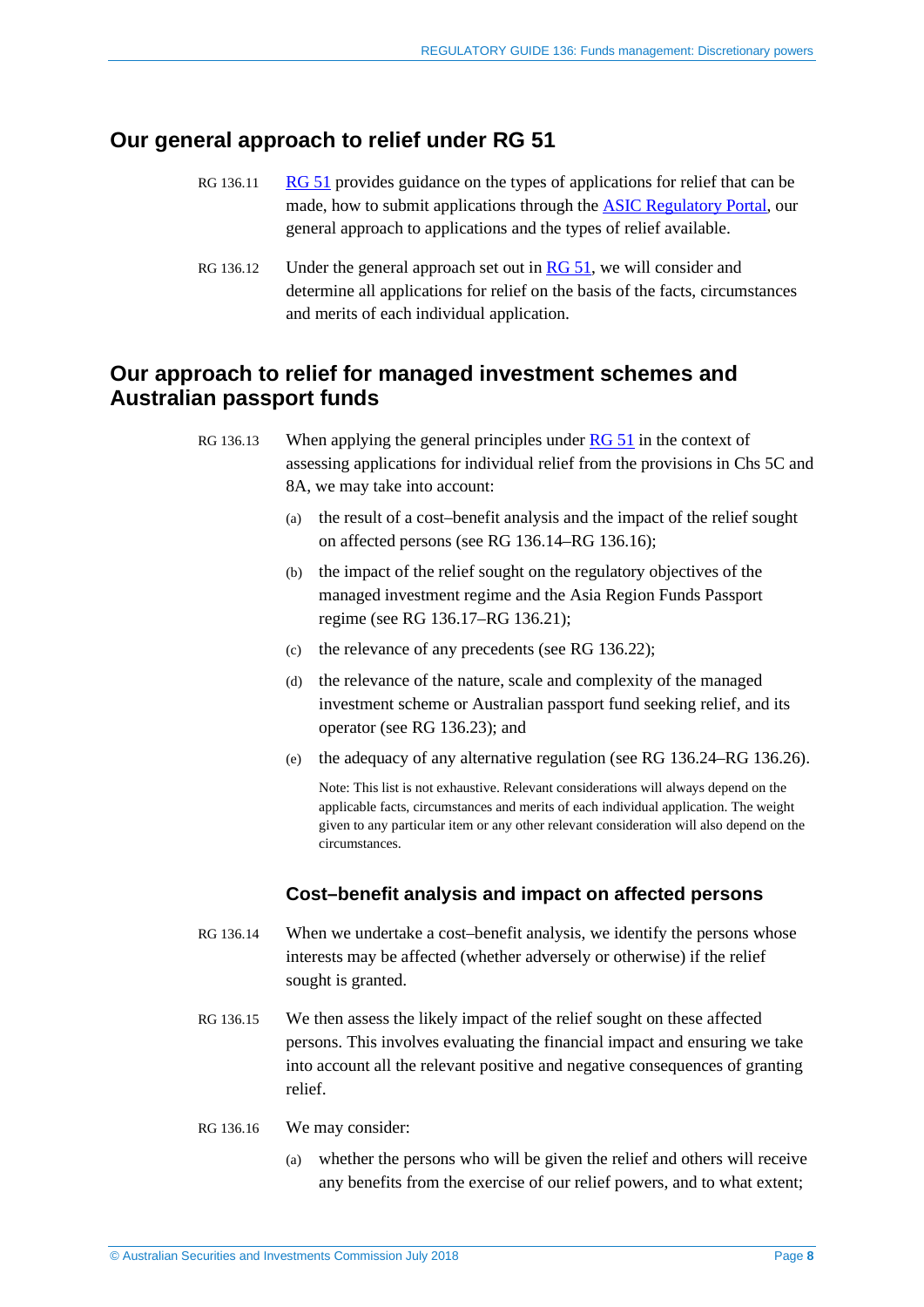## <span id="page-7-0"></span>**Our general approach to relief under RG 51**

- RG 136.11 [RG 51](http://www.asic.gov.au/regulatory-resources/find-a-document/regulatory-guides/rg-51-applications-for-relief/) provides guidance on the types of applications for relief that can be made, how to submit applications through the [ASIC Regulatory Portal,](https://regulatoryportal.asic.gov.au/) our general approach to applications and the types of relief available.
- RG 136.12 Under the general approach set out in [RG 51,](http://www.asic.gov.au/regulatory-resources/find-a-document/regulatory-guides/rg-51-applications-for-relief/) we will consider and determine all applications for relief on the basis of the facts, circumstances and merits of each individual application.

## <span id="page-7-1"></span>**Our approach to relief for managed investment schemes and Australian passport funds**

RG 136.13 When applying the general principles under [RG 51](http://www.asic.gov.au/regulatory-resources/find-a-document/regulatory-guides/rg-51-applications-for-relief/) in the context of assessing applications for individual relief from the provisions in Chs 5C and 8A, we may take into account:

- (a) the result of a cost–benefit analysis and the impact of the relief sought on affected persons (see RG [136.14–](#page-7-2)RG [136.16\)](#page-7-3);
- (b) the impact of the relief sought on the regulatory objectives of the managed investment regime and the Asia Region Funds Passport regime (see RG [136.17–](#page-8-0)RG [136.21\)](#page-8-1);
- (c) the relevance of any precedents (see RG [136.22\)](#page-9-0);
- (d) the relevance of the nature, scale and complexity of the managed investment scheme or Australian passport fund seeking relief, and its operator (see RG [136.23\)](#page-9-1); and
- (e) the adequacy of any alternative regulation (see RG [136.24–](#page-10-1)RG [136.26\)](#page-10-2).

Note: This list is not exhaustive. Relevant considerations will always depend on the applicable facts, circumstances and merits of each individual application. The weight given to any particular item or any other relevant consideration will also depend on the circumstances.

#### **Cost–benefit analysis and impact on affected persons**

- <span id="page-7-2"></span>RG 136.14 When we undertake a cost–benefit analysis, we identify the persons whose interests may be affected (whether adversely or otherwise) if the relief sought is granted.
- RG 136.15 We then assess the likely impact of the relief sought on these affected persons. This involves evaluating the financial impact and ensuring we take into account all the relevant positive and negative consequences of granting relief.
- <span id="page-7-3"></span>RG 136.16 We may consider:
	- (a) whether the persons who will be given the relief and others will receive any benefits from the exercise of our relief powers, and to what extent;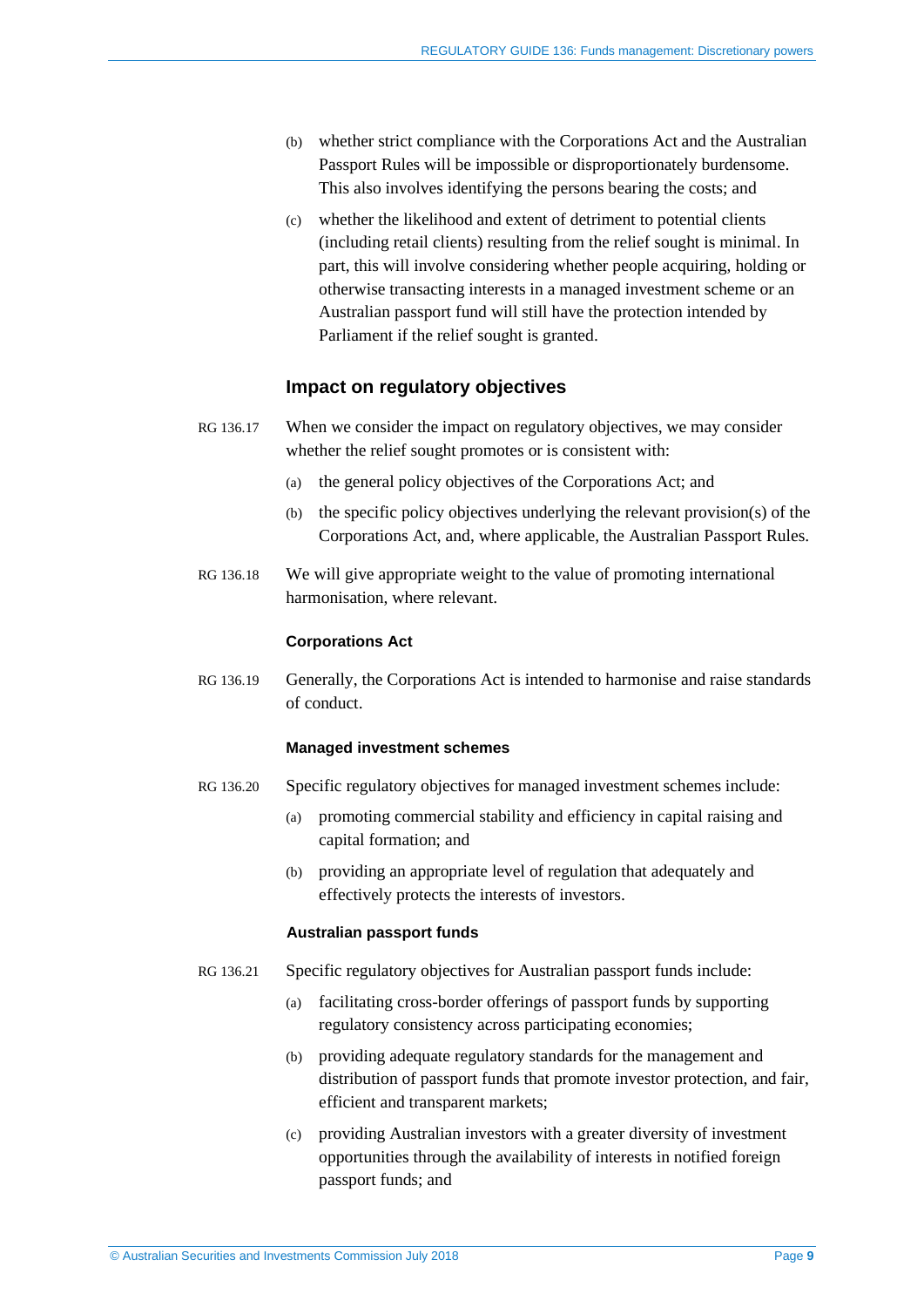- (b) whether strict compliance with the Corporations Act and the Australian Passport Rules will be impossible or disproportionately burdensome. This also involves identifying the persons bearing the costs; and
- (c) whether the likelihood and extent of detriment to potential clients (including retail clients) resulting from the relief sought is minimal. In part, this will involve considering whether people acquiring, holding or otherwise transacting interests in a managed investment scheme or an Australian passport fund will still have the protection intended by Parliament if the relief sought is granted.

#### **Impact on regulatory objectives**

- <span id="page-8-0"></span>RG 136.17 When we consider the impact on regulatory objectives, we may consider whether the relief sought promotes or is consistent with:
	- (a) the general policy objectives of the Corporations Act; and
	- (b) the specific policy objectives underlying the relevant provision(s) of the Corporations Act, and, where applicable, the Australian Passport Rules.
- RG 136.18 We will give appropriate weight to the value of promoting international harmonisation, where relevant.

#### **Corporations Act**

RG 136.19 Generally, the Corporations Act is intended to harmonise and raise standards of conduct.

#### **Managed investment schemes**

- RG 136.20 Specific regulatory objectives for managed investment schemes include:
	- (a) promoting commercial stability and efficiency in capital raising and capital formation; and
	- (b) providing an appropriate level of regulation that adequately and effectively protects the interests of investors.

#### **Australian passport funds**

- <span id="page-8-1"></span>RG 136.21 Specific regulatory objectives for Australian passport funds include:
	- (a) facilitating cross-border offerings of passport funds by supporting regulatory consistency across participating economies;
	- (b) providing adequate regulatory standards for the management and distribution of passport funds that promote investor protection, and fair, efficient and transparent markets;
	- (c) providing Australian investors with a greater diversity of investment opportunities through the availability of interests in notified foreign passport funds; and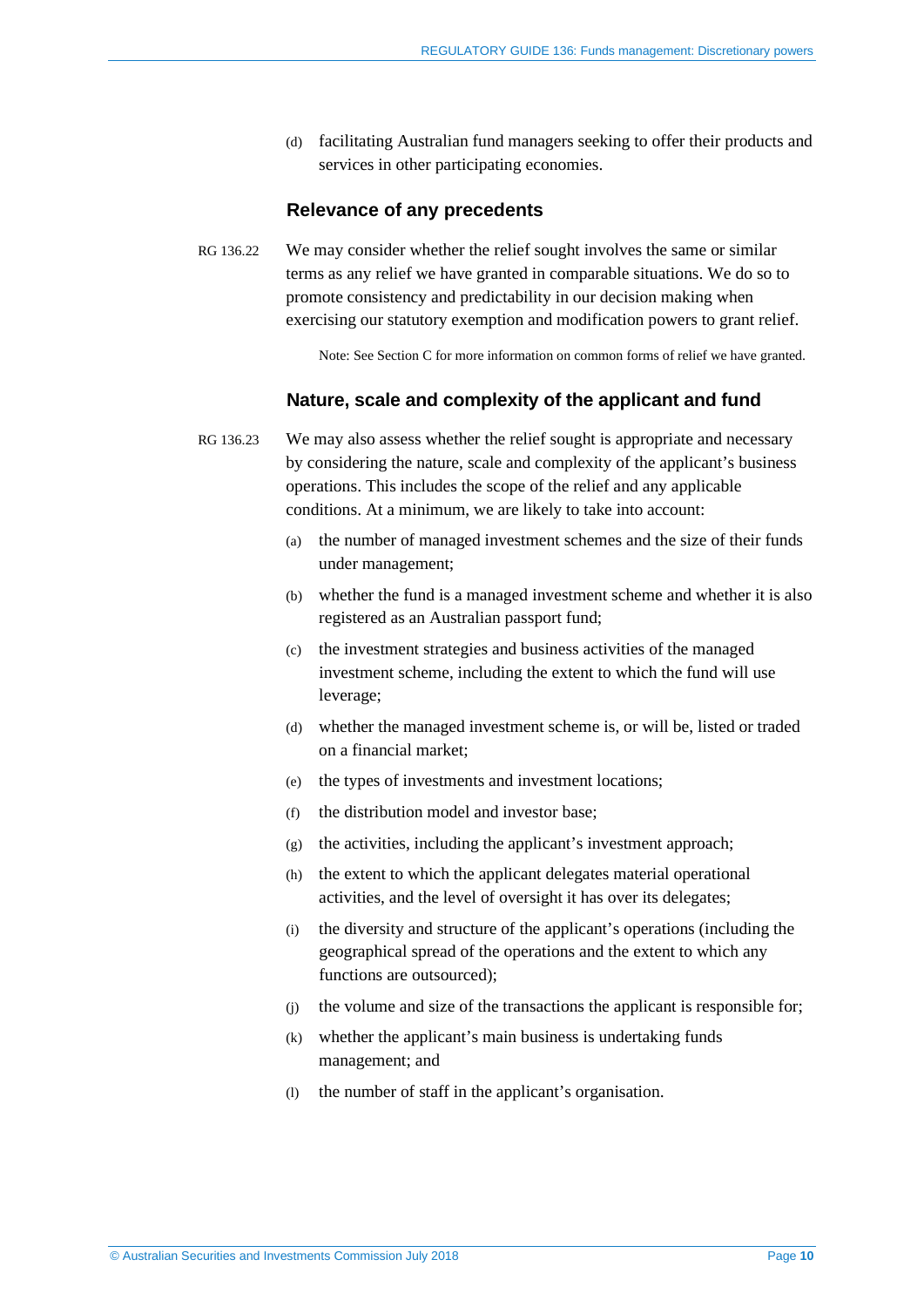(d) facilitating Australian fund managers seeking to offer their products and services in other participating economies.

#### **Relevance of any precedents**

<span id="page-9-0"></span>RG 136.22 We may consider whether the relief sought involves the same or similar terms as any relief we have granted in comparable situations. We do so to promote consistency and predictability in our decision making when exercising our statutory exemption and modification powers to grant relief.

Note: See Section [C](#page-12-0) for more information on common forms of relief we have granted.

#### **Nature, scale and complexity of the applicant and fund**

<span id="page-9-1"></span>RG 136.23 We may also assess whether the relief sought is appropriate and necessary by considering the nature, scale and complexity of the applicant's business operations. This includes the scope of the relief and any applicable conditions. At a minimum, we are likely to take into account:

- (a) the number of managed investment schemes and the size of their funds under management;
- (b) whether the fund is a managed investment scheme and whether it is also registered as an Australian passport fund;
- (c) the investment strategies and business activities of the managed investment scheme, including the extent to which the fund will use leverage;
- (d) whether the managed investment scheme is, or will be, listed or traded on a financial market;
- (e) the types of investments and investment locations;
- (f) the distribution model and investor base;
- $(g)$  the activities, including the applicant's investment approach;
- (h) the extent to which the applicant delegates material operational activities, and the level of oversight it has over its delegates;
- (i) the diversity and structure of the applicant's operations (including the geographical spread of the operations and the extent to which any functions are outsourced);
- (j) the volume and size of the transactions the applicant is responsible for;
- (k) whether the applicant's main business is undertaking funds management; and
- (l) the number of staff in the applicant's organisation.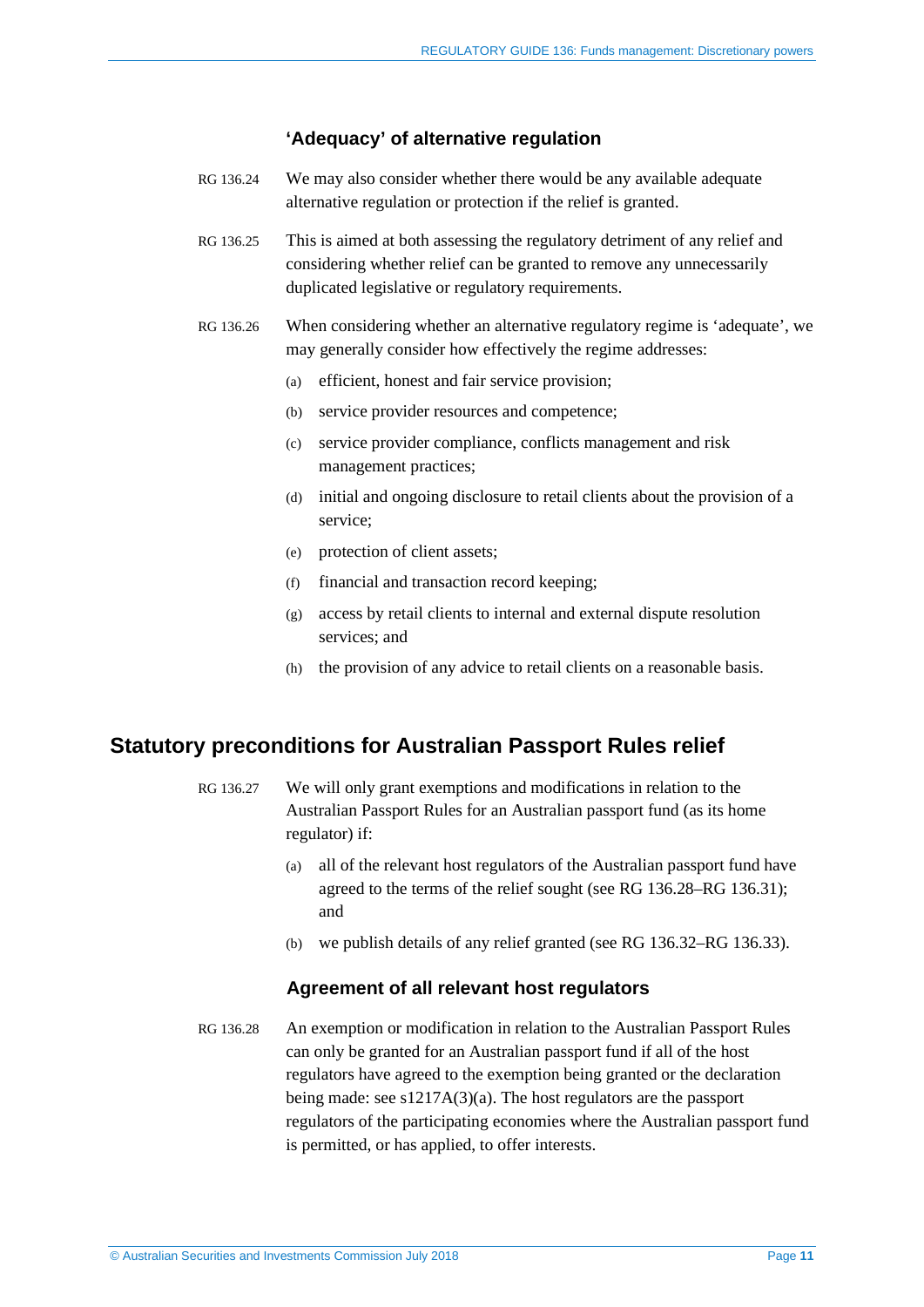#### **'Adequacy' of alternative regulation**

- <span id="page-10-1"></span>RG 136.24 We may also consider whether there would be any available adequate alternative regulation or protection if the relief is granted.
- RG 136.25 This is aimed at both assessing the regulatory detriment of any relief and considering whether relief can be granted to remove any unnecessarily duplicated legislative or regulatory requirements.
- <span id="page-10-2"></span>RG 136.26 When considering whether an alternative regulatory regime is 'adequate', we may generally consider how effectively the regime addresses:
	- (a) efficient, honest and fair service provision;
	- (b) service provider resources and competence;
	- (c) service provider compliance, conflicts management and risk management practices;
	- (d) initial and ongoing disclosure to retail clients about the provision of a service;
	- (e) protection of client assets;
	- (f) financial and transaction record keeping;
	- (g) access by retail clients to internal and external dispute resolution services; and
	- (h) the provision of any advice to retail clients on a reasonable basis.

## <span id="page-10-0"></span>**Statutory preconditions for Australian Passport Rules relief**

- RG 136.27 We will only grant exemptions and modifications in relation to the Australian Passport Rules for an Australian passport fund (as its home regulator) if:
	- (a) all of the relevant host regulators of the Australian passport fund have agreed to the terms of the relief sought (see RG [136.28–](#page-10-3)RG [136.31\)](#page-11-0); and
	- (b) we publish details of any relief granted (see RG [136.32–](#page-11-1)RG [136.33\)](#page-11-2).

#### **Agreement of all relevant host regulators**

<span id="page-10-3"></span>RG 136.28 An exemption or modification in relation to the Australian Passport Rules can only be granted for an Australian passport fund if all of the host regulators have agreed to the exemption being granted or the declaration being made: see s1217A(3)(a). The host regulators are the passport regulators of the participating economies where the Australian passport fund is permitted, or has applied, to offer interests.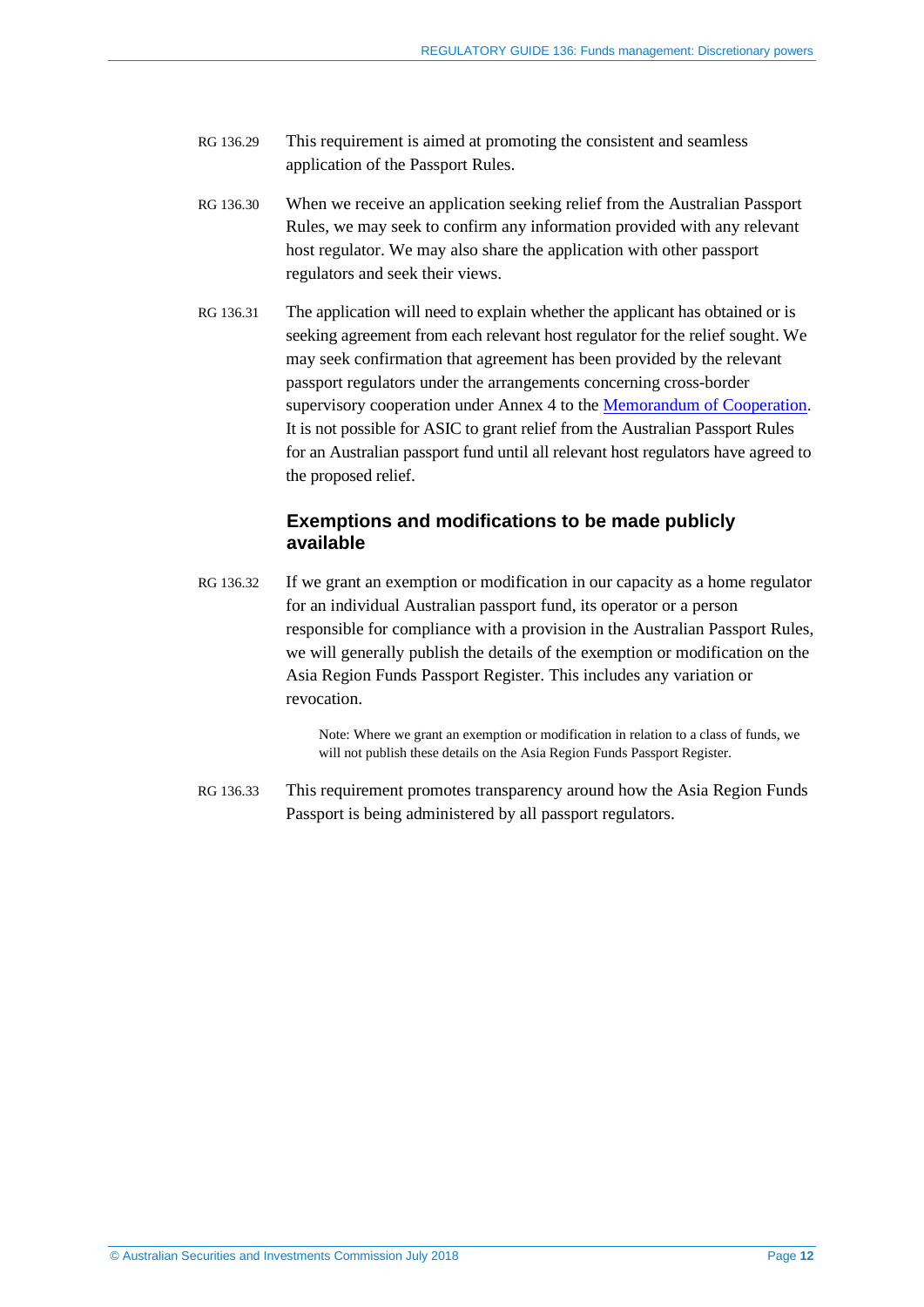- RG 136.29 This requirement is aimed at promoting the consistent and seamless application of the Passport Rules.
- RG 136.30 When we receive an application seeking relief from the Australian Passport Rules, we may seek to confirm any information provided with any relevant host regulator. We may also share the application with other passport regulators and seek their views.
- <span id="page-11-0"></span>RG 136.31 The application will need to explain whether the applicant has obtained or is seeking agreement from each relevant host regulator for the relief sought. We may seek confirmation that agreement has been provided by the relevant passport regulators under the arrangements concerning cross-border supervisory cooperation under Annex 4 to the [Memorandum of Cooperation.](https://fundspassport.apec.org/asia-region-funds-passport-memorandum-of-cooperation/) It is not possible for ASIC to grant relief from the Australian Passport Rules for an Australian passport fund until all relevant host regulators have agreed to the proposed relief.

### **Exemptions and modifications to be made publicly available**

<span id="page-11-1"></span>RG 136.32 If we grant an exemption or modification in our capacity as a home regulator for an individual Australian passport fund, its operator or a person responsible for compliance with a provision in the Australian Passport Rules, we will generally publish the details of the exemption or modification on the Asia Region Funds Passport Register. This includes any variation or revocation.

> Note: Where we grant an exemption or modification in relation to a class of funds, we will not publish these details on the Asia Region Funds Passport Register.

<span id="page-11-2"></span>RG 136.33 This requirement promotes transparency around how the Asia Region Funds Passport is being administered by all passport regulators.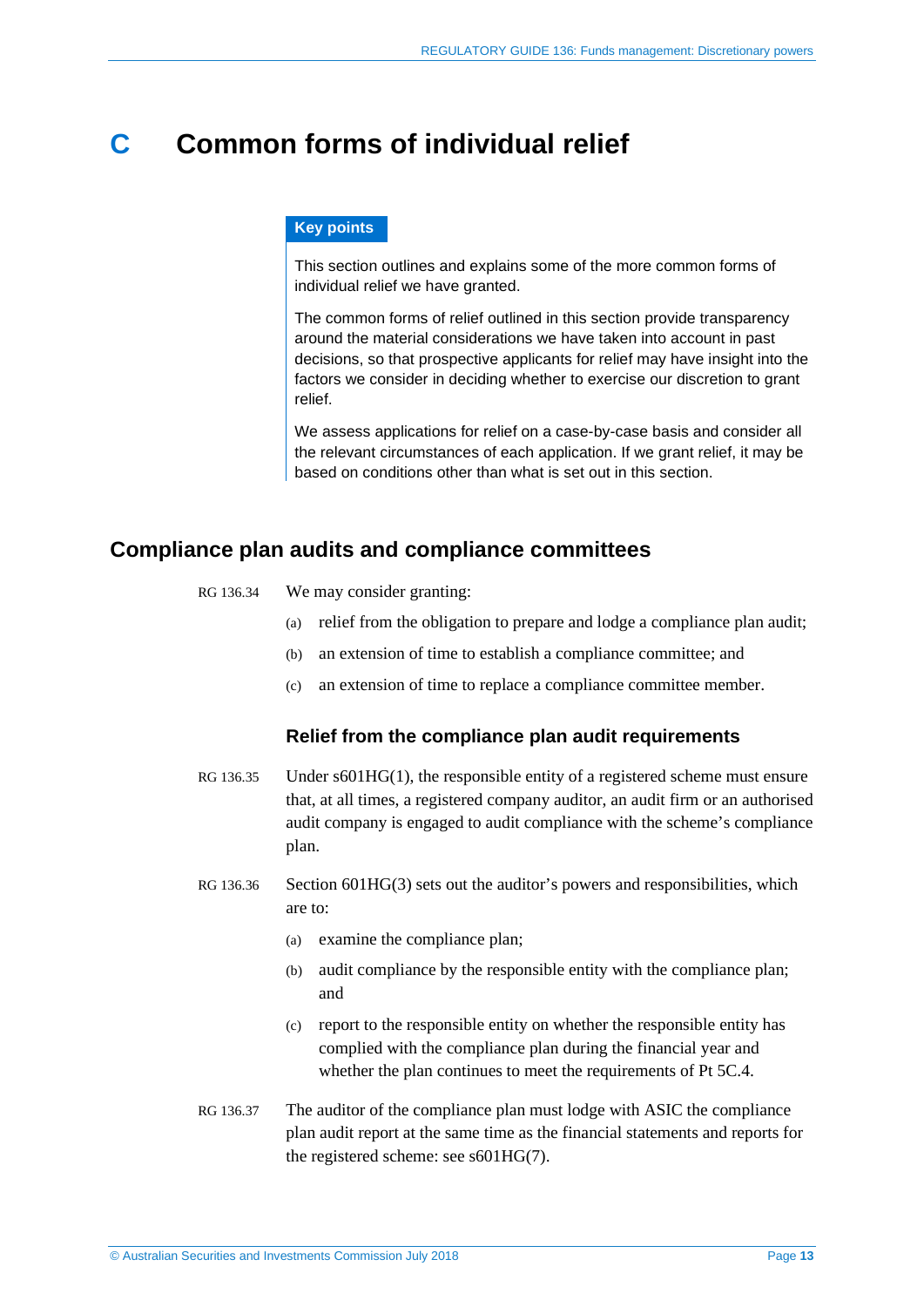## <span id="page-12-0"></span>**C Common forms of individual relief**

#### **Key points**

This section outlines and explains some of the more common forms of individual relief we have granted.

The common forms of relief outlined in this section provide transparency around the material considerations we have taken into account in past decisions, so that prospective applicants for relief may have insight into the factors we consider in deciding whether to exercise our discretion to grant relief.

We assess applications for relief on a case-by-case basis and consider all the relevant circumstances of each application. If we grant relief, it may be based on conditions other than what is set out in this section.

## <span id="page-12-1"></span>**Compliance plan audits and compliance committees**

- RG 136.34 We may consider granting:
	- (a) relief from the obligation to prepare and lodge a compliance plan audit;
	- (b) an extension of time to establish a compliance committee; and
	- (c) an extension of time to replace a compliance committee member.

#### **Relief from the compliance plan audit requirements**

- RG 136.35 Under s601HG(1), the responsible entity of a registered scheme must ensure that, at all times, a registered company auditor, an audit firm or an authorised audit company is engaged to audit compliance with the scheme's compliance plan.
- RG 136.36 Section 601HG(3) sets out the auditor's powers and responsibilities, which are to:
	- (a) examine the compliance plan;
	- (b) audit compliance by the responsible entity with the compliance plan; and
	- (c) report to the responsible entity on whether the responsible entity has complied with the compliance plan during the financial year and whether the plan continues to meet the requirements of Pt 5C.4.
- RG 136.37 The auditor of the compliance plan must lodge with ASIC the compliance plan audit report at the same time as the financial statements and reports for the registered scheme: see s601HG(7).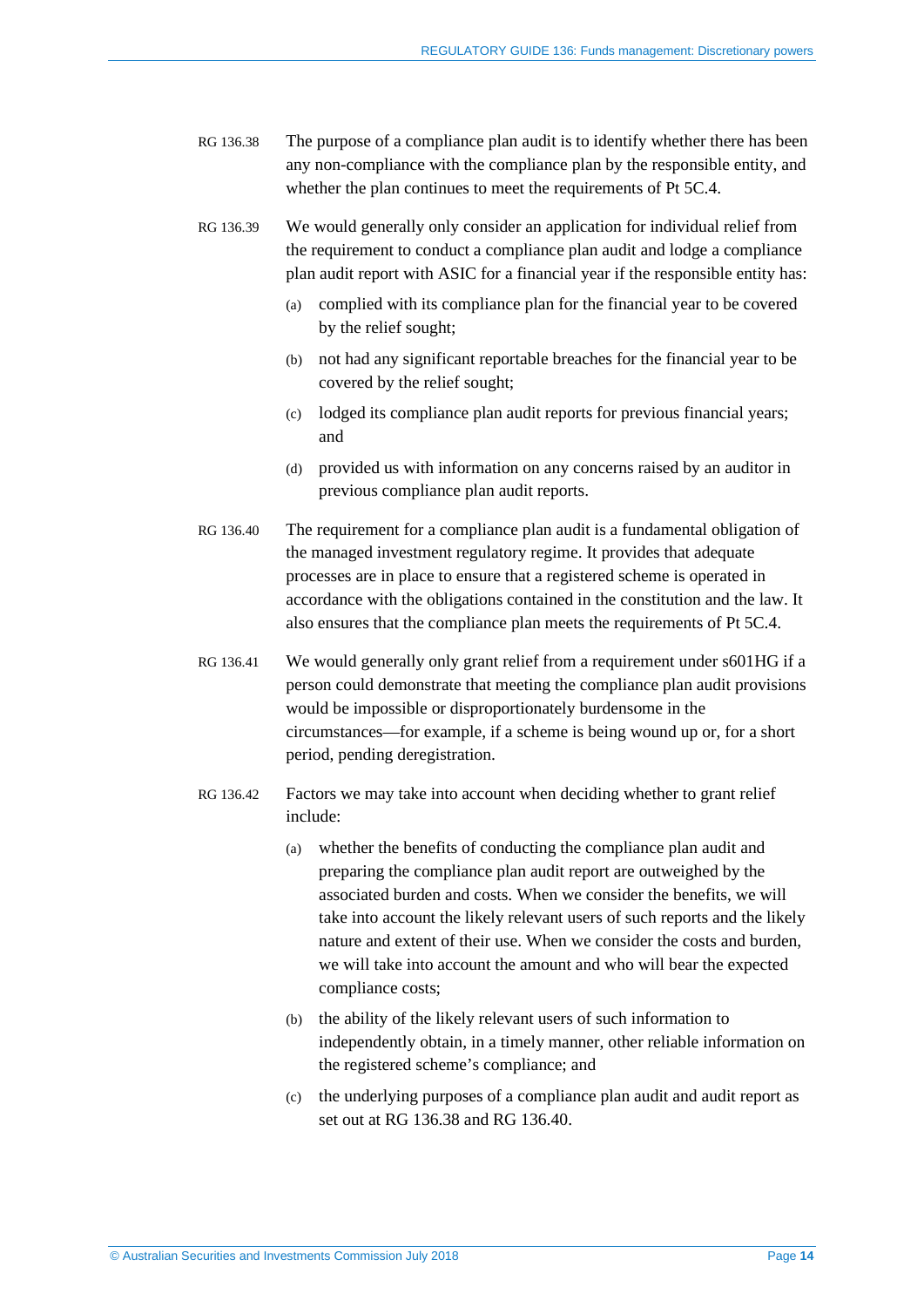- <span id="page-13-0"></span>RG 136.38 The purpose of a compliance plan audit is to identify whether there has been any non-compliance with the compliance plan by the responsible entity, and whether the plan continues to meet the requirements of Pt 5C.4.
- RG 136.39 We would generally only consider an application for individual relief from the requirement to conduct a compliance plan audit and lodge a compliance plan audit report with ASIC for a financial year if the responsible entity has:
	- (a) complied with its compliance plan for the financial year to be covered by the relief sought;
	- (b) not had any significant reportable breaches for the financial year to be covered by the relief sought;
	- (c) lodged its compliance plan audit reports for previous financial years; and
	- (d) provided us with information on any concerns raised by an auditor in previous compliance plan audit reports.
- <span id="page-13-1"></span>RG 136.40 The requirement for a compliance plan audit is a fundamental obligation of the managed investment regulatory regime. It provides that adequate processes are in place to ensure that a registered scheme is operated in accordance with the obligations contained in the constitution and the law. It also ensures that the compliance plan meets the requirements of Pt 5C.4.
- RG 136.41 We would generally only grant relief from a requirement under s601HG if a person could demonstrate that meeting the compliance plan audit provisions would be impossible or disproportionately burdensome in the circumstances—for example, if a scheme is being wound up or, for a short period, pending deregistration.
- RG 136.42 Factors we may take into account when deciding whether to grant relief include:
	- (a) whether the benefits of conducting the compliance plan audit and preparing the compliance plan audit report are outweighed by the associated burden and costs. When we consider the benefits, we will take into account the likely relevant users of such reports and the likely nature and extent of their use. When we consider the costs and burden, we will take into account the amount and who will bear the expected compliance costs;
	- (b) the ability of the likely relevant users of such information to independently obtain, in a timely manner, other reliable information on the registered scheme's compliance; and
	- (c) the underlying purposes of a compliance plan audit and audit report as set out at RG [136.38](#page-13-0) and RG [136.40.](#page-13-1)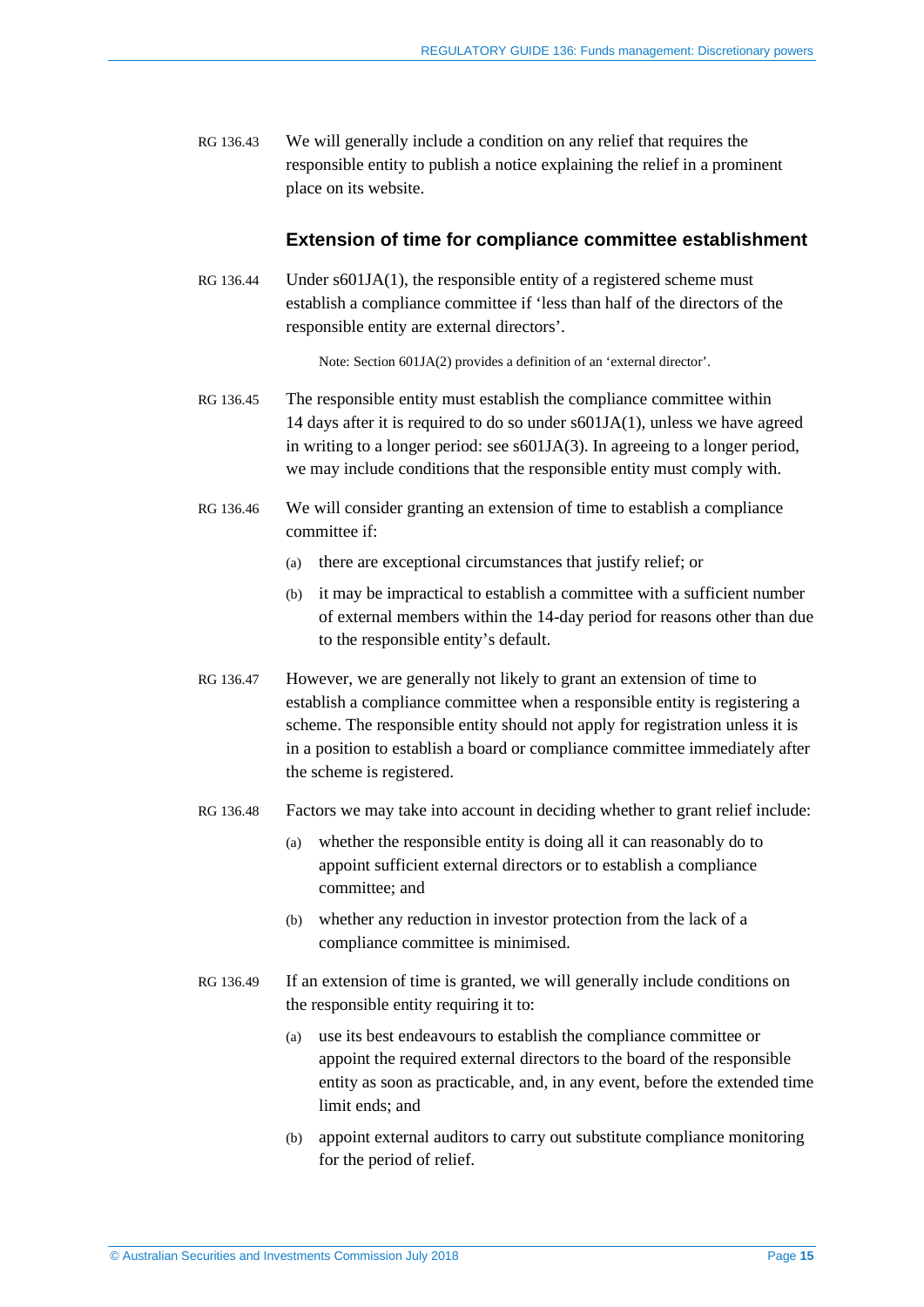RG 136.43 We will generally include a condition on any relief that requires the responsible entity to publish a notice explaining the relief in a prominent place on its website.

#### **Extension of time for compliance committee establishment**

RG 136.44 Under s601JA(1), the responsible entity of a registered scheme must establish a compliance committee if 'less than half of the directors of the responsible entity are external directors'.

Note: Section 601JA(2) provides a definition of an 'external director'.

- RG 136.45 The responsible entity must establish the compliance committee within 14 days after it is required to do so under s601JA(1), unless we have agreed in writing to a longer period: see s601JA(3). In agreeing to a longer period, we may include conditions that the responsible entity must comply with.
- RG 136.46 We will consider granting an extension of time to establish a compliance committee if:
	- (a) there are exceptional circumstances that justify relief; or
	- (b) it may be impractical to establish a committee with a sufficient number of external members within the 14-day period for reasons other than due to the responsible entity's default.
- RG 136.47 However, we are generally not likely to grant an extension of time to establish a compliance committee when a responsible entity is registering a scheme. The responsible entity should not apply for registration unless it is in a position to establish a board or compliance committee immediately after the scheme is registered.
- RG 136.48 Factors we may take into account in deciding whether to grant relief include:
	- (a) whether the responsible entity is doing all it can reasonably do to appoint sufficient external directors or to establish a compliance committee; and
	- (b) whether any reduction in investor protection from the lack of a compliance committee is minimised.
- RG 136.49 If an extension of time is granted, we will generally include conditions on the responsible entity requiring it to:
	- (a) use its best endeavours to establish the compliance committee or appoint the required external directors to the board of the responsible entity as soon as practicable, and, in any event, before the extended time limit ends; and
	- (b) appoint external auditors to carry out substitute compliance monitoring for the period of relief.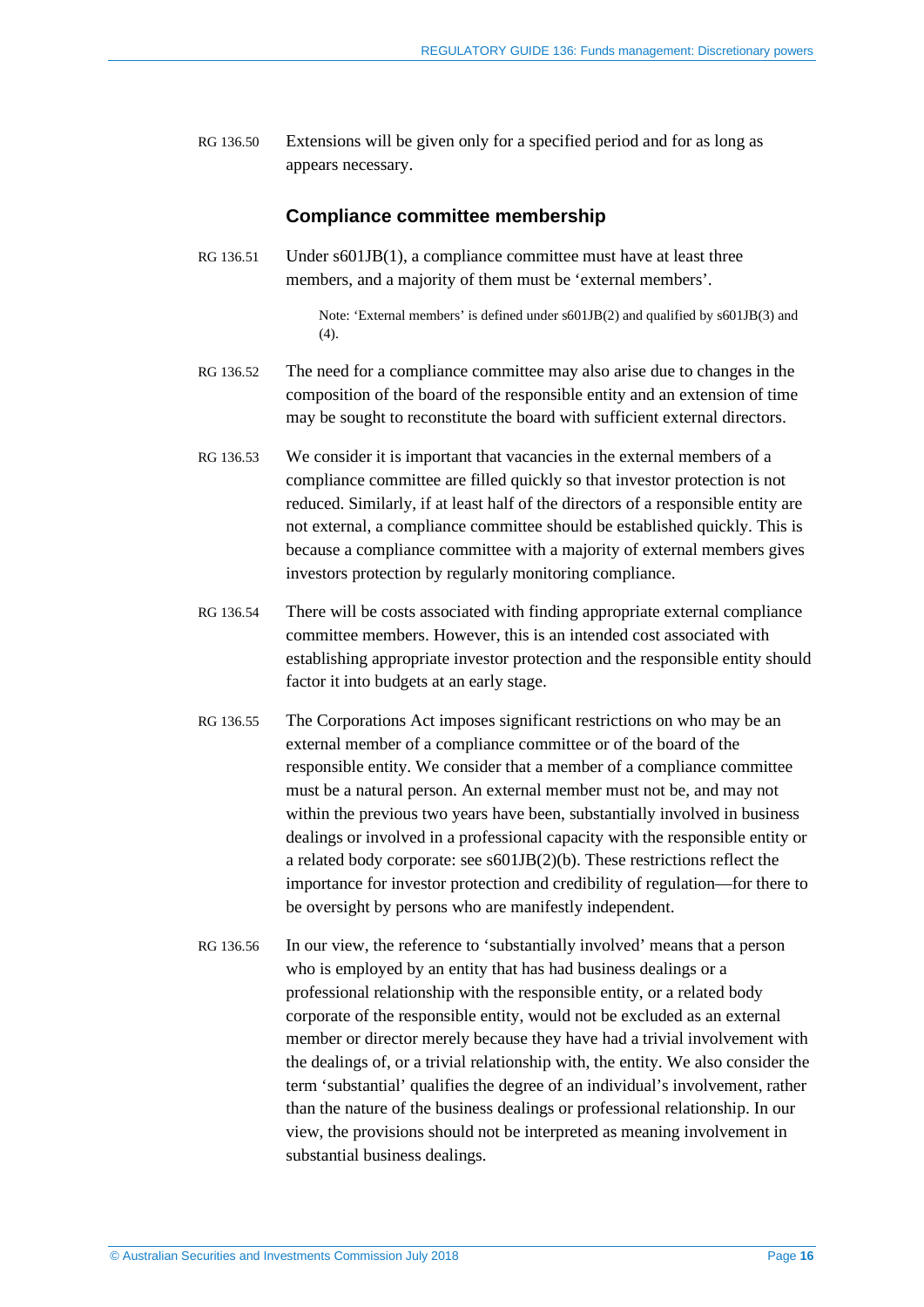RG 136.50 Extensions will be given only for a specified period and for as long as appears necessary.

#### **Compliance committee membership**

RG 136.51 Under s601JB(1), a compliance committee must have at least three members, and a majority of them must be 'external members'.

> Note: 'External members' is defined under s601JB(2) and qualified by s601JB(3) and  $(4)$ .

- RG 136.52 The need for a compliance committee may also arise due to changes in the composition of the board of the responsible entity and an extension of time may be sought to reconstitute the board with sufficient external directors.
- RG 136.53 We consider it is important that vacancies in the external members of a compliance committee are filled quickly so that investor protection is not reduced. Similarly, if at least half of the directors of a responsible entity are not external, a compliance committee should be established quickly. This is because a compliance committee with a majority of external members gives investors protection by regularly monitoring compliance.
- RG 136.54 There will be costs associated with finding appropriate external compliance committee members. However, this is an intended cost associated with establishing appropriate investor protection and the responsible entity should factor it into budgets at an early stage.
- RG 136.55 The Corporations Act imposes significant restrictions on who may be an external member of a compliance committee or of the board of the responsible entity. We consider that a member of a compliance committee must be a natural person. An external member must not be, and may not within the previous two years have been, substantially involved in business dealings or involved in a professional capacity with the responsible entity or a related body corporate: see s601JB(2)(b). These restrictions reflect the importance for investor protection and credibility of regulation—for there to be oversight by persons who are manifestly independent.
- RG 136.56 In our view, the reference to 'substantially involved' means that a person who is employed by an entity that has had business dealings or a professional relationship with the responsible entity, or a related body corporate of the responsible entity, would not be excluded as an external member or director merely because they have had a trivial involvement with the dealings of, or a trivial relationship with, the entity. We also consider the term 'substantial' qualifies the degree of an individual's involvement, rather than the nature of the business dealings or professional relationship. In our view, the provisions should not be interpreted as meaning involvement in substantial business dealings.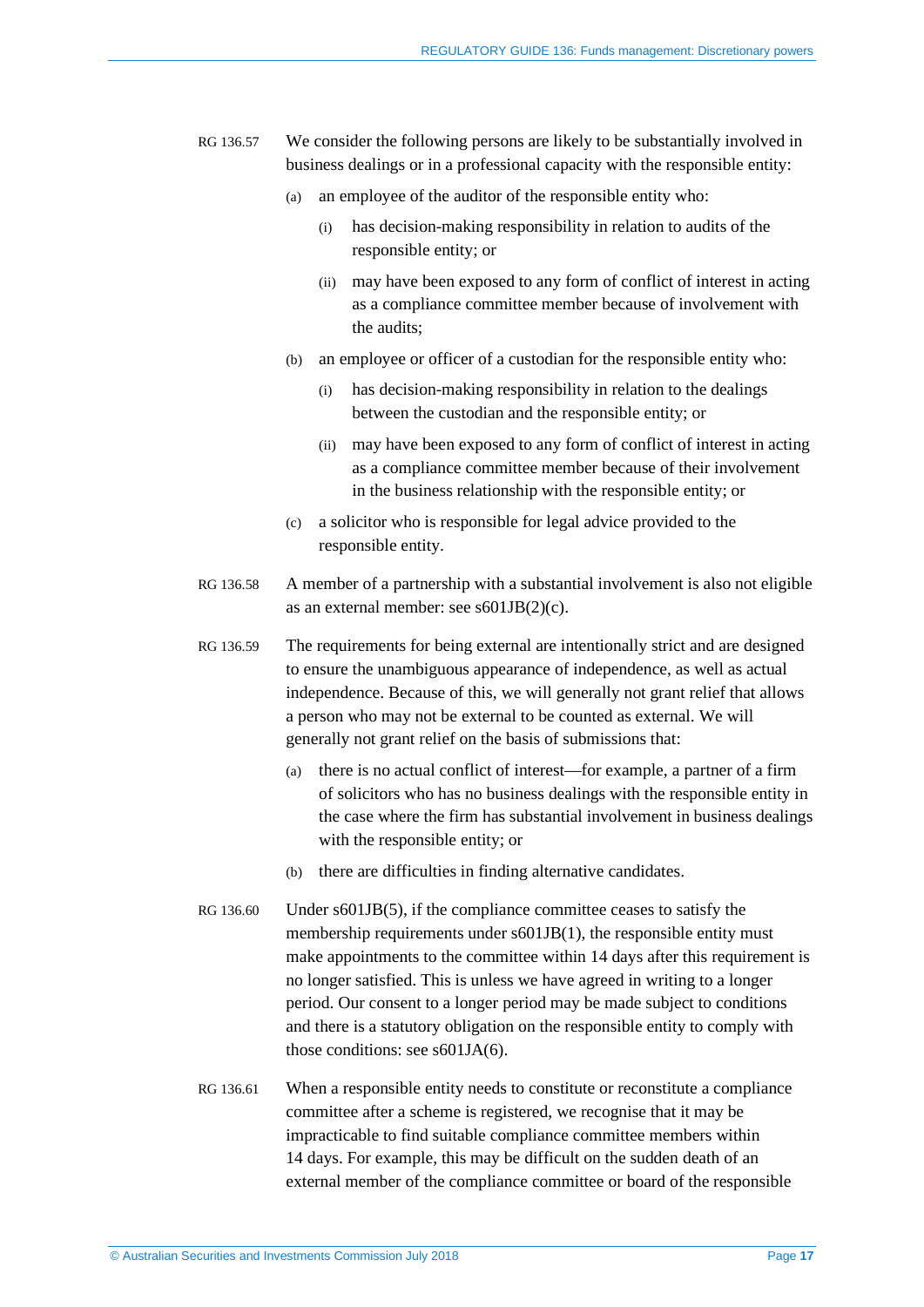- RG 136.57 We consider the following persons are likely to be substantially involved in business dealings or in a professional capacity with the responsible entity:
	- (a) an employee of the auditor of the responsible entity who:
		- (i) has decision-making responsibility in relation to audits of the responsible entity; or
		- (ii) may have been exposed to any form of conflict of interest in acting as a compliance committee member because of involvement with the audits;
	- (b) an employee or officer of a custodian for the responsible entity who:
		- (i) has decision-making responsibility in relation to the dealings between the custodian and the responsible entity; or
		- (ii) may have been exposed to any form of conflict of interest in acting as a compliance committee member because of their involvement in the business relationship with the responsible entity; or
	- (c) a solicitor who is responsible for legal advice provided to the responsible entity.
- RG 136.58 A member of a partnership with a substantial involvement is also not eligible as an external member: see s601JB(2)(c).
- RG 136.59 The requirements for being external are intentionally strict and are designed to ensure the unambiguous appearance of independence, as well as actual independence. Because of this, we will generally not grant relief that allows a person who may not be external to be counted as external. We will generally not grant relief on the basis of submissions that:
	- (a) there is no actual conflict of interest—for example, a partner of a firm of solicitors who has no business dealings with the responsible entity in the case where the firm has substantial involvement in business dealings with the responsible entity; or
	- (b) there are difficulties in finding alternative candidates.
- RG 136.60 Under s601JB(5), if the compliance committee ceases to satisfy the membership requirements under s601JB(1), the responsible entity must make appointments to the committee within 14 days after this requirement is no longer satisfied. This is unless we have agreed in writing to a longer period. Our consent to a longer period may be made subject to conditions and there is a statutory obligation on the responsible entity to comply with those conditions: see s601JA(6).
- <span id="page-16-0"></span>RG 136.61 When a responsible entity needs to constitute or reconstitute a compliance committee after a scheme is registered, we recognise that it may be impracticable to find suitable compliance committee members within 14 days. For example, this may be difficult on the sudden death of an external member of the compliance committee or board of the responsible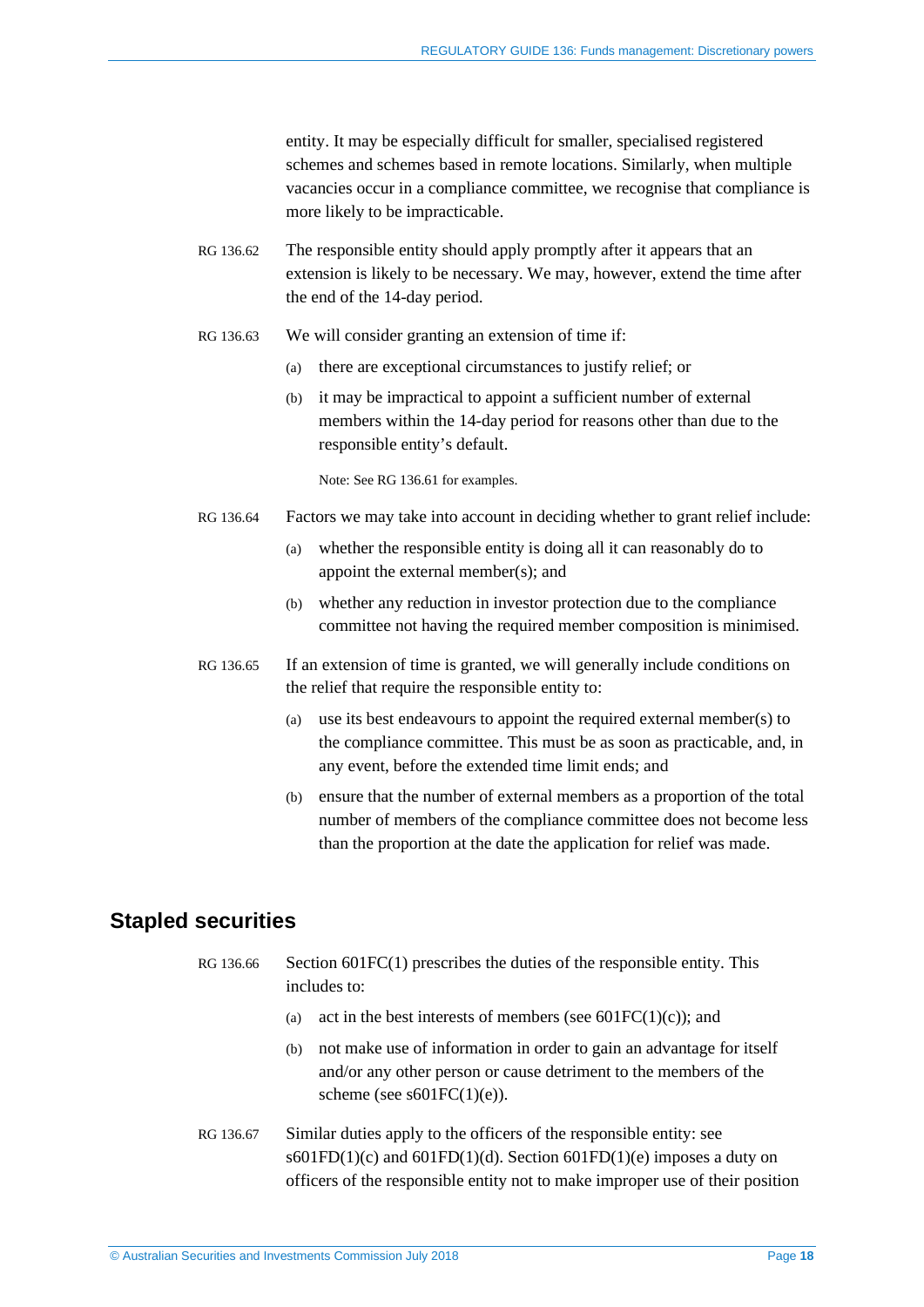entity. It may be especially difficult for smaller, specialised registered schemes and schemes based in remote locations. Similarly, when multiple vacancies occur in a compliance committee, we recognise that compliance is more likely to be impracticable.

- RG 136.62 The responsible entity should apply promptly after it appears that an extension is likely to be necessary. We may, however, extend the time after the end of the 14-day period.
- RG 136.63 We will consider granting an extension of time if:
	- (a) there are exceptional circumstances to justify relief; or
	- (b) it may be impractical to appoint a sufficient number of external members within the 14-day period for reasons other than due to the responsible entity's default.

Note: See RG [136.61](#page-16-0) for examples.

- RG 136.64 Factors we may take into account in deciding whether to grant relief include:
	- (a) whether the responsible entity is doing all it can reasonably do to appoint the external member(s); and
	- (b) whether any reduction in investor protection due to the compliance committee not having the required member composition is minimised.
- RG 136.65 If an extension of time is granted, we will generally include conditions on the relief that require the responsible entity to:
	- (a) use its best endeavours to appoint the required external member(s) to the compliance committee. This must be as soon as practicable, and, in any event, before the extended time limit ends; and
	- (b) ensure that the number of external members as a proportion of the total number of members of the compliance committee does not become less than the proportion at the date the application for relief was made.

## <span id="page-17-0"></span>**Stapled securities**

- RG 136.66 Section 601FC(1) prescribes the duties of the responsible entity. This includes to:
	- (a) act in the best interests of members (see  $601FC(1)(c)$ ); and
	- (b) not make use of information in order to gain an advantage for itself and/or any other person or cause detriment to the members of the scheme (see  $s601FC(1)(e)$ ).
- RG 136.67 Similar duties apply to the officers of the responsible entity: see s601FD(1)(c) and 601FD(1)(d). Section 601FD(1)(e) imposes a duty on officers of the responsible entity not to make improper use of their position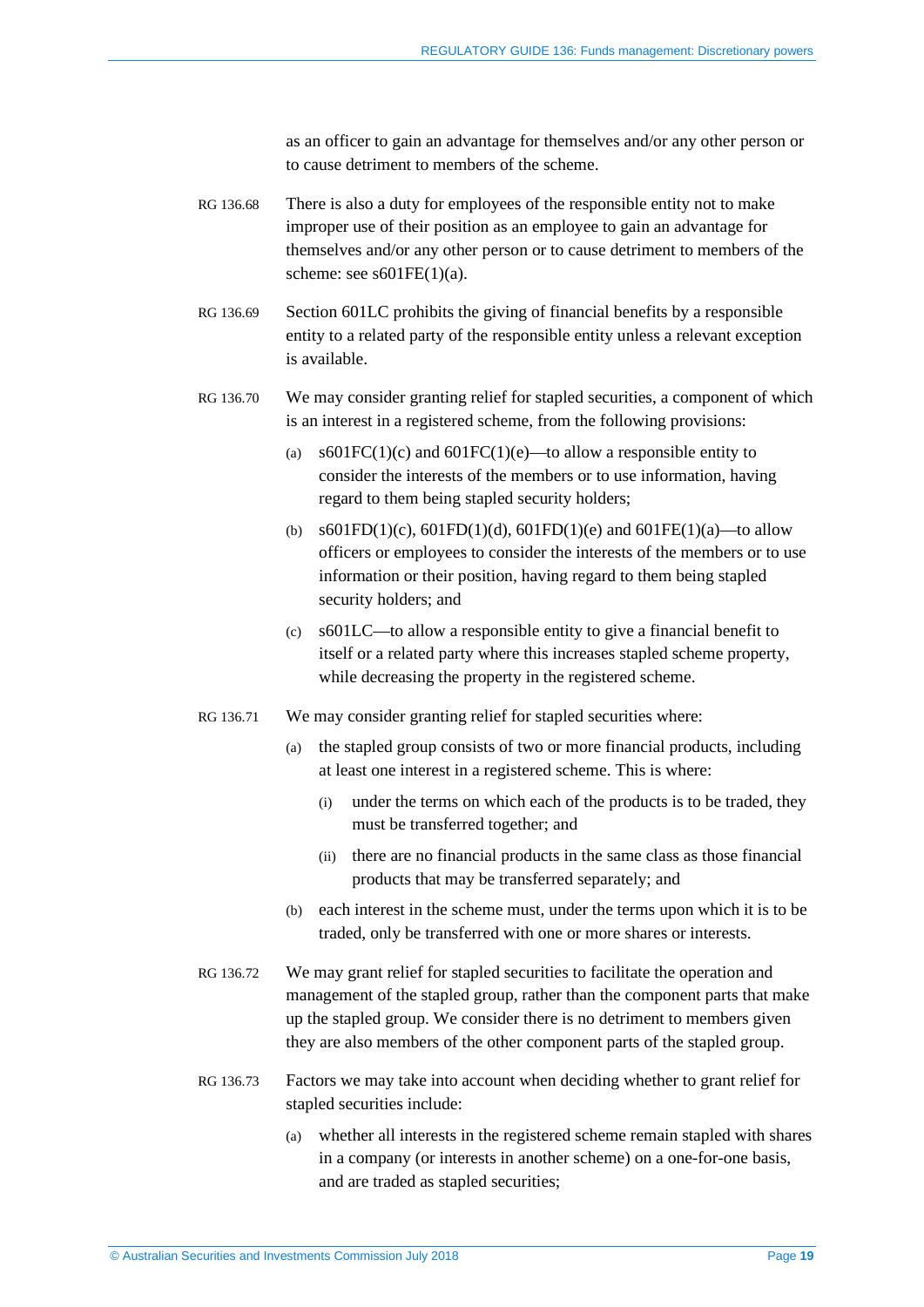as an officer to gain an advantage for themselves and/or any other person or to cause detriment to members of the scheme.

- RG 136.68 There is also a duty for employees of the responsible entity not to make improper use of their position as an employee to gain an advantage for themselves and/or any other person or to cause detriment to members of the scheme: see  $s601FE(1)(a)$ .
- RG 136.69 Section 601LC prohibits the giving of financial benefits by a responsible entity to a related party of the responsible entity unless a relevant exception is available.
- RG 136.70 We may consider granting relief for stapled securities, a component of which is an interest in a registered scheme, from the following provisions:
	- (a) s601FC(1)(c) and 601FC(1)(e)—to allow a responsible entity to consider the interests of the members or to use information, having regard to them being stapled security holders;
	- (b) s601FD(1)(c), 601FD(1)(d), 601FD(1)(e) and 601FE(1)(a)—to allow officers or employees to consider the interests of the members or to use information or their position, having regard to them being stapled security holders; and
	- (c) s601LC—to allow a responsible entity to give a financial benefit to itself or a related party where this increases stapled scheme property, while decreasing the property in the registered scheme.
- RG 136.71 We may consider granting relief for stapled securities where:
	- (a) the stapled group consists of two or more financial products, including at least one interest in a registered scheme. This is where:
		- (i) under the terms on which each of the products is to be traded, they must be transferred together; and
		- (ii) there are no financial products in the same class as those financial products that may be transferred separately; and
	- (b) each interest in the scheme must, under the terms upon which it is to be traded, only be transferred with one or more shares or interests.
- RG 136.72 We may grant relief for stapled securities to facilitate the operation and management of the stapled group, rather than the component parts that make up the stapled group. We consider there is no detriment to members given they are also members of the other component parts of the stapled group.
- RG 136.73 Factors we may take into account when deciding whether to grant relief for stapled securities include:
	- (a) whether all interests in the registered scheme remain stapled with shares in a company (or interests in another scheme) on a one-for-one basis, and are traded as stapled securities;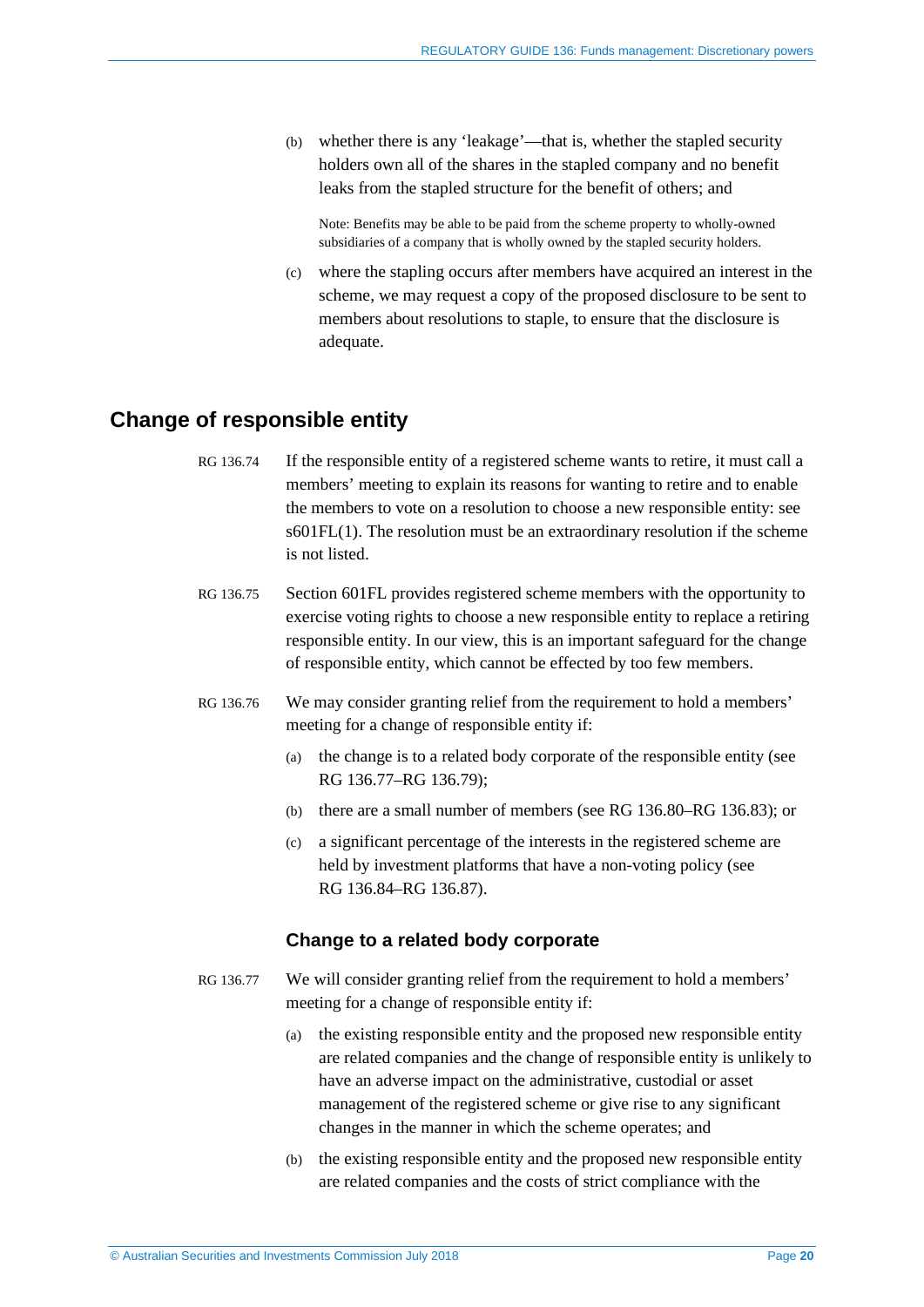(b) whether there is any 'leakage'—that is, whether the stapled security holders own all of the shares in the stapled company and no benefit leaks from the stapled structure for the benefit of others; and

Note: Benefits may be able to be paid from the scheme property to wholly-owned subsidiaries of a company that is wholly owned by the stapled security holders.

(c) where the stapling occurs after members have acquired an interest in the scheme, we may request a copy of the proposed disclosure to be sent to members about resolutions to staple, to ensure that the disclosure is adequate.

## <span id="page-19-0"></span>**Change of responsible entity**

- RG 136.74 If the responsible entity of a registered scheme wants to retire, it must call a members' meeting to explain its reasons for wanting to retire and to enable the members to vote on a resolution to choose a new responsible entity: see s601FL(1). The resolution must be an extraordinary resolution if the scheme is not listed.
- RG 136.75 Section 601FL provides registered scheme members with the opportunity to exercise voting rights to choose a new responsible entity to replace a retiring responsible entity. In our view, this is an important safeguard for the change of responsible entity, which cannot be effected by too few members.
- RG 136.76 We may consider granting relief from the requirement to hold a members' meeting for a change of responsible entity if:
	- (a) the change is to a related body corporate of the responsible entity (see RG [136.77–](#page-19-1)RG [136.79\)](#page-20-0);
	- (b) there are a small number of members (see RG [136.80–](#page-20-1)RG [136.83\)](#page-21-0); or
	- (c) a significant percentage of the interests in the registered scheme are held by investment platforms that have a non-voting policy (see RG [136.84–](#page-21-1)RG [136.87\)](#page-22-1).

#### **Change to a related body corporate**

- <span id="page-19-1"></span>RG 136.77 We will consider granting relief from the requirement to hold a members' meeting for a change of responsible entity if:
	- (a) the existing responsible entity and the proposed new responsible entity are related companies and the change of responsible entity is unlikely to have an adverse impact on the administrative, custodial or asset management of the registered scheme or give rise to any significant changes in the manner in which the scheme operates; and
	- (b) the existing responsible entity and the proposed new responsible entity are related companies and the costs of strict compliance with the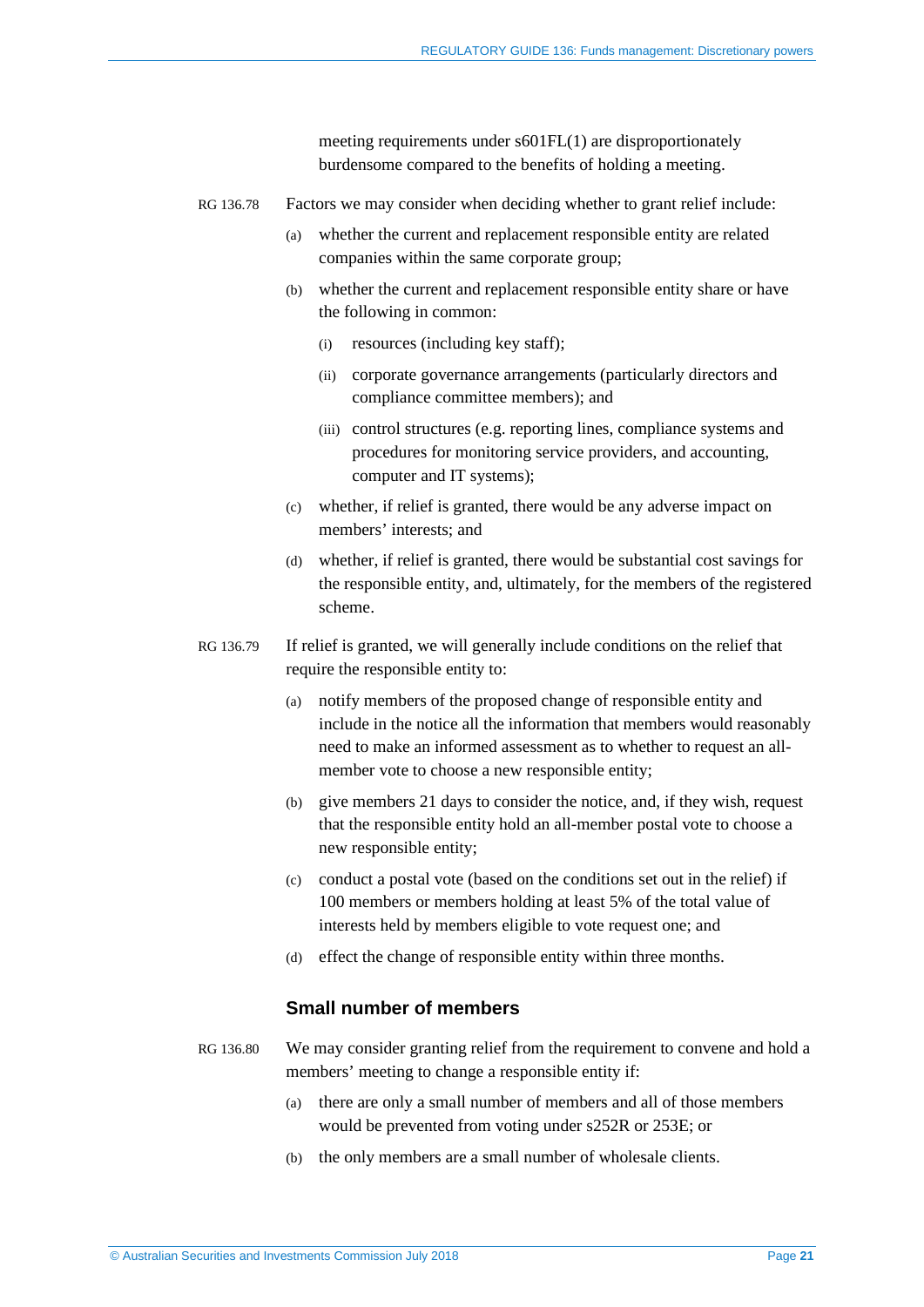meeting requirements under s601FL(1) are disproportionately burdensome compared to the benefits of holding a meeting.

- RG 136.78 Factors we may consider when deciding whether to grant relief include:
	- (a) whether the current and replacement responsible entity are related companies within the same corporate group;
	- (b) whether the current and replacement responsible entity share or have the following in common:
		- (i) resources (including key staff);
		- (ii) corporate governance arrangements (particularly directors and compliance committee members); and
		- (iii) control structures (e.g. reporting lines, compliance systems and procedures for monitoring service providers, and accounting, computer and IT systems);
	- (c) whether, if relief is granted, there would be any adverse impact on members' interests; and
	- (d) whether, if relief is granted, there would be substantial cost savings for the responsible entity, and, ultimately, for the members of the registered scheme.
- <span id="page-20-0"></span>RG 136.79 If relief is granted, we will generally include conditions on the relief that require the responsible entity to:
	- (a) notify members of the proposed change of responsible entity and include in the notice all the information that members would reasonably need to make an informed assessment as to whether to request an allmember vote to choose a new responsible entity;
	- (b) give members 21 days to consider the notice, and, if they wish, request that the responsible entity hold an all-member postal vote to choose a new responsible entity;
	- (c) conduct a postal vote (based on the conditions set out in the relief) if 100 members or members holding at least 5% of the total value of interests held by members eligible to vote request one; and
	- (d) effect the change of responsible entity within three months.

#### **Small number of members**

- <span id="page-20-1"></span>RG 136.80 We may consider granting relief from the requirement to convene and hold a members' meeting to change a responsible entity if:
	- (a) there are only a small number of members and all of those members would be prevented from voting under s252R or 253E; or
	- (b) the only members are a small number of wholesale clients.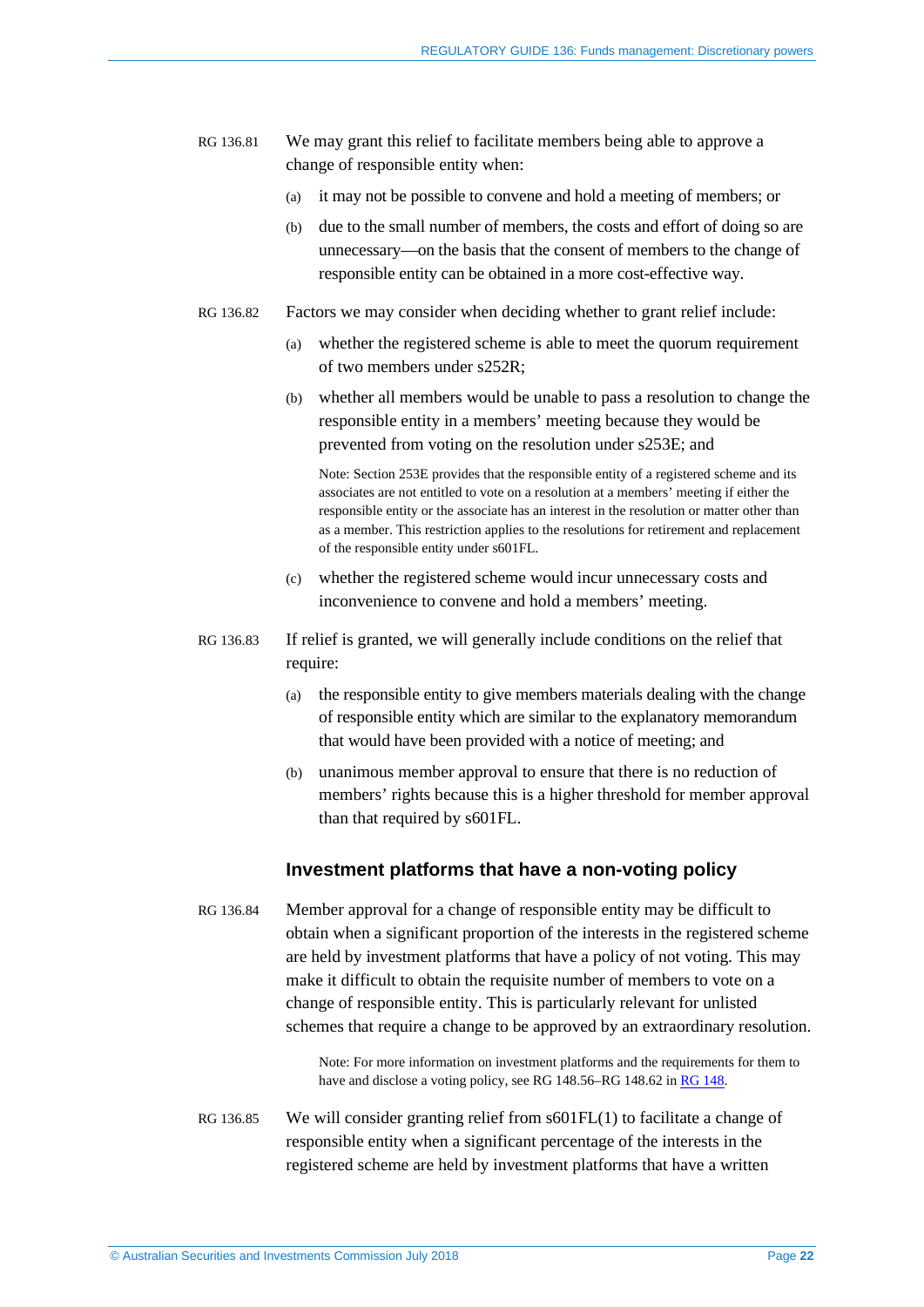- RG 136.81 We may grant this relief to facilitate members being able to approve a change of responsible entity when:
	- (a) it may not be possible to convene and hold a meeting of members; or
	- (b) due to the small number of members, the costs and effort of doing so are unnecessary—on the basis that the consent of members to the change of responsible entity can be obtained in a more cost-effective way.
- RG 136.82 Factors we may consider when deciding whether to grant relief include:
	- (a) whether the registered scheme is able to meet the quorum requirement of two members under s252R;
	- (b) whether all members would be unable to pass a resolution to change the responsible entity in a members' meeting because they would be prevented from voting on the resolution under s253E; and

Note: Section 253E provides that the responsible entity of a registered scheme and its associates are not entitled to vote on a resolution at a members' meeting if either the responsible entity or the associate has an interest in the resolution or matter other than as a member. This restriction applies to the resolutions for retirement and replacement of the responsible entity under s601FL.

- (c) whether the registered scheme would incur unnecessary costs and inconvenience to convene and hold a members' meeting.
- <span id="page-21-0"></span>RG 136.83 If relief is granted, we will generally include conditions on the relief that require:
	- (a) the responsible entity to give members materials dealing with the change of responsible entity which are similar to the explanatory memorandum that would have been provided with a notice of meeting; and
	- (b) unanimous member approval to ensure that there is no reduction of members' rights because this is a higher threshold for member approval than that required by s601FL.

#### **Investment platforms that have a non-voting policy**

<span id="page-21-1"></span>RG 136.84 Member approval for a change of responsible entity may be difficult to obtain when a significant proportion of the interests in the registered scheme are held by investment platforms that have a policy of not voting. This may make it difficult to obtain the requisite number of members to vote on a change of responsible entity. This is particularly relevant for unlisted schemes that require a change to be approved by an extraordinary resolution.

> Note: For more information on investment platforms and the requirements for them to have and disclose a voting policy, see RG 148.56–RG 148.62 i[n RG 148.](https://asic.gov.au/regulatory-resources/find-a-document/regulatory-guides/rg-148-platforms-that-are-managed-investment-schemes-and-nominee-and-custody-services/)

RG 136.85 We will consider granting relief from s601FL(1) to facilitate a change of responsible entity when a significant percentage of the interests in the registered scheme are held by investment platforms that have a written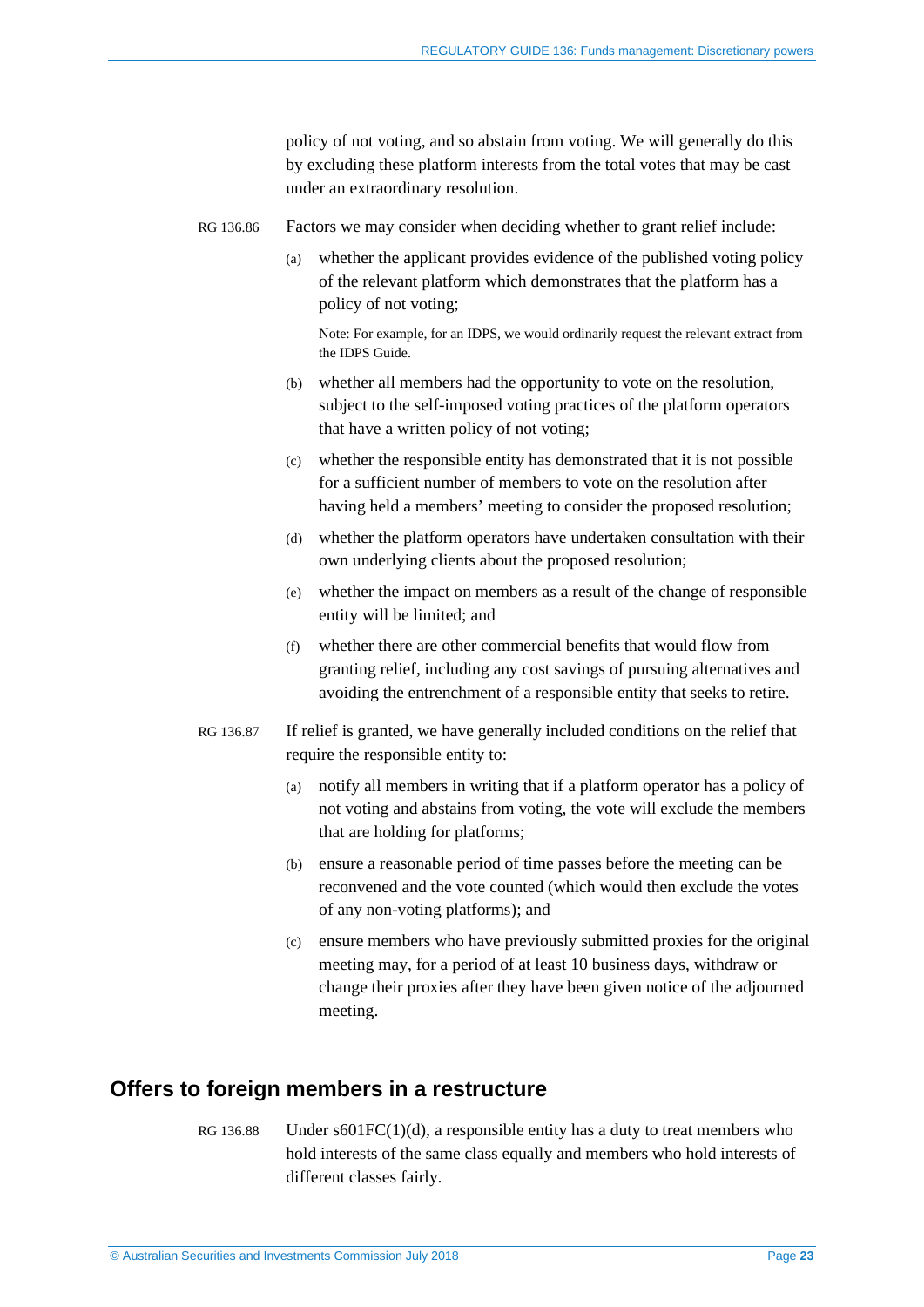policy of not voting, and so abstain from voting. We will generally do this by excluding these platform interests from the total votes that may be cast under an extraordinary resolution.

- RG 136.86 Factors we may consider when deciding whether to grant relief include:
	- (a) whether the applicant provides evidence of the published voting policy of the relevant platform which demonstrates that the platform has a policy of not voting;

Note: For example, for an IDPS, we would ordinarily request the relevant extract from the IDPS Guide.

- (b) whether all members had the opportunity to vote on the resolution, subject to the self-imposed voting practices of the platform operators that have a written policy of not voting;
- (c) whether the responsible entity has demonstrated that it is not possible for a sufficient number of members to vote on the resolution after having held a members' meeting to consider the proposed resolution;
- (d) whether the platform operators have undertaken consultation with their own underlying clients about the proposed resolution;
- (e) whether the impact on members as a result of the change of responsible entity will be limited; and
- (f) whether there are other commercial benefits that would flow from granting relief, including any cost savings of pursuing alternatives and avoiding the entrenchment of a responsible entity that seeks to retire.
- <span id="page-22-1"></span>RG 136.87 If relief is granted, we have generally included conditions on the relief that require the responsible entity to:
	- (a) notify all members in writing that if a platform operator has a policy of not voting and abstains from voting, the vote will exclude the members that are holding for platforms;
	- (b) ensure a reasonable period of time passes before the meeting can be reconvened and the vote counted (which would then exclude the votes of any non-voting platforms); and
	- (c) ensure members who have previously submitted proxies for the original meeting may, for a period of at least 10 business days, withdraw or change their proxies after they have been given notice of the adjourned meeting.

## <span id="page-22-0"></span>**Offers to foreign members in a restructure**

RG 136.88 Under  $s601FC(1)(d)$ , a responsible entity has a duty to treat members who hold interests of the same class equally and members who hold interests of different classes fairly.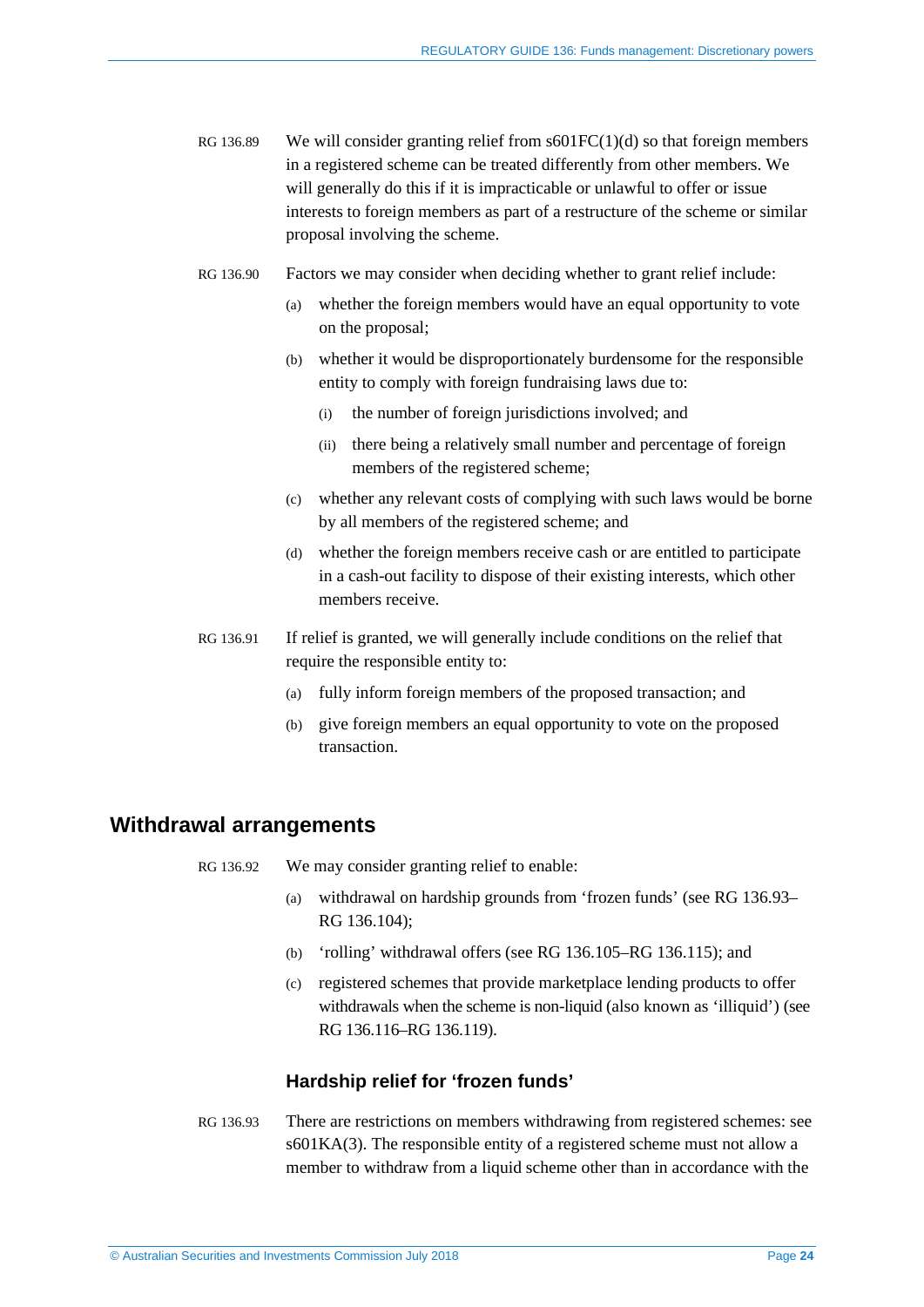- RG 136.89 We will consider granting relief from  $s601FC(1)(d)$  so that foreign members in a registered scheme can be treated differently from other members. We will generally do this if it is impracticable or unlawful to offer or issue interests to foreign members as part of a restructure of the scheme or similar proposal involving the scheme.
- RG 136.90 Factors we may consider when deciding whether to grant relief include:
	- (a) whether the foreign members would have an equal opportunity to vote on the proposal;
	- (b) whether it would be disproportionately burdensome for the responsible entity to comply with foreign fundraising laws due to:
		- (i) the number of foreign jurisdictions involved; and
		- (ii) there being a relatively small number and percentage of foreign members of the registered scheme;
	- (c) whether any relevant costs of complying with such laws would be borne by all members of the registered scheme; and
	- (d) whether the foreign members receive cash or are entitled to participate in a cash-out facility to dispose of their existing interests, which other members receive.
- RG 136.91 If relief is granted, we will generally include conditions on the relief that require the responsible entity to:
	- (a) fully inform foreign members of the proposed transaction; and
	- (b) give foreign members an equal opportunity to vote on the proposed transaction.

## <span id="page-23-1"></span><span id="page-23-0"></span>**Withdrawal arrangements**

- RG 136.92 We may consider granting relief to enable:
	- (a) withdrawal on hardship grounds from 'frozen funds' (see RG [136.93–](#page-23-2) RG [136.104\)](#page-27-0);
	- (b) 'rolling' withdrawal offers (see RG [136.105–](#page-27-1)RG [136.115\)](#page-29-0); and
	- (c) registered schemes that provide marketplace lending products to offer withdrawals when the scheme is non-liquid (also known as 'illiquid') (see RG [136.116–](#page-29-1)RG [136.119\)](#page-30-0).

### **Hardship relief for 'frozen funds'**

<span id="page-23-2"></span>RG 136.93 There are restrictions on members withdrawing from registered schemes: see s601KA(3). The responsible entity of a registered scheme must not allow a member to withdraw from a liquid scheme other than in accordance with the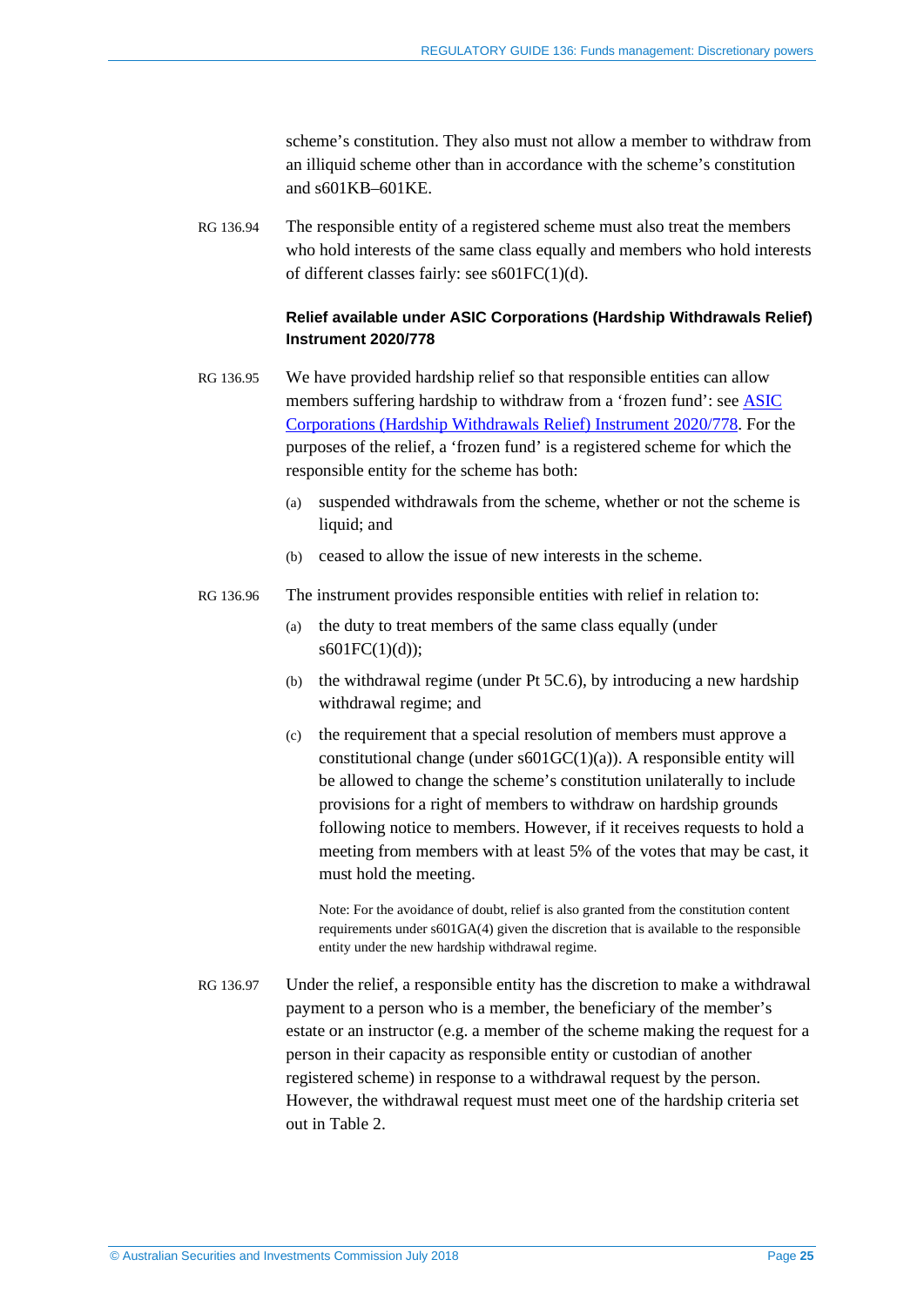scheme's constitution. They also must not allow a member to withdraw from an illiquid scheme other than in accordance with the scheme's constitution and s601KB–601KE.

RG 136.94 The responsible entity of a registered scheme must also treat the members who hold interests of the same class equally and members who hold interests of different classes fairly: see s601FC(1)(d).

#### **Relief available under ASIC Corporations (Hardship Withdrawals Relief) Instrument 2020/778**

- RG 136.95 We have provided hardship relief so that responsible entities can allow members suffering hardship to withdraw from a 'frozen fund': see [ASIC](https://asic.gov.au/regulatory-resources/find-a-document/legislative-instruments/2020-legislative-instruments/#LI2020-778) [Corporations \(Hardship Withdrawals Relief\) Instrument 2020/778.](https://asic.gov.au/regulatory-resources/find-a-document/legislative-instruments/2020-legislative-instruments/#LI2020-778) For the purposes of the relief, a 'frozen fund' is a registered scheme for which the responsible entity for the scheme has both:
	- (a) suspended withdrawals from the scheme, whether or not the scheme is liquid; and
	- (b) ceased to allow the issue of new interests in the scheme.
- RG 136.96 The instrument provides responsible entities with relief in relation to:
	- (a) the duty to treat members of the same class equally (under  $s601FC(1)(d)$ ;
	- (b) the withdrawal regime (under Pt 5C.6), by introducing a new hardship withdrawal regime; and
	- (c) the requirement that a special resolution of members must approve a constitutional change (under  $s601GC(1)(a)$ ). A responsible entity will be allowed to change the scheme's constitution unilaterally to include provisions for a right of members to withdraw on hardship grounds following notice to members. However, if it receives requests to hold a meeting from members with at least 5% of the votes that may be cast, it must hold the meeting.

Note: For the avoidance of doubt, relief is also granted from the constitution content requirements under s601GA(4) given the discretion that is available to the responsible entity under the new hardship withdrawal regime.

RG 136.97 Under the relief, a responsible entity has the discretion to make a withdrawal payment to a person who is a member, the beneficiary of the member's estate or an instructor (e.g. a member of the scheme making the request for a person in their capacity as responsible entity or custodian of another registered scheme) in response to a withdrawal request by the person. However, the withdrawal request must meet one of the hardship criteria set out in [Table 2.](#page-25-0)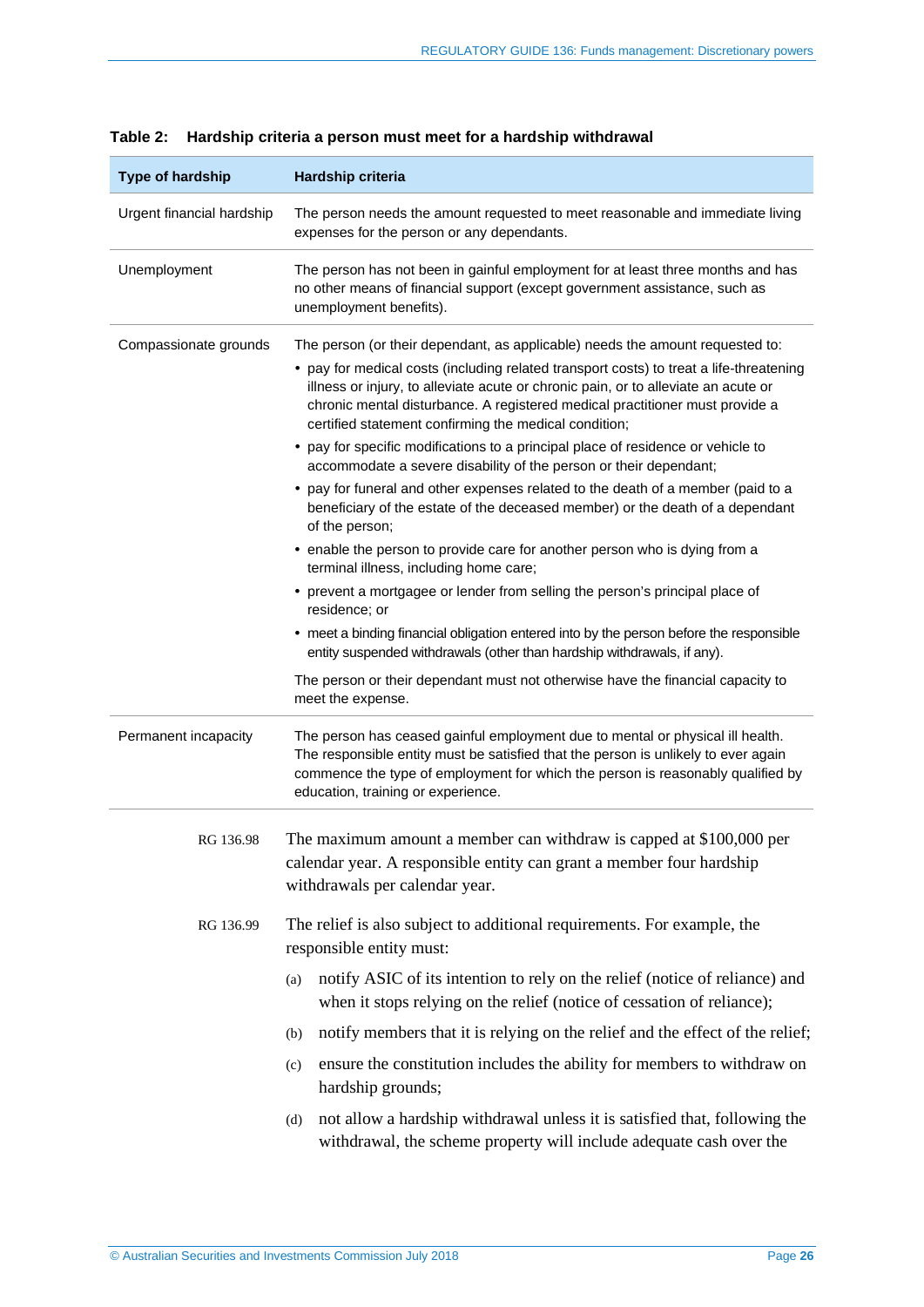| <b>Type of hardship</b>   | Hardship criteria                                                                                                                                                                                                                                                                                                                                                                                                                                                                                                                                                                                                                                                                                                                                                                                                                                                                                                                                                                |  |  |  |
|---------------------------|----------------------------------------------------------------------------------------------------------------------------------------------------------------------------------------------------------------------------------------------------------------------------------------------------------------------------------------------------------------------------------------------------------------------------------------------------------------------------------------------------------------------------------------------------------------------------------------------------------------------------------------------------------------------------------------------------------------------------------------------------------------------------------------------------------------------------------------------------------------------------------------------------------------------------------------------------------------------------------|--|--|--|
| Urgent financial hardship | The person needs the amount requested to meet reasonable and immediate living<br>expenses for the person or any dependants.                                                                                                                                                                                                                                                                                                                                                                                                                                                                                                                                                                                                                                                                                                                                                                                                                                                      |  |  |  |
| Unemployment              | The person has not been in gainful employment for at least three months and has<br>no other means of financial support (except government assistance, such as<br>unemployment benefits).                                                                                                                                                                                                                                                                                                                                                                                                                                                                                                                                                                                                                                                                                                                                                                                         |  |  |  |
| Compassionate grounds     | The person (or their dependant, as applicable) needs the amount requested to:<br>• pay for medical costs (including related transport costs) to treat a life-threatening<br>illness or injury, to alleviate acute or chronic pain, or to alleviate an acute or<br>chronic mental disturbance. A registered medical practitioner must provide a<br>certified statement confirming the medical condition;<br>• pay for specific modifications to a principal place of residence or vehicle to<br>accommodate a severe disability of the person or their dependant;<br>• pay for funeral and other expenses related to the death of a member (paid to a<br>beneficiary of the estate of the deceased member) or the death of a dependant<br>of the person;<br>• enable the person to provide care for another person who is dying from a<br>terminal illness, including home care;<br>• prevent a mortgagee or lender from selling the person's principal place of<br>residence; or |  |  |  |
|                           | • meet a binding financial obligation entered into by the person before the responsible<br>entity suspended withdrawals (other than hardship withdrawals, if any).<br>The person or their dependant must not otherwise have the financial capacity to<br>meet the expense.                                                                                                                                                                                                                                                                                                                                                                                                                                                                                                                                                                                                                                                                                                       |  |  |  |
| Permanent incapacity      | The person has ceased gainful employment due to mental or physical ill health.<br>The responsible entity must be satisfied that the person is unlikely to ever again<br>commence the type of employment for which the person is reasonably qualified by<br>education, training or experience.                                                                                                                                                                                                                                                                                                                                                                                                                                                                                                                                                                                                                                                                                    |  |  |  |
| RG 136.98                 | The maximum amount a member can withdraw is capped at \$100,000 per<br>calendar year. A responsible entity can grant a member four hardship<br>withdrawals per calendar year.                                                                                                                                                                                                                                                                                                                                                                                                                                                                                                                                                                                                                                                                                                                                                                                                    |  |  |  |
| RG 136.99                 | The relief is also subject to additional requirements. For example, the<br>responsible entity must:<br>notify ASIC of its intention to rely on the relief (notice of reliance) and<br>(a)<br>when it stops relying on the relief (notice of cessation of reliance);<br>notify members that it is relying on the relief and the effect of the relief;<br>(b)<br>ensure the constitution includes the ability for members to withdraw on<br>(c)<br>hardship grounds;                                                                                                                                                                                                                                                                                                                                                                                                                                                                                                               |  |  |  |
|                           | not allow a hardship withdrawal unless it is satisfied that, following the<br>(d)<br>withdrawal, the scheme property will include adequate cash over the                                                                                                                                                                                                                                                                                                                                                                                                                                                                                                                                                                                                                                                                                                                                                                                                                         |  |  |  |

<span id="page-25-0"></span>

|  |  |  |  |  |  |  | Table 2: Hardship criteria a person must meet for a hardship withdrawal |
|--|--|--|--|--|--|--|-------------------------------------------------------------------------|
|--|--|--|--|--|--|--|-------------------------------------------------------------------------|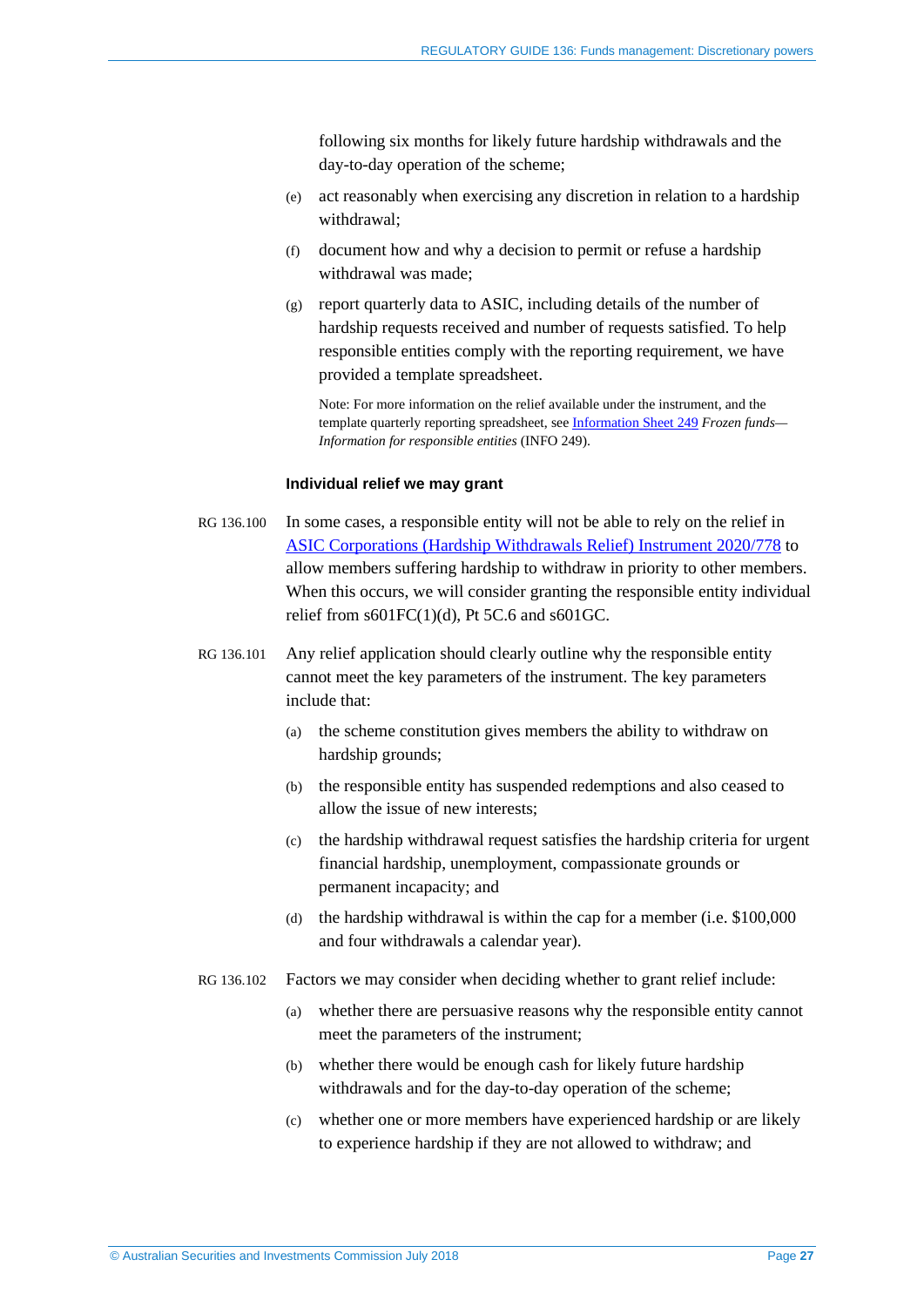following six months for likely future hardship withdrawals and the day-to-day operation of the scheme;

- (e) act reasonably when exercising any discretion in relation to a hardship withdrawal;
- (f) document how and why a decision to permit or refuse a hardship withdrawal was made;
- (g) report quarterly data to ASIC, including details of the number of hardship requests received and number of requests satisfied. To help responsible entities comply with the reporting requirement, we have provided a template spreadsheet.

Note: For more information on the relief available under the instrument, and the template quarterly reporting spreadsheet, see [Information Sheet 249](http://www.asic.gov.au/for-finance-professionals/fund-operators/running-a-fund/requirements-when-running-a-managed-investment-scheme/frozen-funds-information-for-responsible-entities/) *Frozen funds— Information for responsible entities* (INFO 249).

#### **Individual relief we may grant**

- RG 136.100 In some cases, a responsible entity will not be able to rely on the relief in [ASIC Corporations \(Hardship Withdrawals Relief\) Instrument 2020/778](https://asic.gov.au/regulatory-resources/find-a-document/legislative-instruments/2020-legislative-instruments/#LI2020-778) to allow members suffering hardship to withdraw in priority to other members. When this occurs, we will consider granting the responsible entity individual relief from  $s601FC(1)(d)$ , Pt 5C.6 and  $s601GC$ .
- RG 136.101 Any relief application should clearly outline why the responsible entity cannot meet the key parameters of the instrument. The key parameters include that:
	- (a) the scheme constitution gives members the ability to withdraw on hardship grounds;
	- (b) the responsible entity has suspended redemptions and also ceased to allow the issue of new interests;
	- (c) the hardship withdrawal request satisfies the hardship criteria for urgent financial hardship, unemployment, compassionate grounds or permanent incapacity; and
	- (d) the hardship withdrawal is within the cap for a member (i.e. \$100,000 and four withdrawals a calendar year).
- RG 136.102 Factors we may consider when deciding whether to grant relief include:
	- (a) whether there are persuasive reasons why the responsible entity cannot meet the parameters of the instrument;
	- (b) whether there would be enough cash for likely future hardship withdrawals and for the day-to-day operation of the scheme;
	- (c) whether one or more members have experienced hardship or are likely to experience hardship if they are not allowed to withdraw; and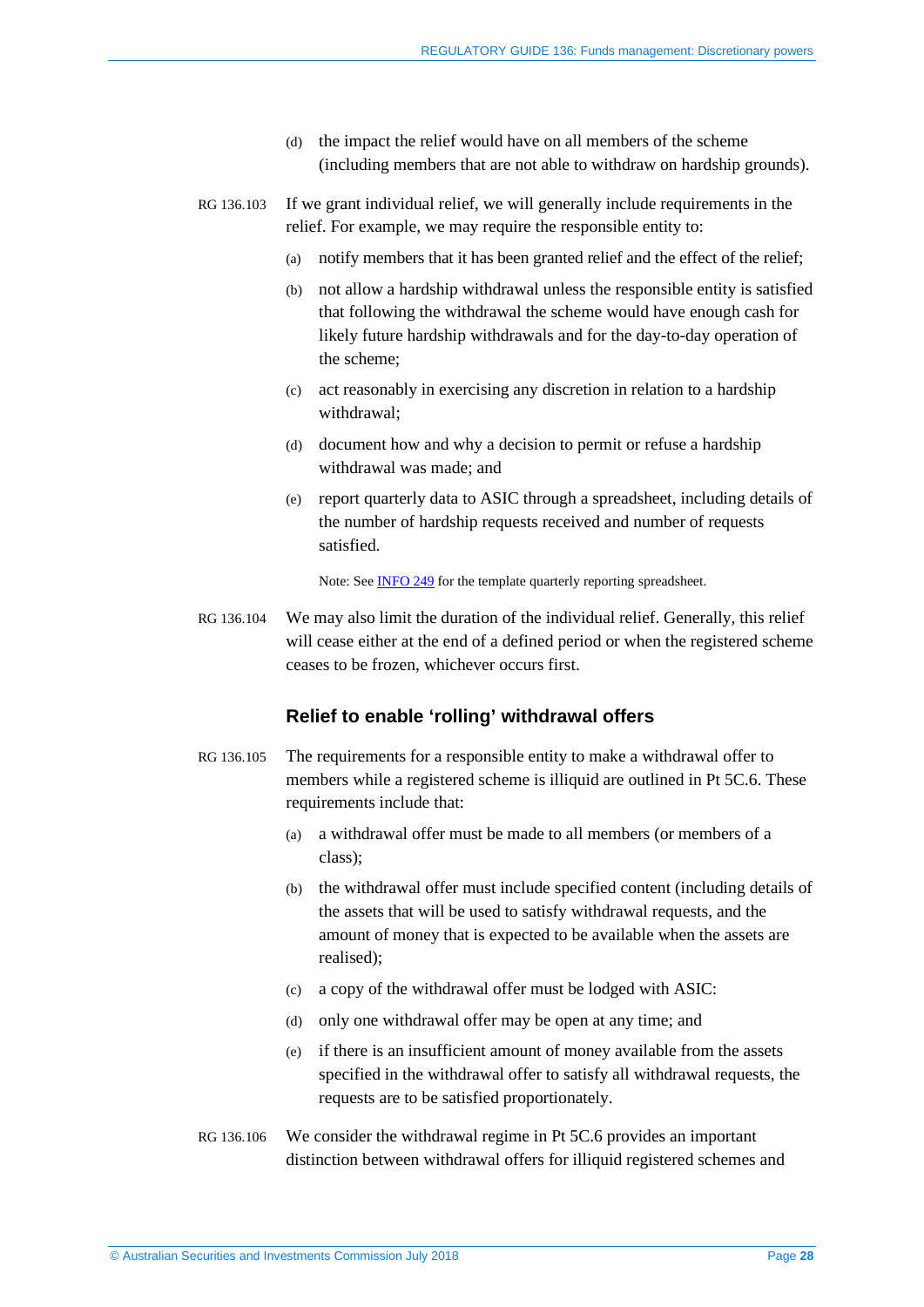- (d) the impact the relief would have on all members of the scheme (including members that are not able to withdraw on hardship grounds).
- RG 136.103 If we grant individual relief, we will generally include requirements in the relief. For example, we may require the responsible entity to:
	- (a) notify members that it has been granted relief and the effect of the relief;
	- (b) not allow a hardship withdrawal unless the responsible entity is satisfied that following the withdrawal the scheme would have enough cash for likely future hardship withdrawals and for the day-to-day operation of the scheme;
	- (c) act reasonably in exercising any discretion in relation to a hardship withdrawal;
	- (d) document how and why a decision to permit or refuse a hardship withdrawal was made; and
	- (e) report quarterly data to ASIC through a spreadsheet, including details of the number of hardship requests received and number of requests satisfied.

Note: See [INFO 249](http://www.asic.gov.au/for-finance-professionals/fund-operators/running-a-fund/requirements-when-running-a-managed-investment-scheme/frozen-funds-information-for-responsible-entities/) for the template quarterly reporting spreadsheet.

<span id="page-27-0"></span>RG 136.104 We may also limit the duration of the individual relief. Generally, this relief will cease either at the end of a defined period or when the registered scheme ceases to be frozen, whichever occurs first.

#### **Relief to enable 'rolling' withdrawal offers**

- <span id="page-27-2"></span><span id="page-27-1"></span>RG 136.105 The requirements for a responsible entity to make a withdrawal offer to members while a registered scheme is illiquid are outlined in Pt 5C.6. These requirements include that:
	- (a) a withdrawal offer must be made to all members (or members of a class);
	- (b) the withdrawal offer must include specified content (including details of the assets that will be used to satisfy withdrawal requests, and the amount of money that is expected to be available when the assets are realised);
	- (c) a copy of the withdrawal offer must be lodged with ASIC:
	- (d) only one withdrawal offer may be open at any time; and
	- (e) if there is an insufficient amount of money available from the assets specified in the withdrawal offer to satisfy all withdrawal requests, the requests are to be satisfied proportionately.
- RG 136.106 We consider the withdrawal regime in Pt 5C.6 provides an important distinction between withdrawal offers for illiquid registered schemes and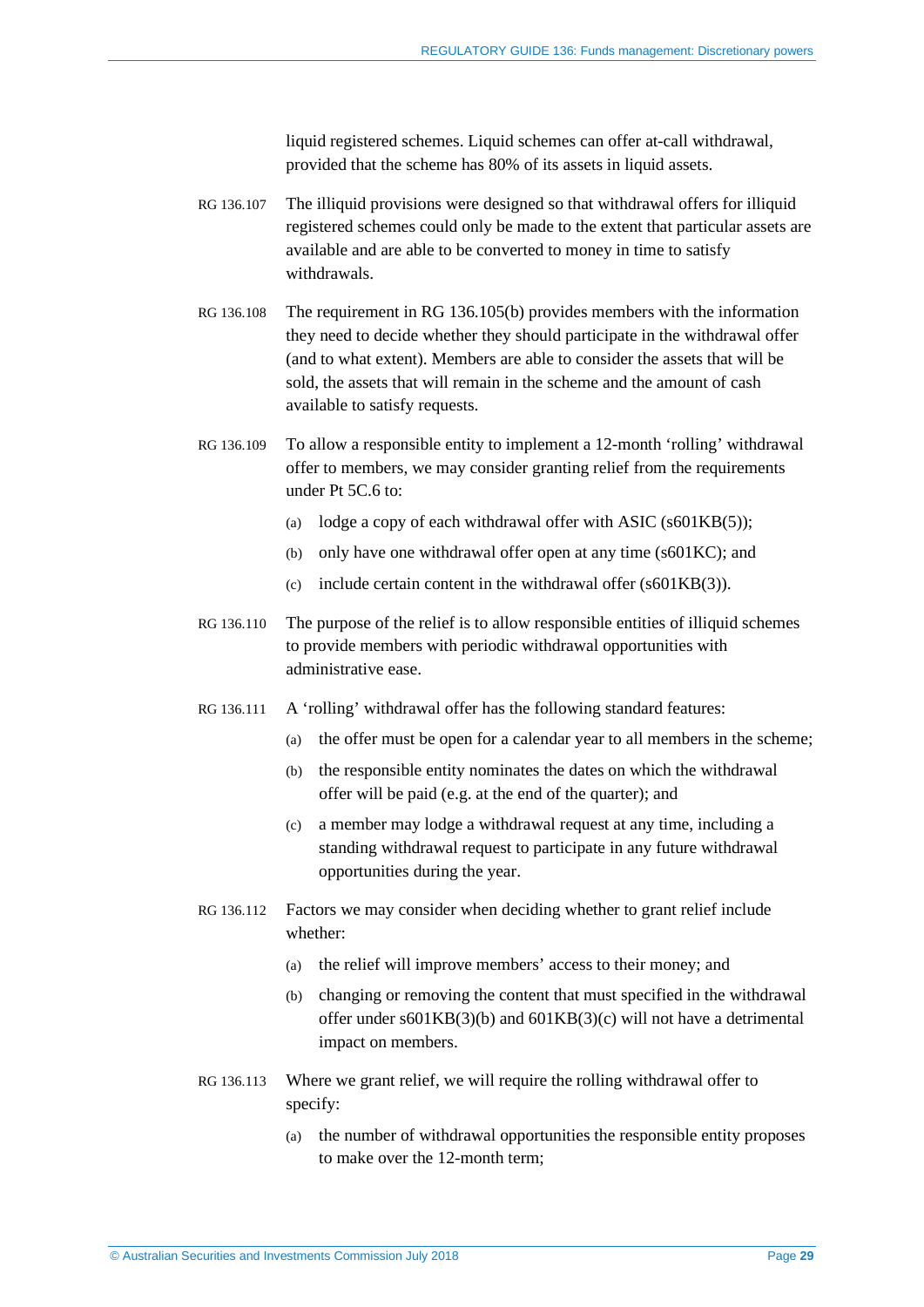liquid registered schemes. Liquid schemes can offer at-call withdrawal, provided that the scheme has 80% of its assets in liquid assets.

- RG 136.107 The illiquid provisions were designed so that withdrawal offers for illiquid registered schemes could only be made to the extent that particular assets are available and are able to be converted to money in time to satisfy withdrawals.
- RG 136.108 The requirement in RG [136.105\(b\)](#page-27-2) provides members with the information they need to decide whether they should participate in the withdrawal offer (and to what extent). Members are able to consider the assets that will be sold, the assets that will remain in the scheme and the amount of cash available to satisfy requests.
- RG 136.109 To allow a responsible entity to implement a 12-month 'rolling' withdrawal offer to members, we may consider granting relief from the requirements under Pt 5C.6 to:
	- (a) lodge a copy of each withdrawal offer with ASIC ( $s601KB(5)$ );
	- (b) only have one withdrawal offer open at any time (s601KC); and
	- (c) include certain content in the withdrawal offer (s601KB(3)).
- RG 136.110 The purpose of the relief is to allow responsible entities of illiquid schemes to provide members with periodic withdrawal opportunities with administrative ease.
- RG 136.111 A 'rolling' withdrawal offer has the following standard features:
	- (a) the offer must be open for a calendar year to all members in the scheme;
	- (b) the responsible entity nominates the dates on which the withdrawal offer will be paid (e.g. at the end of the quarter); and
	- (c) a member may lodge a withdrawal request at any time, including a standing withdrawal request to participate in any future withdrawal opportunities during the year.
- RG 136.112 Factors we may consider when deciding whether to grant relief include whether:
	- (a) the relief will improve members' access to their money; and
	- (b) changing or removing the content that must specified in the withdrawal offer under s601KB(3)(b) and 601KB(3)(c) will not have a detrimental impact on members.
- RG 136.113 Where we grant relief, we will require the rolling withdrawal offer to specify:
	- (a) the number of withdrawal opportunities the responsible entity proposes to make over the 12-month term;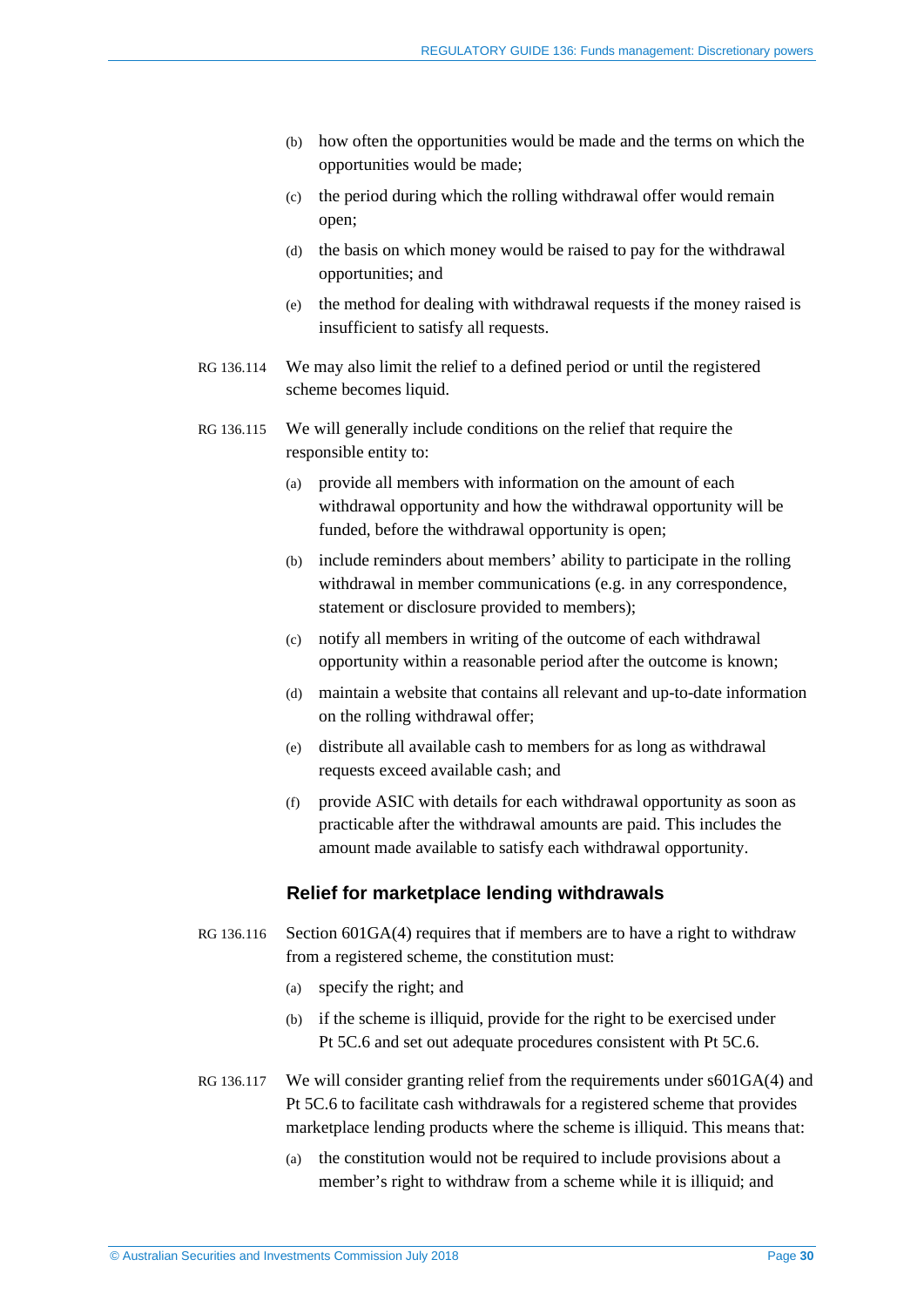- (b) how often the opportunities would be made and the terms on which the opportunities would be made;
- (c) the period during which the rolling withdrawal offer would remain open;
- (d) the basis on which money would be raised to pay for the withdrawal opportunities; and
- (e) the method for dealing with withdrawal requests if the money raised is insufficient to satisfy all requests.
- RG 136.114 We may also limit the relief to a defined period or until the registered scheme becomes liquid.
- <span id="page-29-0"></span>RG 136.115 We will generally include conditions on the relief that require the responsible entity to:
	- (a) provide all members with information on the amount of each withdrawal opportunity and how the withdrawal opportunity will be funded, before the withdrawal opportunity is open;
	- (b) include reminders about members' ability to participate in the rolling withdrawal in member communications (e.g. in any correspondence, statement or disclosure provided to members);
	- (c) notify all members in writing of the outcome of each withdrawal opportunity within a reasonable period after the outcome is known;
	- (d) maintain a website that contains all relevant and up-to-date information on the rolling withdrawal offer;
	- (e) distribute all available cash to members for as long as withdrawal requests exceed available cash; and
	- (f) provide ASIC with details for each withdrawal opportunity as soon as practicable after the withdrawal amounts are paid. This includes the amount made available to satisfy each withdrawal opportunity.

#### **Relief for marketplace lending withdrawals**

- <span id="page-29-1"></span>RG 136.116 Section 601GA(4) requires that if members are to have a right to withdraw from a registered scheme, the constitution must:
	- (a) specify the right; and
	- (b) if the scheme is illiquid, provide for the right to be exercised under Pt 5C.6 and set out adequate procedures consistent with Pt 5C.6.
- RG 136.117 We will consider granting relief from the requirements under  $\delta 01GA(4)$  and Pt 5C.6 to facilitate cash withdrawals for a registered scheme that provides marketplace lending products where the scheme is illiquid. This means that:
	- (a) the constitution would not be required to include provisions about a member's right to withdraw from a scheme while it is illiquid; and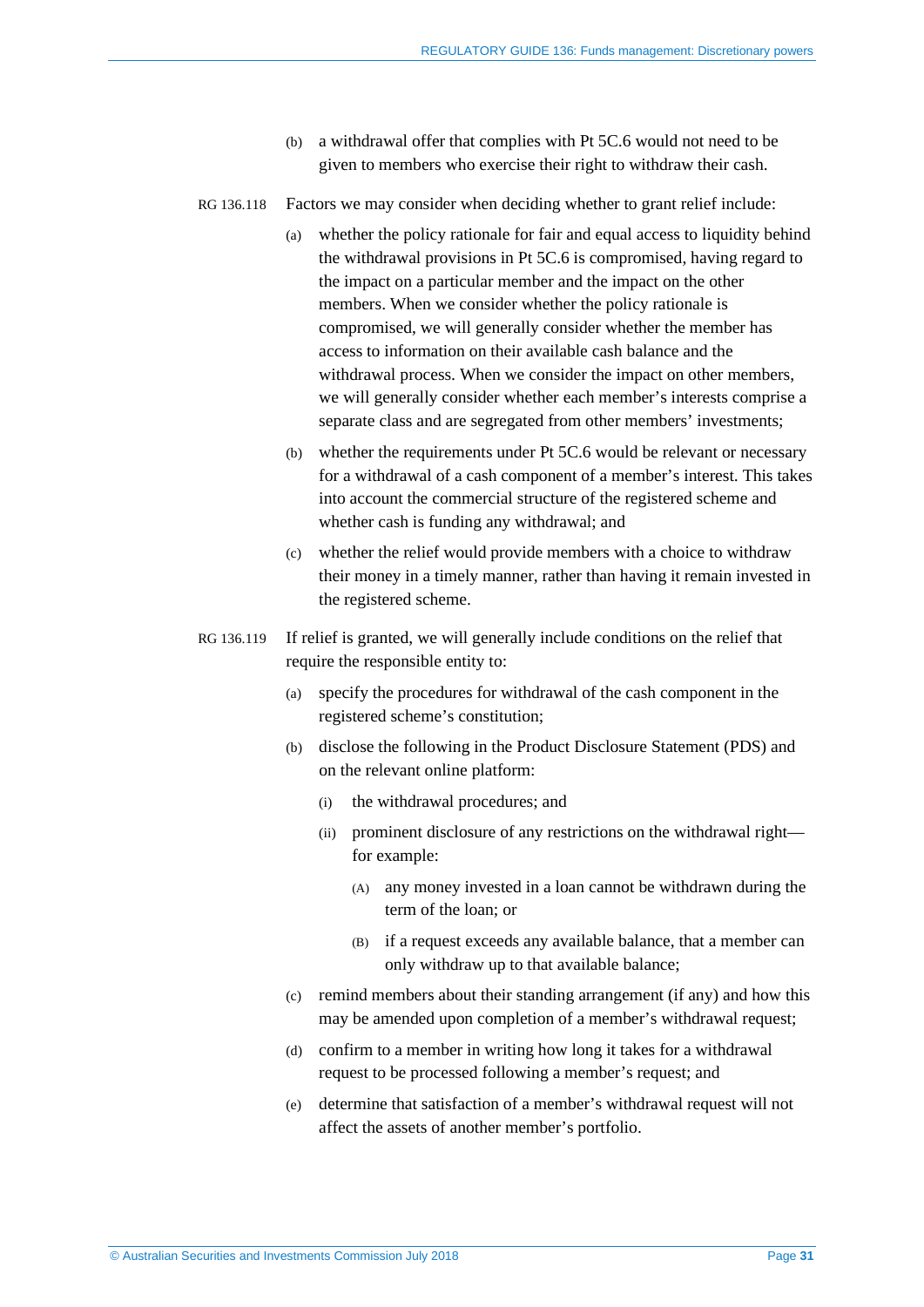- (b) a withdrawal offer that complies with Pt 5C.6 would not need to be given to members who exercise their right to withdraw their cash.
- RG 136.118 Factors we may consider when deciding whether to grant relief include:
	- (a) whether the policy rationale for fair and equal access to liquidity behind the withdrawal provisions in Pt 5C.6 is compromised, having regard to the impact on a particular member and the impact on the other members. When we consider whether the policy rationale is compromised, we will generally consider whether the member has access to information on their available cash balance and the withdrawal process. When we consider the impact on other members, we will generally consider whether each member's interests comprise a separate class and are segregated from other members' investments;
	- (b) whether the requirements under Pt 5C.6 would be relevant or necessary for a withdrawal of a cash component of a member's interest. This takes into account the commercial structure of the registered scheme and whether cash is funding any withdrawal; and
	- (c) whether the relief would provide members with a choice to withdraw their money in a timely manner, rather than having it remain invested in the registered scheme.
- <span id="page-30-0"></span>RG 136.119 If relief is granted, we will generally include conditions on the relief that require the responsible entity to:
	- (a) specify the procedures for withdrawal of the cash component in the registered scheme's constitution;
	- (b) disclose the following in the Product Disclosure Statement (PDS) and on the relevant online platform:
		- (i) the withdrawal procedures; and
		- (ii) prominent disclosure of any restrictions on the withdrawal right for example:
			- (A) any money invested in a loan cannot be withdrawn during the term of the loan; or
			- (B) if a request exceeds any available balance, that a member can only withdraw up to that available balance;
	- (c) remind members about their standing arrangement (if any) and how this may be amended upon completion of a member's withdrawal request;
	- (d) confirm to a member in writing how long it takes for a withdrawal request to be processed following a member's request; and
	- (e) determine that satisfaction of a member's withdrawal request will not affect the assets of another member's portfolio.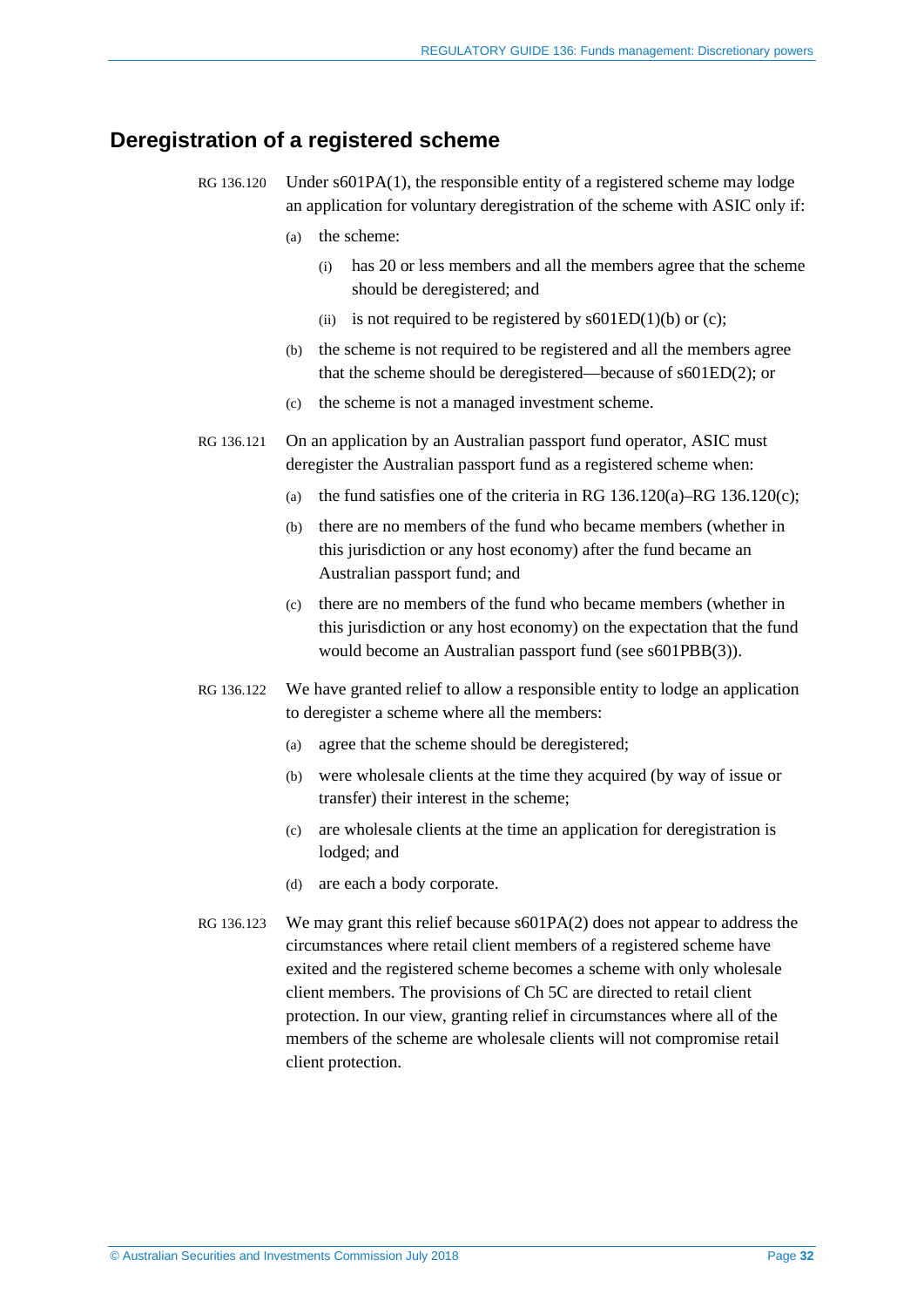## <span id="page-31-1"></span><span id="page-31-0"></span>**Deregistration of a registered scheme**

- RG 136.120 Under  $s601PA(1)$ , the responsible entity of a registered scheme may lodge an application for voluntary deregistration of the scheme with ASIC only if:
	- (a) the scheme:
		- (i) has 20 or less members and all the members agree that the scheme should be deregistered; and
		- (ii) is not required to be registered by  $s601ED(1)(b)$  or (c);
	- (b) the scheme is not required to be registered and all the members agree that the scheme should be deregistered—because of s601ED(2); or
	- (c) the scheme is not a managed investment scheme.
- <span id="page-31-2"></span>RG 136.121 On an application by an Australian passport fund operator, ASIC must deregister the Australian passport fund as a registered scheme when:
	- (a) the fund satisfies one of the criteria in RG  $136.120(a)$ –RG  $136.120(c)$ ;
	- (b) there are no members of the fund who became members (whether in this jurisdiction or any host economy) after the fund became an Australian passport fund; and
	- (c) there are no members of the fund who became members (whether in this jurisdiction or any host economy) on the expectation that the fund would become an Australian passport fund (see s601PBB(3)).
- RG 136.122 We have granted relief to allow a responsible entity to lodge an application to deregister a scheme where all the members:
	- (a) agree that the scheme should be deregistered;
	- (b) were wholesale clients at the time they acquired (by way of issue or transfer) their interest in the scheme;
	- (c) are wholesale clients at the time an application for deregistration is lodged; and
	- (d) are each a body corporate.
- RG 136.123 We may grant this relief because s601PA(2) does not appear to address the circumstances where retail client members of a registered scheme have exited and the registered scheme becomes a scheme with only wholesale client members. The provisions of Ch 5C are directed to retail client protection. In our view, granting relief in circumstances where all of the members of the scheme are wholesale clients will not compromise retail client protection.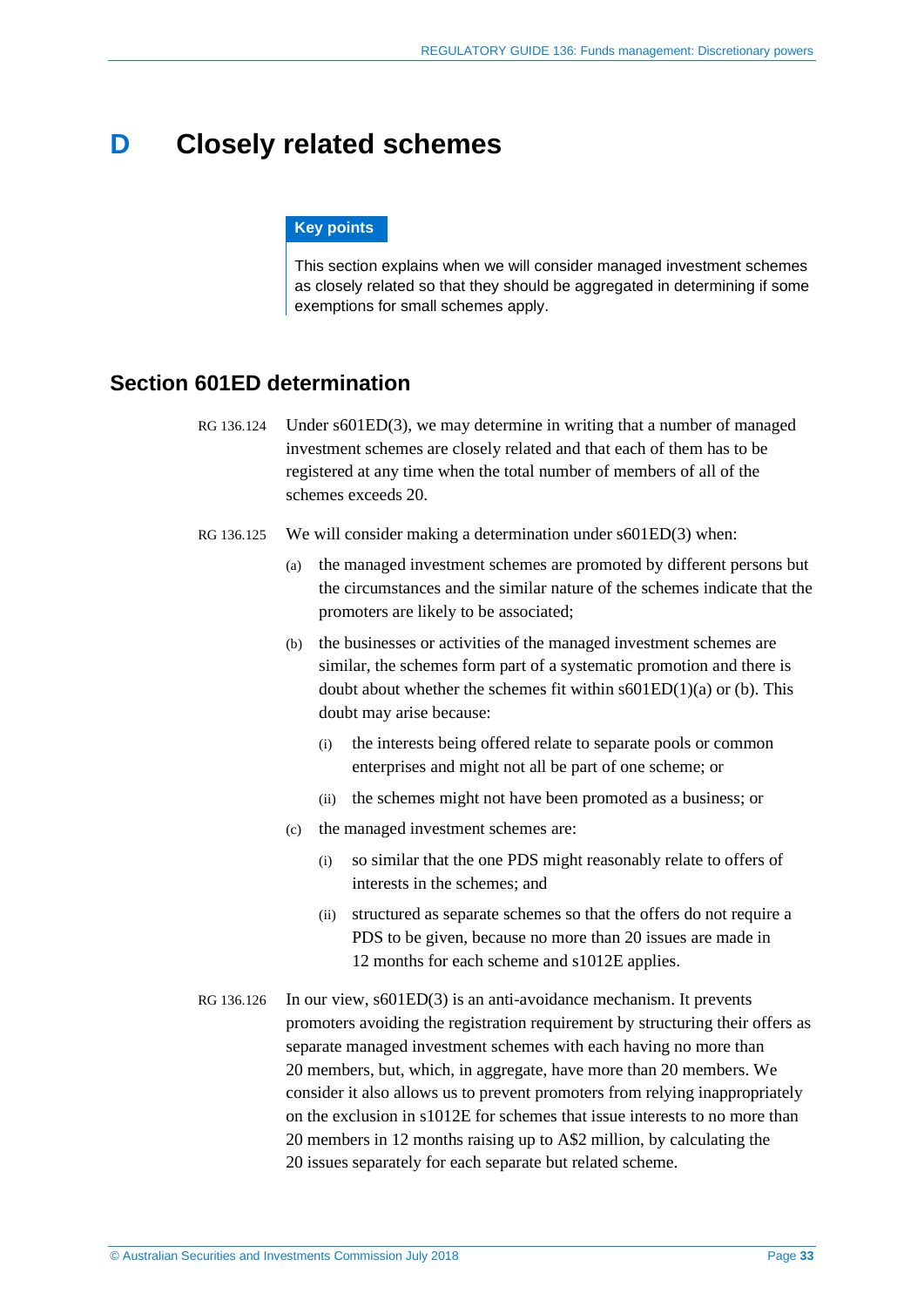## <span id="page-32-0"></span>**D Closely related schemes**

#### **Key points**

This section explains when we will consider managed investment schemes as closely related so that they should be aggregated in determining if some exemptions for small schemes apply.

## <span id="page-32-1"></span>**Section 601ED determination**

- RG 136.124 Under s601ED(3), we may determine in writing that a number of managed investment schemes are closely related and that each of them has to be registered at any time when the total number of members of all of the schemes exceeds 20.
- RG 136.125 We will consider making a determination under s601ED(3) when:
	- (a) the managed investment schemes are promoted by different persons but the circumstances and the similar nature of the schemes indicate that the promoters are likely to be associated;
	- (b) the businesses or activities of the managed investment schemes are similar, the schemes form part of a systematic promotion and there is doubt about whether the schemes fit within  $s601ED(1)(a)$  or (b). This doubt may arise because:
		- (i) the interests being offered relate to separate pools or common enterprises and might not all be part of one scheme; or
		- (ii) the schemes might not have been promoted as a business; or
	- (c) the managed investment schemes are:
		- (i) so similar that the one PDS might reasonably relate to offers of interests in the schemes; and
		- (ii) structured as separate schemes so that the offers do not require a PDS to be given, because no more than 20 issues are made in 12 months for each scheme and s1012E applies.
- RG 136.126 In our view, s601ED(3) is an anti-avoidance mechanism. It prevents promoters avoiding the registration requirement by structuring their offers as separate managed investment schemes with each having no more than 20 members, but, which, in aggregate, have more than 20 members. We consider it also allows us to prevent promoters from relying inappropriately on the exclusion in s1012E for schemes that issue interests to no more than 20 members in 12 months raising up to A\$2 million, by calculating the 20 issues separately for each separate but related scheme.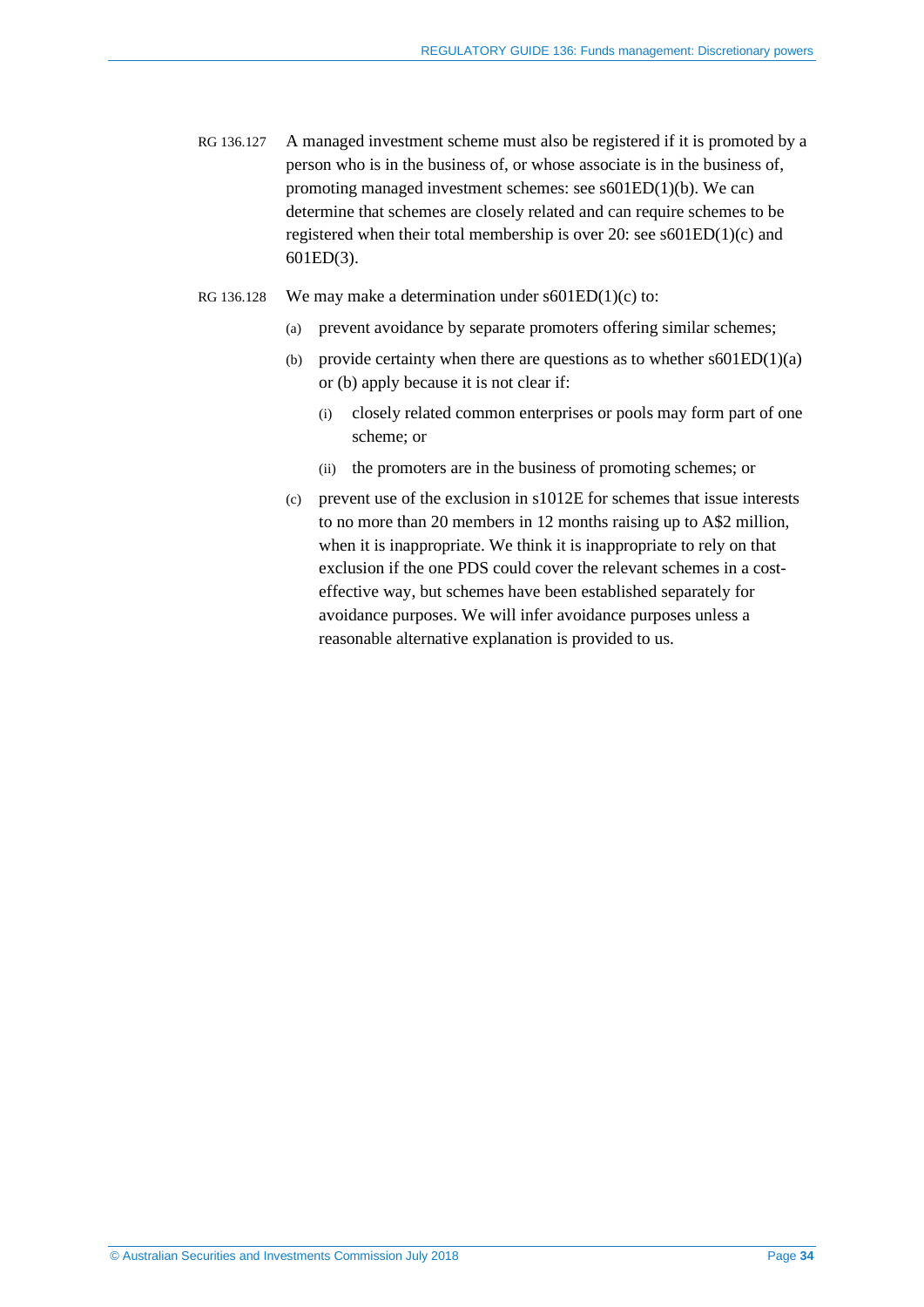- RG 136.127 A managed investment scheme must also be registered if it is promoted by a person who is in the business of, or whose associate is in the business of, promoting managed investment schemes: see s601ED(1)(b). We can determine that schemes are closely related and can require schemes to be registered when their total membership is over 20: see s601ED(1)(c) and 601ED(3).
- RG 136.128 We may make a determination under  $s601ED(1)(c)$  to:
	- (a) prevent avoidance by separate promoters offering similar schemes;
	- (b) provide certainty when there are questions as to whether  $s601ED(1)(a)$ or (b) apply because it is not clear if:
		- (i) closely related common enterprises or pools may form part of one scheme; or
		- (ii) the promoters are in the business of promoting schemes; or
	- (c) prevent use of the exclusion in s1012E for schemes that issue interests to no more than 20 members in 12 months raising up to A\$2 million, when it is inappropriate. We think it is inappropriate to rely on that exclusion if the one PDS could cover the relevant schemes in a costeffective way, but schemes have been established separately for avoidance purposes. We will infer avoidance purposes unless a reasonable alternative explanation is provided to us.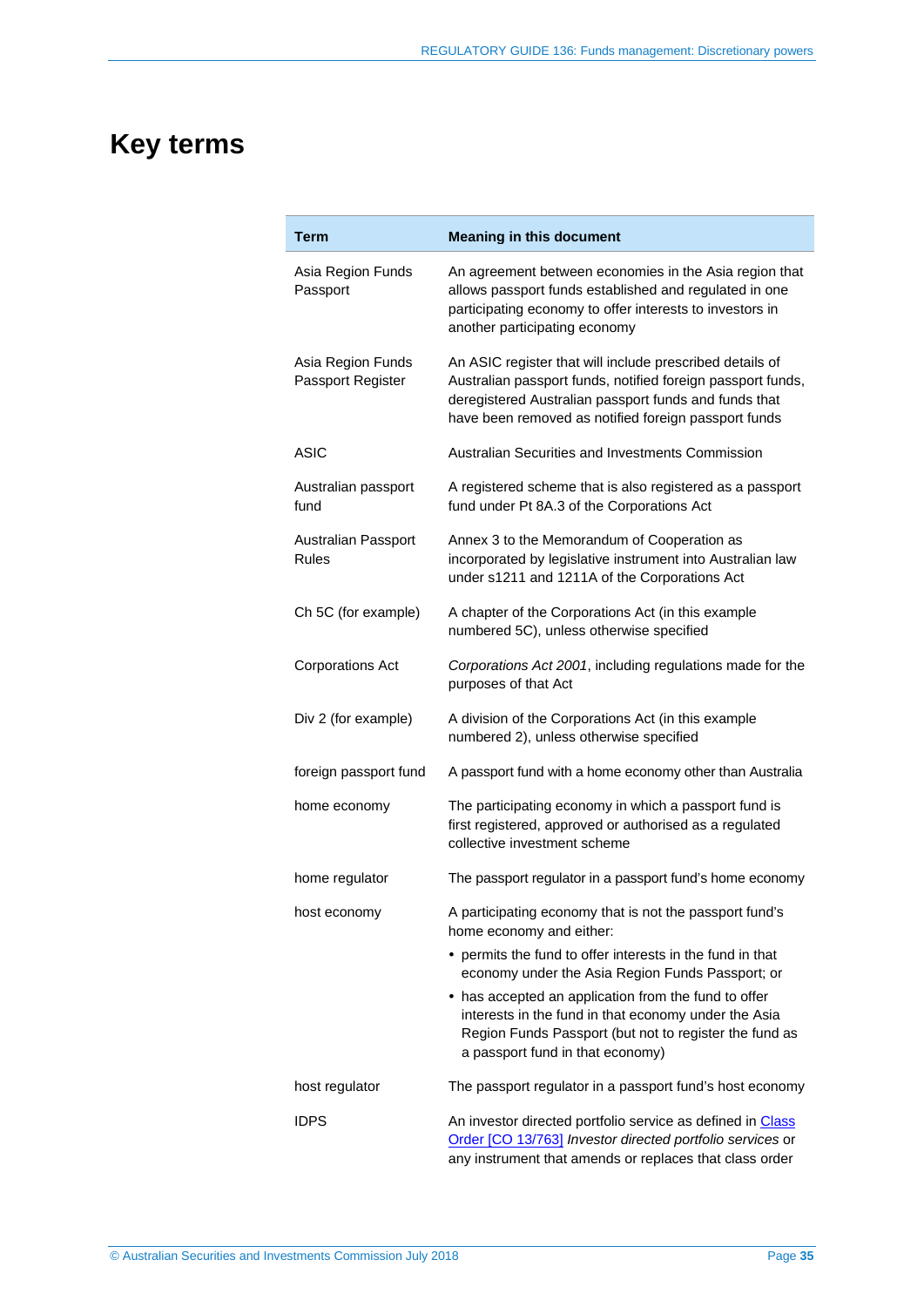# <span id="page-34-0"></span>**Key terms**

| <b>Term</b>                            | <b>Meaning in this document</b>                                                                                                                                                                                                          |
|----------------------------------------|------------------------------------------------------------------------------------------------------------------------------------------------------------------------------------------------------------------------------------------|
| Asia Region Funds<br>Passport          | An agreement between economies in the Asia region that<br>allows passport funds established and regulated in one<br>participating economy to offer interests to investors in<br>another participating economy                            |
| Asia Region Funds<br>Passport Register | An ASIC register that will include prescribed details of<br>Australian passport funds, notified foreign passport funds,<br>deregistered Australian passport funds and funds that<br>have been removed as notified foreign passport funds |
| <b>ASIC</b>                            | Australian Securities and Investments Commission                                                                                                                                                                                         |
| Australian passport<br>fund            | A registered scheme that is also registered as a passport<br>fund under Pt 8A.3 of the Corporations Act                                                                                                                                  |
| Australian Passport<br><b>Rules</b>    | Annex 3 to the Memorandum of Cooperation as<br>incorporated by legislative instrument into Australian law<br>under s1211 and 1211A of the Corporations Act                                                                               |
| Ch 5C (for example)                    | A chapter of the Corporations Act (in this example<br>numbered 5C), unless otherwise specified                                                                                                                                           |
| <b>Corporations Act</b>                | Corporations Act 2001, including regulations made for the<br>purposes of that Act                                                                                                                                                        |
| Div 2 (for example)                    | A division of the Corporations Act (in this example<br>numbered 2), unless otherwise specified                                                                                                                                           |
| foreign passport fund                  | A passport fund with a home economy other than Australia                                                                                                                                                                                 |
| home economy                           | The participating economy in which a passport fund is<br>first registered, approved or authorised as a regulated<br>collective investment scheme                                                                                         |
| home regulator                         | The passport regulator in a passport fund's home economy                                                                                                                                                                                 |
| host economy                           | A participating economy that is not the passport fund's<br>home economy and either:                                                                                                                                                      |
|                                        | • permits the fund to offer interests in the fund in that<br>economy under the Asia Region Funds Passport; or                                                                                                                            |
|                                        | • has accepted an application from the fund to offer<br>interests in the fund in that economy under the Asia<br>Region Funds Passport (but not to register the fund as<br>a passport fund in that economy)                               |
| host regulator                         | The passport regulator in a passport fund's host economy                                                                                                                                                                                 |
| <b>IDPS</b>                            | An investor directed portfolio service as defined in Class<br>Order [CO 13/763] Investor directed portfolio services or<br>any instrument that amends or replaces that class order                                                       |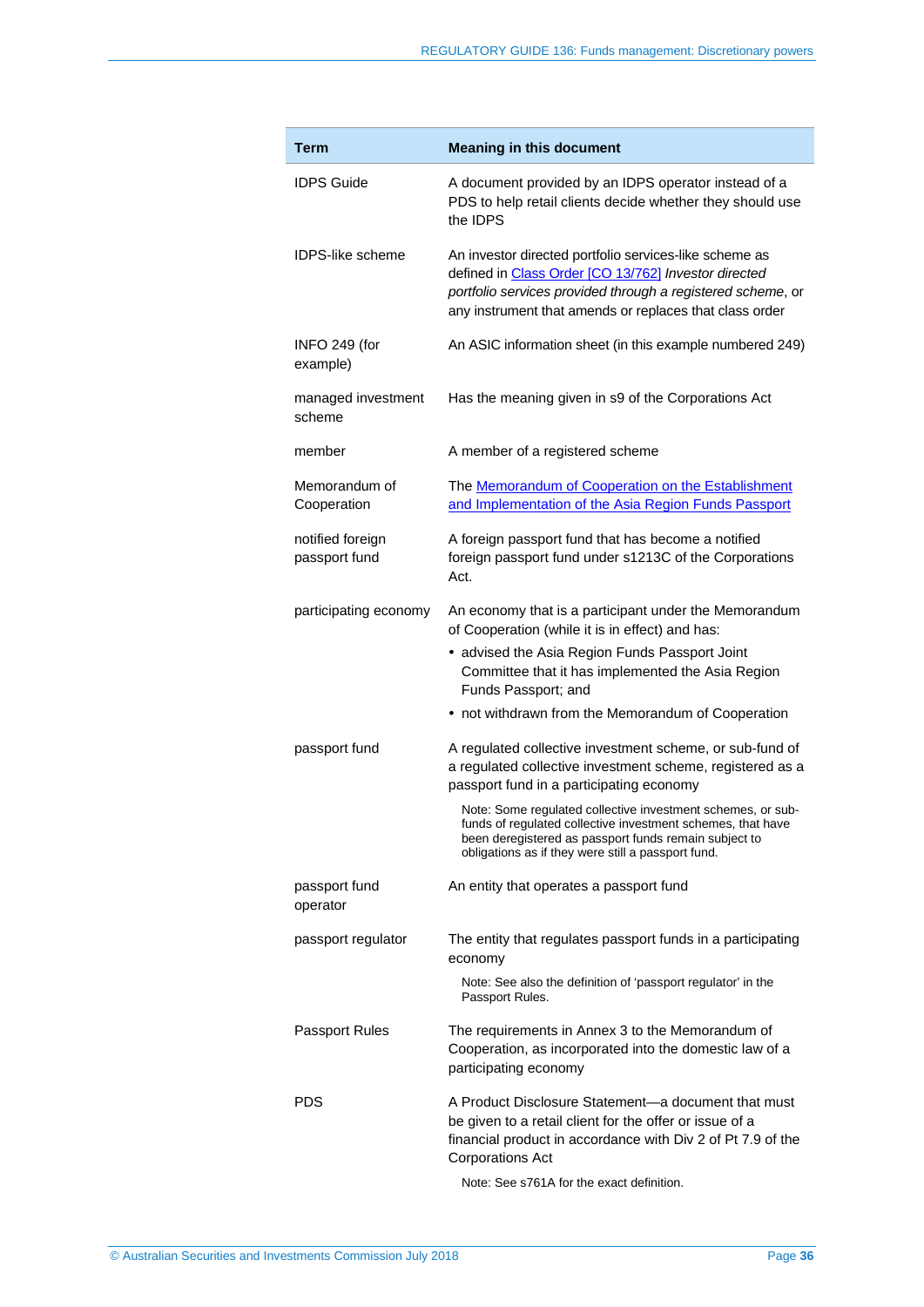| <b>Term</b>                       | <b>Meaning in this document</b>                                                                                                                                                                                                                                                              |  |  |  |
|-----------------------------------|----------------------------------------------------------------------------------------------------------------------------------------------------------------------------------------------------------------------------------------------------------------------------------------------|--|--|--|
| <b>IDPS Guide</b>                 | A document provided by an IDPS operator instead of a<br>PDS to help retail clients decide whether they should use<br>the IDPS                                                                                                                                                                |  |  |  |
| <b>IDPS-like scheme</b>           | An investor directed portfolio services-like scheme as<br>defined in Class Order [CO 13/762] Investor directed<br>portfolio services provided through a registered scheme, or<br>any instrument that amends or replaces that class order                                                     |  |  |  |
| INFO 249 (for<br>example)         | An ASIC information sheet (in this example numbered 249)                                                                                                                                                                                                                                     |  |  |  |
| managed investment<br>scheme      | Has the meaning given in s9 of the Corporations Act                                                                                                                                                                                                                                          |  |  |  |
| member                            | A member of a registered scheme                                                                                                                                                                                                                                                              |  |  |  |
| Memorandum of<br>Cooperation      | The <b>Memorandum of Cooperation on the Establishment</b><br>and Implementation of the Asia Region Funds Passport                                                                                                                                                                            |  |  |  |
| notified foreign<br>passport fund | A foreign passport fund that has become a notified<br>foreign passport fund under s1213C of the Corporations<br>Act.                                                                                                                                                                         |  |  |  |
| participating economy             | An economy that is a participant under the Memorandum<br>of Cooperation (while it is in effect) and has:<br>• advised the Asia Region Funds Passport Joint<br>Committee that it has implemented the Asia Region<br>Funds Passport; and<br>• not withdrawn from the Memorandum of Cooperation |  |  |  |
| passport fund                     | A regulated collective investment scheme, or sub-fund of<br>a regulated collective investment scheme, registered as a<br>passport fund in a participating economy                                                                                                                            |  |  |  |
|                                   | Note: Some regulated collective investment schemes, or sub-<br>funds of regulated collective investment schemes, that have<br>been deregistered as passport funds remain subject to<br>obligations as if they were still a passport fund.                                                    |  |  |  |
| passport fund<br>operator         | An entity that operates a passport fund                                                                                                                                                                                                                                                      |  |  |  |
| passport regulator                | The entity that regulates passport funds in a participating<br>economy                                                                                                                                                                                                                       |  |  |  |
|                                   | Note: See also the definition of 'passport regulator' in the<br>Passport Rules.                                                                                                                                                                                                              |  |  |  |
| <b>Passport Rules</b>             | The requirements in Annex 3 to the Memorandum of<br>Cooperation, as incorporated into the domestic law of a<br>participating economy                                                                                                                                                         |  |  |  |
| <b>PDS</b>                        | A Product Disclosure Statement—a document that must<br>be given to a retail client for the offer or issue of a<br>financial product in accordance with Div 2 of Pt 7.9 of the<br>Corporations Act<br>Note: See s761A for the exact definition.                                               |  |  |  |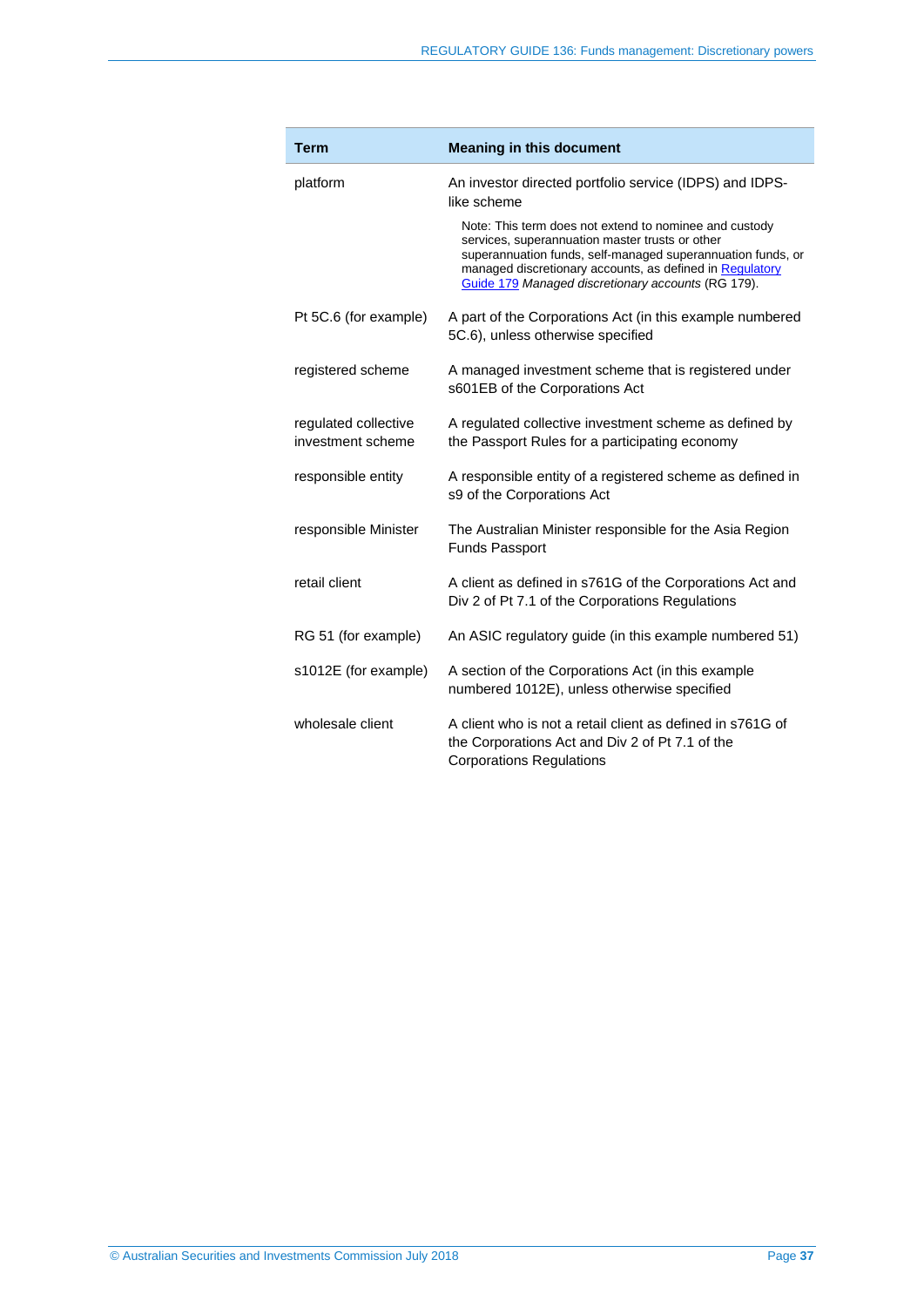| <b>Term</b>                               | <b>Meaning in this document</b>                                                                                                                                                                                                                                                            |  |  |
|-------------------------------------------|--------------------------------------------------------------------------------------------------------------------------------------------------------------------------------------------------------------------------------------------------------------------------------------------|--|--|
| platform                                  | An investor directed portfolio service (IDPS) and IDPS-<br>like scheme                                                                                                                                                                                                                     |  |  |
|                                           | Note: This term does not extend to nominee and custody<br>services, superannuation master trusts or other<br>superannuation funds, self-managed superannuation funds, or<br>managed discretionary accounts, as defined in Regulatory<br>Guide 179 Managed discretionary accounts (RG 179). |  |  |
| Pt 5C.6 (for example)                     | A part of the Corporations Act (in this example numbered<br>5C.6), unless otherwise specified                                                                                                                                                                                              |  |  |
| registered scheme                         | A managed investment scheme that is registered under<br>s601EB of the Corporations Act                                                                                                                                                                                                     |  |  |
| regulated collective<br>investment scheme | A regulated collective investment scheme as defined by<br>the Passport Rules for a participating economy                                                                                                                                                                                   |  |  |
| responsible entity                        | A responsible entity of a registered scheme as defined in<br>s9 of the Corporations Act                                                                                                                                                                                                    |  |  |
| responsible Minister                      | The Australian Minister responsible for the Asia Region<br><b>Funds Passport</b>                                                                                                                                                                                                           |  |  |
| retail client                             | A client as defined in s761G of the Corporations Act and<br>Div 2 of Pt 7.1 of the Corporations Regulations                                                                                                                                                                                |  |  |
| RG 51 (for example)                       | An ASIC regulatory guide (in this example numbered 51)                                                                                                                                                                                                                                     |  |  |
| s1012E (for example)                      | A section of the Corporations Act (in this example<br>numbered 1012E), unless otherwise specified                                                                                                                                                                                          |  |  |
| wholesale client                          | A client who is not a retail client as defined in s761G of<br>the Corporations Act and Div 2 of Pt 7.1 of the<br><b>Corporations Regulations</b>                                                                                                                                           |  |  |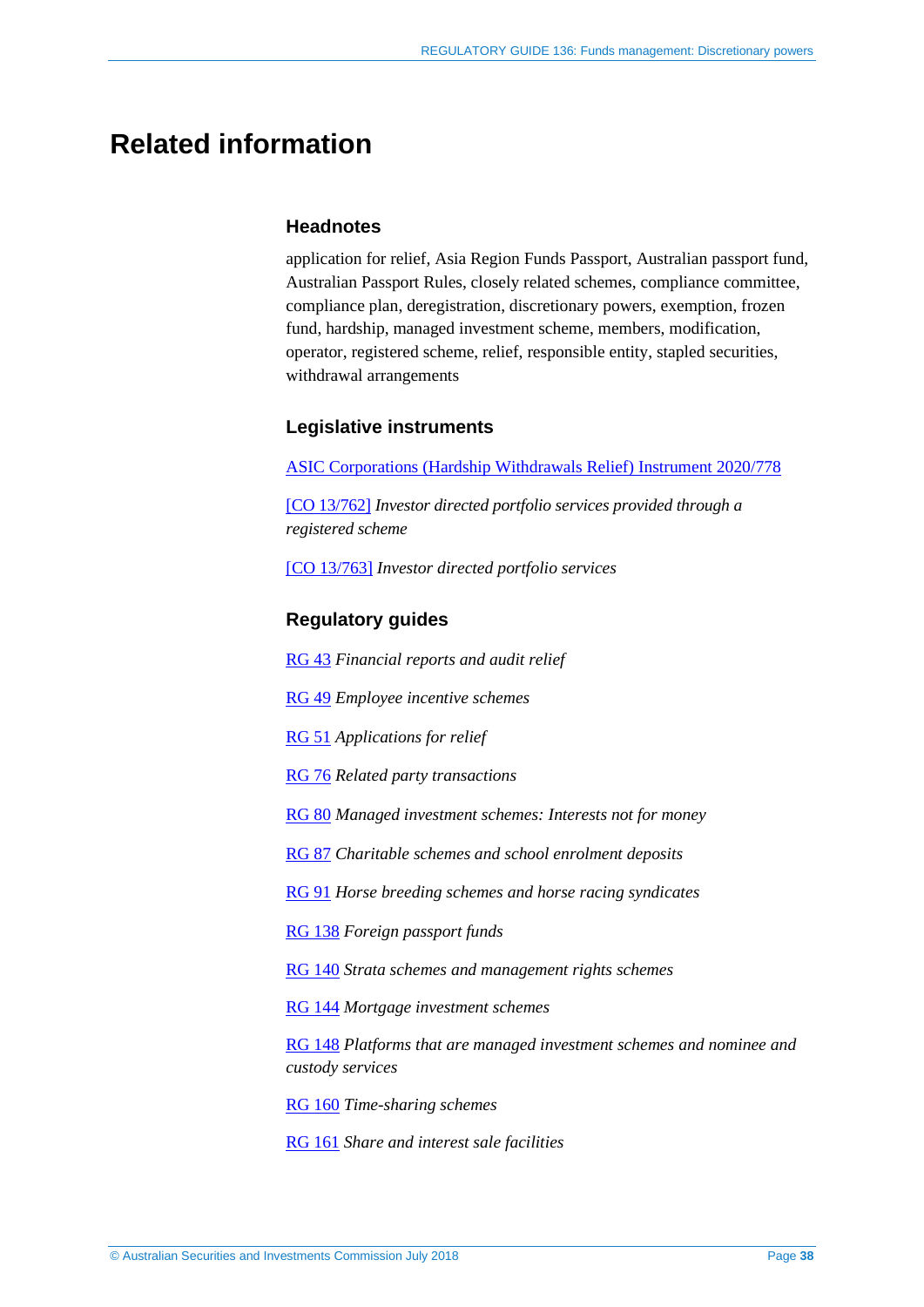## <span id="page-37-0"></span>**Related information**

#### **Headnotes**

application for relief, Asia Region Funds Passport, Australian passport fund, Australian Passport Rules, closely related schemes, compliance committee, compliance plan, deregistration, discretionary powers, exemption, frozen fund, hardship, managed investment scheme, members, modification, operator, registered scheme, relief, responsible entity, stapled securities, withdrawal arrangements

#### **Legislative instruments**

[ASIC Corporations \(Hardship Withdrawals Relief\) Instrument 2020/778](https://asic.gov.au/regulatory-resources/find-a-document/legislative-instruments/2020-legislative-instruments/#LI2020-778)

[\[CO 13/762\]](https://www.legislation.gov.au/Details/F2017C00930) *Investor directed portfolio services provided through a registered scheme*

[\[CO 13/763\]](https://www.legislation.gov.au/Details/F2018C00827) *Investor directed portfolio services*

### **Regulatory guides**

[RG 43](http://www.asic.gov.au/regulatory-resources/find-a-document/regulatory-guides/rg-43-financial-reports-and-audit-relief/) *Financial reports and audit relief*

[RG 49](http://www.asic.gov.au/regulatory-resources/find-a-document/regulatory-guides/rg-49-employee-incentive-schemes/) *Employee incentive schemes*

[RG 51](http://www.asic.gov.au/regulatory-resources/find-a-document/regulatory-guides/rg-51-applications-for-relief/) *Applications for relief*

[RG 76](http://www.asic.gov.au/regulatory-resources/find-a-document/regulatory-guides/rg-76-related-party-transactions/) *Related party transactions*

[RG 80](http://www.asic.gov.au/regulatory-resources/find-a-document/regulatory-guides/rg-80-managed-investment-schemes-interests-not-for-money/) *Managed investment schemes: Interests not for money*

[RG 87](http://www.asic.gov.au/regulatory-resources/find-a-document/regulatory-guides/rg-87-charitable-schemes-and-school-enrolment-deposits/) *Charitable schemes and school enrolment deposits*

[RG 91](http://www.asic.gov.au/regulatory-resources/find-a-document/regulatory-guides/rg-91-horse-breeding-schemes-and-horse-racing-syndicates/) *Horse breeding schemes and horse racing syndicates*

[RG 138](https://asic.gov.au/regulatory-resources/find-a-document/regulatory-guides/rg-138-foreign-passport-funds/) *Foreign passport funds*

[RG 140](http://www.asic.gov.au/regulatory-resources/find-a-document/regulatory-guides/rg-140-strata-schemes-and-management-rights-schemes/) *Strata schemes and management rights schemes*

[RG 144](http://www.asic.gov.au/regulatory-resources/find-a-document/regulatory-guides/rg-144-mortgage-investment-schemes/) *Mortgage investment schemes*

[RG 148](http://www.asic.gov.au/regulatory-resources/find-a-document/regulatory-guides/rg-148-platforms-that-are-managed-investment-schemes-and-nominee-and-custody-services/) *Platforms that are managed investment schemes and nominee and custody services*

[RG 160](http://www.asic.gov.au/regulatory-resources/find-a-document/regulatory-guides/rg-160-time-sharing-schemes/) *Time-sharing schemes*

[RG 161](http://www.asic.gov.au/regulatory-resources/find-a-document/regulatory-guides/rg-161-share-and-interest-sale-facilities/) *Share and interest sale facilities*